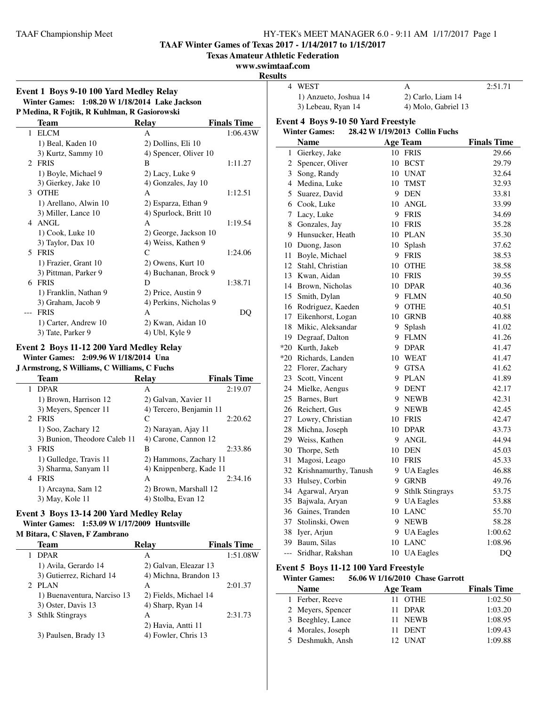**TAAF Winter Games of Texas 2017 - 1/14/2017 to 1/15/2017**

**Texas Amateur Athletic Federation**

# **www.swimtaaf.com**

**Resu** 

| Event 1 Boys 9-10 100 Yard Medley Relay        |  |
|------------------------------------------------|--|
| Winter Games: 1:08.20 W 1/18/2014 Lake Jackson |  |
| P Medina, R Fojtik, R Kuhlman, R Gasiorowski   |  |

|                | Team                  | Relay                  | <b>Finals Time</b> |
|----------------|-----------------------|------------------------|--------------------|
| 1              | <b>ELCM</b>           | A                      | 1:06.43W           |
|                | 1) Beal, Kaden 10     | 2) Dollins, Eli 10     |                    |
|                | 3) Kurtz, Sammy 10    | 4) Spencer, Oliver 10  |                    |
| $\mathfrak{D}$ | <b>FRIS</b>           | B                      | 1:11.27            |
|                | 1) Boyle, Michael 9   | 2) Lacy, Luke 9        |                    |
|                | 3) Gierkey, Jake 10   | 4) Gonzales, Jay 10    |                    |
| 3              | <b>OTHE</b>           | A                      | 1:12.51            |
|                | 1) Arellano, Alwin 10 | 2) Esparza, Ethan 9    |                    |
|                | 3) Miller, Lance 10   | 4) Spurlock, Britt 10  |                    |
| 4              | ANGL                  | A                      | 1:19.54            |
|                | 1) Cook, Luke 10      | 2) George, Jackson 10  |                    |
|                | 3) Taylor, Dax 10     | 4) Weiss, Kathen 9     |                    |
| 5              | <b>FRIS</b>           | C                      | 1:24.06            |
|                | 1) Frazier, Grant 10  | 2) Owens, Kurt 10      |                    |
|                | 3) Pittman, Parker 9  | 4) Buchanan, Brock 9   |                    |
| 6              | <b>FRIS</b>           | D                      | 1:38.71            |
|                | 1) Franklin, Nathan 9 | 2) Price, Austin 9     |                    |
|                | 3) Graham, Jacob 9    | 4) Perkins, Nicholas 9 |                    |
|                | <b>FRIS</b>           | A                      | DQ                 |
|                | 1) Carter, Andrew 10  | 2) Kwan, Aidan 10      |                    |
|                | 3) Tate, Parker 9     | 4) Ubl, Kyle 9         |                    |

### **Event 2 Boys 11-12 200 Yard Medley Relay Winter Games: 2:09.96 W1/18/2014 Una**

**J Armstrong, S Williams, C Williams, C Fuchs**

| Team                         | Relay                 | <b>Finals Time</b>      |
|------------------------------|-----------------------|-------------------------|
| <b>DPAR</b><br>1             | A                     | 2:19.07                 |
| 1) Brown, Harrison 12        | 2) Galvan, Xavier 11  |                         |
| 3) Meyers, Spencer 11        |                       | 4) Tercero, Benjamin 11 |
| 2 FRIS                       | C                     | 2:20.62                 |
| 1) Soo, Zachary 12           | 2) Narayan, Ajay 11   |                         |
| 3) Bunion, Theodore Caleb 11 | 4) Carone, Cannon 12  |                         |
| <b>FRIS</b><br>3             | В                     | 2:33.86                 |
| 1) Gulledge, Travis 11       |                       | 2) Hammons, Zachary 11  |
| 3) Sharma, Sanyam 11         |                       | 4) Knippenberg, Kade 11 |
| <b>FRIS</b><br>4             | A                     | 2:34.16                 |
| 1) Arcayna, Sam 12           | 2) Brown, Marshall 12 |                         |
| 3) May, Kole 11              | 4) Stolba, Evan 12    |                         |
|                              |                       |                         |

#### **Event 3 Boys 13-14 200 Yard Medley Relay Winter Games: 1:53.09 W1/17/2009 Huntsville M Bitara, C Slaven, F Zambrano**

| $\mathbf{u}$ bitting, $\mathbf{v}$ bitting a bitting through |              |  |
|--------------------------------------------------------------|--------------|--|
| Team                                                         | <b>Relav</b> |  |
| <b>DDAD</b>                                                  |              |  |

| <b>DPAR</b>                 | А                     | 1:51.08W |
|-----------------------------|-----------------------|----------|
| 1) Avila, Gerardo 14        | 2) Galvan, Eleazar 13 |          |
| 3) Gutierrez, Richard 14    | 4) Michna, Brandon 13 |          |
| 2 PLAN                      | A                     | 2:01.37  |
| 1) Buenaventura, Narciso 13 | 2) Fields, Michael 14 |          |
| 3) Oster, Davis 13          | 4) Sharp, Ryan 14     |          |
| 3 Sthlk Stingrays           | А                     | 2:31.73  |
|                             | 2) Havia, Antti 11    |          |
| 3) Paulsen, Brady 13        | 4) Fowler, Chris 13   |          |

**Finals Time** 

| ılts     |                                     |    |                                |                    |
|----------|-------------------------------------|----|--------------------------------|--------------------|
| 4        | <b>WEST</b>                         |    | А                              | 2:51.71            |
|          | 1) Anzueto, Joshua 14               |    | 2) Carlo, Liam 14              |                    |
|          | 3) Lebeau, Ryan 14                  |    | 4) Molo, Gabriel 13            |                    |
|          | Event 4 Boys 9-10 50 Yard Freestyle |    |                                |                    |
|          | <b>Winter Games:</b>                |    | 28.42 W 1/19/2013 Collin Fuchs |                    |
|          | <b>Name</b>                         |    | <b>Age Team</b>                | <b>Finals Time</b> |
| 1        | Gierkey, Jake                       |    | 10 FRIS                        | 29.66              |
|          | 2 Spencer, Oliver                   |    | 10 BCST                        | 29.79              |
|          | 3 Song, Randy                       |    | 10 UNAT                        | 32.64              |
|          | 4 Medina, Luke                      |    | 10 TMST                        | 32.93              |
|          | 5 Suarez, David                     |    | 9 DEN                          | 33.81              |
|          | 6 Cook, Luke                        |    | 10 ANGL                        | 33.99              |
| 7        | Lacy, Luke                          |    | 9 FRIS                         | 34.69              |
| 8        | Gonzales, Jay                       |    | 10 FRIS                        | 35.28              |
| 9        | Hunsucker, Heath                    |    | 10 PLAN                        | 35.30              |
|          | 10 Duong, Jason                     |    | 10 Splash                      | 37.62              |
| 11       | Boyle, Michael                      |    | 9 FRIS                         | 38.53              |
|          | 12 Stahl, Christian                 |    | 10 OTHE                        | 38.58              |
|          | 13 Kwan, Aidan                      |    | 10 FRIS                        | 39.55              |
|          | 14 Brown, Nicholas                  |    | 10 DPAR                        | 40.36              |
| 15       | Smith, Dylan                        |    | 9 FLMN                         | 40.50              |
|          | 16 Rodriguez, Kaeden                |    | 9 OTHE                         | 40.51              |
| 17       | Eikenhorst, Logan                   |    | 10 GRNB                        | 40.88              |
| 18       | Mikic, Aleksandar                   | 9. | Splash                         | 41.02              |
|          | 19 Degraaf, Dalton                  |    | 9 FLMN                         | 41.26              |
|          | *20 Kurth, Jakeb                    |    | 9 DPAR                         | 41.47              |
|          | *20 Richards, Landen                |    | 10 WEAT                        | 41.47              |
| 22       | Florer, Zachary                     |    | 9 GTSA                         | 41.62              |
| 23       | Scott, Vincent                      |    | 9 PLAN                         | 41.89              |
| 24       | Mielke, Aengus                      |    | 9 DENT                         | 42.17              |
| 25       | Barnes, Burt                        |    | 9 NEWB                         | 42.31              |
| 26       | Reichert, Gus                       |    | 9 NEWB                         | 42.45              |
| 27       | Lowry, Christian                    |    | 10 FRIS                        | 42.47              |
| 28       | Michna, Joseph                      |    | 10 DPAR                        | 43.73              |
|          | 29 Weiss, Kathen                    |    | 9 ANGL                         | 44.94              |
| 30       | Thorpe, Seth                        |    | 10 DEN                         | 45.03              |
| 31       | Magosi, Leago                       | 10 | FRIS                           | 45.33              |
| 32       | Krishnamurthy, Tanush               | 9  | <b>UA</b> Eagles               | 46.88              |
| 33       | Hulsey, Corbin                      |    | 9 GRNB                         | 49.76              |
| 34       | Agarwal, Aryan                      |    | 9 Sthlk Stingrays              | 53.75              |
| 35       | Bajwala, Aryan                      |    | 9 UA Eagles                    | 53.88              |
|          | 36 Gaines, Tranden                  |    | 10 LANC                        | 55.70              |
| 37<br>38 | Stolinski, Owen<br>Iyer, Arjun      |    | 9 NEWB                         | 58.28              |
| 39       | Baum, Silas                         |    | 9 UA Eagles<br>10 LANC         | 1:00.62<br>1:08.96 |
| $---$    | Sridhar, Rakshan                    |    | 10 UA Eagles                   | DQ                 |
|          |                                     |    |                                |                    |

# **Event 5 Boys 11-12 100 Yard Freestyle**

### **Winter Games: 56.06 W1/16/2010 Chase Garrott**

| <b>Name</b>       | Age Team    | <b>Finals Time</b> |
|-------------------|-------------|--------------------|
| 1 Ferber, Reeve   | 11 OTHE     | 1:02.50            |
| 2 Meyers, Spencer | 11 DPAR     | 1:03.20            |
| 3 Beeghley, Lance | 11 NEWB     | 1:08.95            |
| 4 Morales, Joseph | 11 DENT     | 1:09.43            |
| 5 Deshmukh, Ansh  | <b>UNAT</b> | 1:09.88            |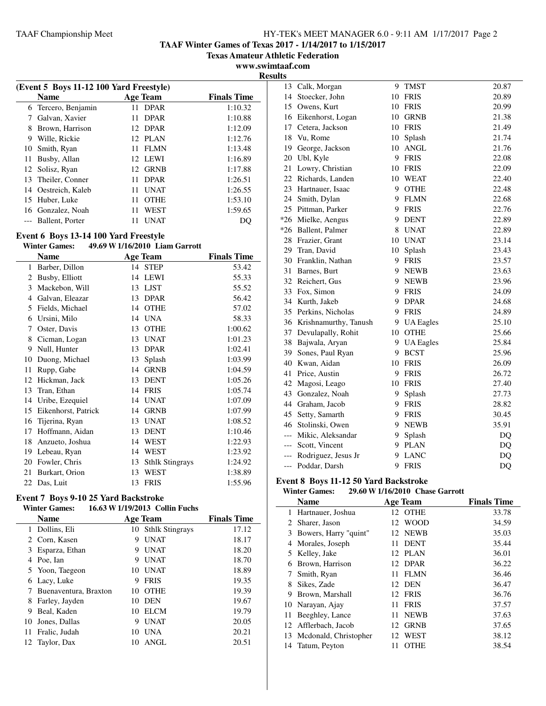**TAAF Winter Games of Texas 2017 - 1/14/2017 to 1/15/2017**

**Texas Amateur Athletic Federation**

**www.swimtaaf.com**

|    |                                         |                    |                    | <b>Results</b> |
|----|-----------------------------------------|--------------------|--------------------|----------------|
|    | (Event 5 Boys 11-12 100 Yard Freestyle) |                    |                    |                |
|    | <b>Name</b>                             | <b>Age Team</b>    | <b>Finals Time</b> |                |
|    | 6 Tercero, Benjamin                     | 11 DPAR            | 1:10.32            |                |
|    | Galvan, Xavier                          | <b>DPAR</b><br>11. | 1:10.88            |                |
| 8  | Brown, Harrison                         | 12 DPAR            | 1:12.09            |                |
| 9  | Wille, Rickie                           | 12 PLAN            | 1:12.76            |                |
|    | 10 Smith, Ryan                          | <b>FLMN</b><br>11. | 1:13.48            |                |
| 11 | Busby, Allan                            | 12 LEWI            | 1:16.89            | 2              |
|    | 12 Solisz, Ryan                         | GRNB<br>12         | 1:17.88            | 2              |
| 13 | Theiler, Conner                         | <b>DPAR</b><br>11  | 1:26.51            | $\overline{2}$ |
| 14 | Oestreich, Kaleb                        | <b>UNAT</b><br>11  | 1:26.55            | $\overline{2}$ |
| 15 | Huber, Luke                             | <b>OTHE</b><br>11  | 1:53.10            | 2              |
|    | 16 Gonzalez, Noah                       | WEST<br>11         | 1:59.65            | 2              |
|    | Ballent, Porter                         | UNAT               | DO                 | *2             |

# **Event 6 Boys 13-14 100 Yard Freestyle**

# **Winter Games: 49.69 W1/16/2010 Liam Garrott**

|    | Name                |    | <b>Age Team</b>        | <b>Finals Time</b> |
|----|---------------------|----|------------------------|--------------------|
| 1  | Barber, Dillon      | 14 | <b>STEP</b>            | 53.42              |
| 2  | Busby, Elliott      | 14 | <b>LEWI</b>            | 55.33              |
| 3  | Mackebon, Will      | 13 | <b>LJST</b>            | 55.52              |
| 4  | Galvan, Eleazar     | 13 | <b>DPAR</b>            | 56.42              |
| 5  | Fields, Michael     | 14 | <b>OTHE</b>            | 57.02              |
| 6  | Ursini, Milo        | 14 | <b>UNA</b>             | 58.33              |
| 7  | Oster, Davis        | 13 | <b>OTHE</b>            | 1:00.62            |
| 8  | Cicman, Logan       | 13 | <b>UNAT</b>            | 1:01.23            |
| 9  | Null, Hunter        | 13 | <b>DPAR</b>            | 1:02.41            |
| 10 | Duong, Michael      | 13 | Splash                 | 1:03.99            |
| 11 | Rupp, Gabe          | 14 | <b>GRNB</b>            | 1:04.59            |
| 12 | Hickman, Jack       | 13 | <b>DENT</b>            | 1:05.26            |
| 13 | Tran, Ethan         | 14 | <b>FRIS</b>            | 1:05.74            |
| 14 | Uribe, Ezequiel     | 14 | <b>UNAT</b>            | 1:07.09            |
| 15 | Eikenhorst, Patrick | 14 | <b>GRNB</b>            | 1:07.99            |
| 16 | Tijerina, Ryan      | 13 | <b>UNAT</b>            | 1:08.52            |
| 17 | Hoffmann, Aidan     | 13 | <b>DENT</b>            | 1:10.46            |
| 18 | Anzueto, Joshua     | 14 | WEST                   | 1:22.93            |
| 19 | Lebeau, Ryan        | 14 | <b>WEST</b>            | 1:23.92            |
| 20 | Fowler, Chris       | 13 | <b>Sthlk Stingrays</b> | 1:24.92            |
| 21 | Burkart, Orion      | 13 | WEST                   | 1:38.89            |
| 22 | Das, Luit           | 13 | <b>FRIS</b>            | 1:55.96            |

# **Event 7 Boys 9-10 25 Yard Backstroke**

# **Winter Games: 16.63 W1/19/2013 Collin Fuchs**

| <b>Name</b>           |                              |             | <b>Finals Time</b>                    |
|-----------------------|------------------------------|-------------|---------------------------------------|
| Dollins, Eli          |                              |             | 17.12                                 |
|                       | 9                            | <b>UNAT</b> | 18.17                                 |
| Esparza, Ethan        | 9                            | <b>UNAT</b> | 18.20                                 |
| Poe, Ian              | 9                            | <b>UNAT</b> | 18.70                                 |
|                       | 10                           | <b>UNAT</b> | 18.89                                 |
| Lacy, Luke            | 9                            | <b>FRIS</b> | 19.35                                 |
| Buenaventura, Braxton | 10                           | <b>OTHE</b> | 19.39                                 |
| Farley, Jayden        | 10                           | <b>DEN</b>  | 19.67                                 |
| Beal, Kaden           | 10                           | <b>ELCM</b> | 19.79                                 |
| Jones, Dallas         | 9                            | <b>UNAT</b> | 20.05                                 |
| Fralic, Judah         | 10                           | <b>UNA</b>  | 20.21                                 |
| Taylor, Dax           |                              | ANGL        | 20.51                                 |
|                       | Corn, Kasen<br>Yoon, Taegeon |             | <b>Age Team</b><br>10 Sthlk Stingrays |

| 13    | Calk, Morgan          | 9  | <b>TMST</b>      | 20.87 |
|-------|-----------------------|----|------------------|-------|
| 14    | Stoecker, John        | 10 | <b>FRIS</b>      | 20.89 |
| 15    | Owens, Kurt           | 10 | <b>FRIS</b>      | 20.99 |
| 16    | Eikenhorst, Logan     | 10 | <b>GRNB</b>      | 21.38 |
| 17    | Cetera, Jackson       | 10 | <b>FRIS</b>      | 21.49 |
| 18    | Vu, Rome              |    | 10 Splash        | 21.74 |
| 19    | George, Jackson       |    | 10 ANGL          | 21.76 |
| 20    | Ubl, Kyle             |    | 9 FRIS           | 22.08 |
| 21    | Lowry, Christian      | 10 | <b>FRIS</b>      | 22.09 |
| 22    | Richards, Landen      |    | 10 WEAT          | 22.40 |
| 23    | Hartnauer, Isaac      | 9  | <b>OTHE</b>      | 22.48 |
| 24    | Smith, Dylan          | 9  | <b>FLMN</b>      | 22.68 |
| 25    | Pittman, Parker       | 9  | <b>FRIS</b>      | 22.76 |
| $*26$ | Mielke, Aengus        | 9  | <b>DENT</b>      | 22.89 |
| $*26$ | Ballent, Palmer       | 8  | <b>UNAT</b>      | 22.89 |
| 28    | Frazier, Grant        | 10 | <b>UNAT</b>      | 23.14 |
| 29    | Tran, David           | 10 | Splash           | 23.43 |
| 30    | Franklin, Nathan      | 9  | <b>FRIS</b>      | 23.57 |
| 31    | Barnes, Burt          | 9  | <b>NEWB</b>      | 23.63 |
| 32    | Reichert, Gus         | 9  | <b>NEWB</b>      | 23.96 |
| 33    | Fox, Simon            | 9  | <b>FRIS</b>      | 24.09 |
| 34    | Kurth, Jakeb          | 9  | <b>DPAR</b>      | 24.68 |
| 35    | Perkins, Nicholas     |    | 9 FRIS           | 24.89 |
| 36    | Krishnamurthy, Tanush | 9. | <b>UA</b> Eagles | 25.10 |
| 37    | Devulapally, Rohit    | 10 | <b>OTHE</b>      | 25.66 |
| 38    | Bajwala, Aryan        |    | 9 UA Eagles      | 25.84 |
| 39    | Sones, Paul Ryan      | 9  | <b>BCST</b>      | 25.96 |
| 40    | Kwan, Aidan           | 10 | <b>FRIS</b>      | 26.09 |
| 41    | Price, Austin         | 9  | <b>FRIS</b>      | 26.72 |
| 42    | Magosi, Leago         | 10 | <b>FRIS</b>      | 27.40 |
| 43    | Gonzalez, Noah        | 9  | Splash           | 27.73 |
|       | 44 Graham, Jacob      | 9  | <b>FRIS</b>      | 28.82 |
| 45    | Setty, Samarth        | 9  | <b>FRIS</b>      | 30.45 |
|       | 46 Stolinski, Owen    | 9  | <b>NEWB</b>      | 35.91 |
| $---$ | Mikic, Aleksandar     | 9  | Splash           | DQ    |
| $---$ | Scott, Vincent        | 9  | <b>PLAN</b>      | DQ    |
| $---$ | Rodriguez, Jesus Jr   | 9  | <b>LANC</b>      | DQ    |
| $---$ | Poddar, Darsh         | 9  | <b>FRIS</b>      | DQ    |

# **Event 8 Boys 11-12 50 Yard Backstroke**<br>Winter Games: 29.60 W 1/16/2010 Chas

j.

# **Winter Games: 29.60 W1/16/2010 Chase Garrott**

|                            | <b>Name</b>           | <b>Age Team</b>        | <b>Finals Time</b> |
|----------------------------|-----------------------|------------------------|--------------------|
|                            | Hartnauer, Joshua     | <b>OTHE</b><br>$12-12$ | 33.78              |
| $\mathbf{2}^{\mathbf{-1}}$ | Sharer, Jason         | <b>WOOD</b><br>12      | 34.59              |
| 3                          | Bowers, Harry "quint" | 12 NEWB                | 35.03              |
| 4                          | Morales, Joseph       | <b>DENT</b><br>11      | 35.44              |
| 5                          | Kelley, Jake          | 12 PLAN                | 36.01              |
| 6                          | Brown, Harrison       | 12 DPAR                | 36.22              |
| 7                          | Smith, Ryan           | <b>FLMN</b><br>11      | 36.46              |
| 8                          | Sikes, Zade           | DEN<br>12.             | 36.47              |
| 9                          | Brown, Marshall       | 12 FRIS                | 36.76              |
| 10                         | Narayan, Ajay         | <b>FRIS</b><br>11      | 37.57              |
| 11                         | Beeghley, Lance       | <b>NEWB</b><br>11      | 37.63              |
| 12                         | Afflerbach, Jacob     | <b>GRNB</b><br>12      | 37.65              |
| 13                         | Mcdonald, Christopher | WEST<br>12             | 38.12              |
| 14                         | Tatum, Peyton         | <b>OTHE</b><br>11      | 38.54              |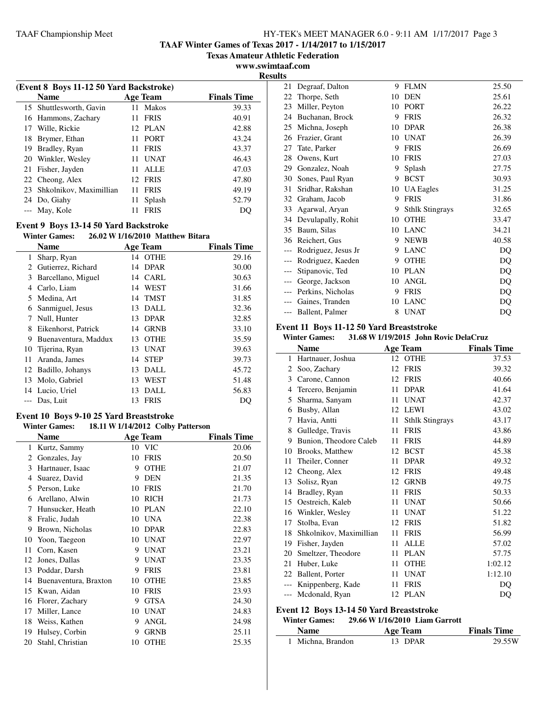**TAAF Winter Games of Texas 2017 - 1/14/2017 to 1/15/2017**

**Texas Amateur Athletic Federation**

**www.swimtaaf.com Results**

|    | (Event 8 Boys 11-12 50 Yard Backstroke) |     |                 |                    |  |  |  |
|----|-----------------------------------------|-----|-----------------|--------------------|--|--|--|
|    | <b>Name</b>                             |     | <b>Age Team</b> | <b>Finals Time</b> |  |  |  |
|    | 15 Shuttlesworth, Gavin                 | 11  | Makos           | 39.33              |  |  |  |
|    | 16 Hammons, Zachary                     | 11. | <b>FRIS</b>     | 40.91              |  |  |  |
| 17 | Wille, Rickie                           | 12. | <b>PLAN</b>     | 42.88              |  |  |  |
| 18 | Brymer, Ethan                           | 11. | <b>PORT</b>     | 43.24              |  |  |  |
| 19 | Bradley, Ryan                           | 11  | <b>FRIS</b>     | 43.37              |  |  |  |
| 20 | Winkler, Wesley                         | 11  | <b>UNAT</b>     | 46.43              |  |  |  |
| 21 | Fisher, Jayden                          | 11  | ALLE            | 47.03              |  |  |  |
|    | 22 Cheong, Alex                         | 12. | <b>FRIS</b>     | 47.80              |  |  |  |
|    | 23 Shkolnikov, Maximillian              | 11  | <b>FRIS</b>     | 49.19              |  |  |  |
|    | 24 Do, Giahy                            | 11  | Splash          | 52.79              |  |  |  |
|    | May, Kole                               |     | <b>FRIS</b>     | DO                 |  |  |  |
|    |                                         |     |                 |                    |  |  |  |

### **Event 9 Boys 13-14 50 Yard Backstroke**

### **Winter Games: 26.02 W1/16/2010 Matthew Bitara**

|     | <b>Name</b>          | Age Team          | <b>Finals Time</b> |
|-----|----------------------|-------------------|--------------------|
| 1   | Sharp, Ryan          | 14 OTHE           | 29.16              |
| 2   | Gutierrez, Richard   | 14 DPAR           | 30.00              |
| 3   | Barcellano, Miguel   | 14 CARL           | 30.63              |
| 4   | Carlo, Liam          | 14 WEST           | 31.66              |
| 5   | Medina, Art          | TMST<br>14        | 31.85              |
| 6   | Sanmiguel, Jesus     | 13 DALL           | 32.36              |
| 7   | Null, Hunter         | 13 DPAR           | 32.85              |
| 8   | Eikenhorst, Patrick  | 14 GRNB           | 33.10              |
| 9   | Buenaventura, Maddux | <b>OTHE</b><br>13 | 35.59              |
| 10- | Tijerina, Ryan       | 13 UNAT           | 39.63              |
| 11  | Aranda, James        | <b>STEP</b><br>14 | 39.73              |
| 12  | Badillo, Johanys     | <b>DALL</b><br>13 | 45.72              |
| 13  | Molo, Gabriel        | WEST<br>13        | 51.48              |
|     | 14 Lucio, Uriel      | DALL<br>13        | 56.83              |
|     | Das, Luit            | <b>FRIS</b><br>13 | DQ                 |
|     |                      |                   |                    |

#### **Event 10 Boys 9-10 25 Yard Breaststroke**<br>Winter Cames: 18.11 W 1/14/2012, Colby **Winter Games: 18.11 W1/14/2012 Colby Patterson**

| Winter Games:         |    |             |                                                      |
|-----------------------|----|-------------|------------------------------------------------------|
| <b>Name</b>           |    |             | <b>Finals Time</b>                                   |
| Kurtz, Sammy          | 10 | <b>VIC</b>  | 20.06                                                |
| Gonzales, Jay         | 10 | <b>FRIS</b> | 20.50                                                |
| Hartnauer, Isaac      | 9  | <b>OTHE</b> | 21.07                                                |
| Suarez, David         | 9  | <b>DEN</b>  | 21.35                                                |
| Person, Luke          | 10 | <b>FRIS</b> | 21.70                                                |
| Arellano, Alwin       | 10 | <b>RICH</b> | 21.73                                                |
| Hunsucker, Heath      | 10 | <b>PLAN</b> | 22.10                                                |
| Fralic, Judah         | 10 | <b>UNA</b>  | 22.38                                                |
| Brown, Nicholas       | 10 | <b>DPAR</b> | 22.83                                                |
| Yoon, Taegeon         | 10 | <b>UNAT</b> | 22.97                                                |
| Corn, Kasen           | 9  | <b>UNAT</b> | 23.21                                                |
| Jones, Dallas         | 9  | <b>UNAT</b> | 23.35                                                |
| Poddar, Darsh         | 9  | <b>FRIS</b> | 23.81                                                |
| Buenaventura, Braxton | 10 | <b>OTHE</b> | 23.85                                                |
| Kwan, Aidan           | 10 | <b>FRIS</b> | 23.93                                                |
| Florer, Zachary       | 9  | <b>GTSA</b> | 24.30                                                |
| Miller, Lance         | 10 | <b>UNAT</b> | 24.83                                                |
| Weiss, Kathen         | 9  | ANGL        | 24.98                                                |
| Hulsey, Corbin        | 9  | <b>GRNB</b> | 25.11                                                |
| Stahl, Christian      | 10 | <b>OTHE</b> | 25.35                                                |
|                       |    |             | 18.11 W 1/14/2012 Colby Patterson<br><b>Age Team</b> |

| 21    | Degraaf, Dalton       | 9  | <b>FLMN</b>            | 25.50 |
|-------|-----------------------|----|------------------------|-------|
| 22    | Thorpe, Seth          | 10 | <b>DEN</b>             | 25.61 |
| 23    | Miller, Peyton        | 10 | <b>PORT</b>            | 26.22 |
| 24    | Buchanan, Brock       | 9  | <b>FRIS</b>            | 26.32 |
| 25    | Michna, Joseph        | 10 | <b>DPAR</b>            | 26.38 |
| 26    | Frazier, Grant        | 10 | <b>UNAT</b>            | 26.39 |
| 27    | Tate, Parker          | 9  | <b>FRIS</b>            | 26.69 |
| 28    | Owens, Kurt           | 10 | <b>FRIS</b>            | 27.03 |
| 29    | Gonzalez, Noah        | 9  | Splash                 | 27.75 |
| 30    | Sones, Paul Ryan      | 9  | <b>BCST</b>            | 30.93 |
| 31    | Sridhar, Rakshan      | 10 | <b>UA Eagles</b>       | 31.25 |
| 32    | Graham, Jacob         | 9  | <b>FRIS</b>            | 31.86 |
| 33    | Agarwal, Aryan        | 9  | <b>Sthlk Stingrays</b> | 32.65 |
| 34    | Devulapally, Rohit    | 10 | <b>OTHE</b>            | 33.47 |
| 35    | Baum, Silas           | 10 | <b>LANC</b>            | 34.21 |
| 36    | Reichert, Gus         | 9  | <b>NEWB</b>            | 40.58 |
|       | Rodriguez, Jesus Jr   | 9  | <b>LANC</b>            | DQ    |
| $---$ | Rodriguez, Kaeden     | 9  | <b>OTHE</b>            | DQ    |
| $---$ | Stipanovic, Ted       | 10 | <b>PLAN</b>            | DQ    |
| $---$ | George, Jackson       | 10 | ANGL                   | DQ    |
|       | --- Perkins, Nicholas | 9  | <b>FRIS</b>            | DQ    |
|       | Gaines, Tranden       | 10 | <b>LANC</b>            | DQ    |
| ---   | Ballent, Palmer       | 8  | <b>UNAT</b>            | DQ    |

### **Event 11 Boys 11-12 50 Yard Breaststroke**

|       | <b>Winter Games:</b>                     |    | 31.68 W 1/19/2015 John Rovic DelaCruz |                    |
|-------|------------------------------------------|----|---------------------------------------|--------------------|
|       | <b>Name</b>                              |    | <b>Age Team</b>                       | <b>Finals Time</b> |
| 1     | Hartnauer, Joshua                        | 12 | <b>OTHE</b>                           | 37.53              |
| 2     | Soo, Zachary                             | 12 | <b>FRIS</b>                           | 39.32              |
| 3     | Carone, Cannon                           | 12 | <b>FRIS</b>                           | 40.66              |
|       | 4 Tercero, Benjamin                      | 11 | <b>DPAR</b>                           | 41.64              |
| 5     | Sharma, Sanyam                           | 11 | <b>UNAT</b>                           | 42.37              |
| 6     | Busby, Allan                             |    | 12 LEWI                               | 43.02              |
| 7     | Havia, Antti                             | 11 | <b>Sthlk Stingrays</b>                | 43.17              |
| 8     | Gulledge, Travis                         | 11 | <b>FRIS</b>                           | 43.86              |
| 9     | Bunion, Theodore Caleb                   | 11 | <b>FRIS</b>                           | 44.89              |
| 10    | Brooks, Matthew                          | 12 | <b>BCST</b>                           | 45.38              |
| 11    | Theiler, Conner                          | 11 | <b>DPAR</b>                           | 49.32              |
| 12    | Cheong, Alex                             | 12 | <b>FRIS</b>                           | 49.48              |
|       | 13 Solisz, Ryan                          | 12 | <b>GRNB</b>                           | 49.75              |
| 14    | Bradley, Ryan                            | 11 | <b>FRIS</b>                           | 50.33              |
|       | 15 Oestreich, Kaleb                      | 11 | <b>UNAT</b>                           | 50.66              |
|       | 16 Winkler, Wesley                       | 11 | <b>UNAT</b>                           | 51.22              |
| 17    | Stolba, Evan                             | 12 | <b>FRIS</b>                           | 51.82              |
|       | 18 Shkolnikov, Maximillian               | 11 | <b>FRIS</b>                           | 56.99              |
| 19    | Fisher, Jayden                           | 11 | <b>ALLE</b>                           | 57.02              |
|       | 20 Smeltzer, Theodore                    | 11 | <b>PLAN</b>                           | 57.75              |
| 21    | Huber, Luke                              | 11 | <b>OTHE</b>                           | 1:02.12            |
|       | 22 Ballent, Porter                       | 11 | <b>UNAT</b>                           | 1:12.10            |
|       | Knippenberg, Kade                        | 11 | <b>FRIS</b>                           | DQ                 |
| $---$ | Mcdonald, Ryan                           |    | 12 PLAN                               | DQ                 |
|       | Event 12 Boys 13-14 50 Yard Breaststroke |    |                                       |                    |
|       | <b>Winter Games:</b>                     |    | 29.66 W 1/16/2010 Liam Garrott        |                    |
|       | <b>Name</b>                              |    | <b>Age Team</b>                       | <b>Finals Time</b> |
| 1     | Michna, Brandon                          | 13 | <b>DPAR</b>                           | 29.55W             |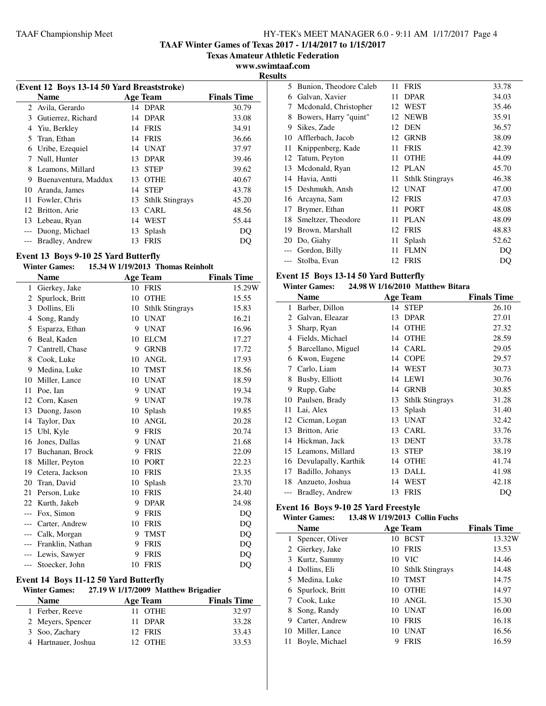**TAAF Winter Games of Texas 2017 - 1/14/2017 to 1/15/2017**

**Texas Amateur Athletic Federation**

**www.swimtaaf.com**

| п<br>Π<br>ı<br>sı |
|-------------------|
|-------------------|

| (Event 12 Boys 13-14 50 Yard Breaststroke) |                      |    |                        |                    |  |
|--------------------------------------------|----------------------|----|------------------------|--------------------|--|
|                                            | <b>Name</b>          |    | Age Team               | <b>Finals Time</b> |  |
|                                            | 2 Avila, Gerardo     |    | 14 DPAR                | 30.79              |  |
| 3                                          | Gutierrez, Richard   |    | 14 DPAR                | 33.08              |  |
| 4                                          | Yiu, Berkley         |    | 14 FRIS                | 34.91              |  |
| 5.                                         | Tran, Ethan          |    | 14 FRIS                | 36.66              |  |
| 6                                          | Uribe, Ezequiel      |    | 14 UNAT                | 37.97              |  |
| 7                                          | Null, Hunter         |    | 13 DPAR                | 39.46              |  |
| 8                                          | Leamons, Millard     | 13 | <b>STEP</b>            | 39.62              |  |
| 9                                          | Buenaventura, Maddux | 13 | <b>OTHE</b>            | 40.67              |  |
| 10                                         | Aranda, James        |    | 14 STEP                | 43.78              |  |
| 11                                         | Fowler, Chris        | 13 | <b>Sthlk Stingrays</b> | 45.20              |  |
|                                            | 12 Britton, Arie     | 13 | <b>CARL</b>            | 48.56              |  |
| 13                                         | Lebeau, Ryan         | 14 | WEST                   | 55.44              |  |
|                                            | Duong, Michael       | 13 | Splash                 | DO                 |  |
|                                            | Bradley, Andrew      | 13 | <b>FRIS</b>            | DQ                 |  |

### **Event 13 Boys 9-10 25 Yard Butterfly**

| <b>Winter Games:</b> | 15.34 W 1/19/2013 Thomas Reinholt |  |
|----------------------|-----------------------------------|--|
|                      |                                   |  |

|       | <b>Name</b>      |    | <b>Age Team</b>        | <b>Finals Time</b> |
|-------|------------------|----|------------------------|--------------------|
| 1     | Gierkey, Jake    |    | 10 FRIS                | 15.29W             |
| 2     | Spurlock, Britt  | 10 | <b>OTHE</b>            | 15.55              |
| 3     | Dollins, Eli     | 10 | <b>Sthlk Stingrays</b> | 15.83              |
| 4     | Song, Randy      | 10 | <b>UNAT</b>            | 16.21              |
| 5     | Esparza, Ethan   | 9  | <b>UNAT</b>            | 16.96              |
| 6     | Beal, Kaden      | 10 | <b>ELCM</b>            | 17.27              |
| 7     | Cantrell, Chase  | 9  | <b>GRNB</b>            | 17.72              |
| 8     | Cook, Luke       | 10 | <b>ANGL</b>            | 17.93              |
| 9     | Medina, Luke     | 10 | <b>TMST</b>            | 18.56              |
| 10    | Miller, Lance    | 10 | <b>UNAT</b>            | 18.59              |
| 11    | Poe, Ian         | 9  | <b>UNAT</b>            | 19.34              |
| 12    | Corn, Kasen      | 9  | <b>UNAT</b>            | 19.78              |
| 13    | Duong, Jason     | 10 | Splash                 | 19.85              |
| 14    | Taylor, Dax      | 10 | <b>ANGL</b>            | 20.28              |
| 15    | Ubl, Kyle        | 9  | <b>FRIS</b>            | 20.74              |
| 16    | Jones, Dallas    | 9  | <b>UNAT</b>            | 21.68              |
| 17    | Buchanan, Brock  | 9  | <b>FRIS</b>            | 22.09              |
| 18    | Miller, Peyton   | 10 | <b>PORT</b>            | 22.23              |
| 19    | Cetera, Jackson  | 10 | <b>FRIS</b>            | 23.35              |
| 20    | Tran, David      | 10 | Splash                 | 23.70              |
| 21    | Person, Luke     | 10 | <b>FRIS</b>            | 24.40              |
| 22    | Kurth, Jakeb     | 9  | <b>DPAR</b>            | 24.98              |
| ---   | Fox, Simon       | 9  | <b>FRIS</b>            | DQ                 |
| $---$ | Carter, Andrew   | 10 | <b>FRIS</b>            | DQ                 |
|       | --- Calk, Morgan | 9  | <b>TMST</b>            | DQ                 |
| ---   | Franklin, Nathan | 9  | <b>FRIS</b>            | DQ                 |
| ---   | Lewis, Sawyer    | 9  | <b>FRIS</b>            | DO                 |
| ---   | Stoecker, John   | 10 | <b>FRIS</b>            | DQ                 |

### **Event 14 Boys 11-12 50 Yard Butterfly**

| <b>Winter Games:</b> | $27.19$ W $1/17/2009$ Matthew Brigadier |  |
|----------------------|-----------------------------------------|--|
|                      |                                         |  |

| <b>Name</b>         | <b>Age Team</b> | <b>Finals Time</b> |
|---------------------|-----------------|--------------------|
| 1 Ferber, Reeve     | 11 OTHE         | 32.97              |
| 2 Meyers, Spencer   | 11 DPAR         | 33.28              |
| 3 Soo, Zachary      | 12 FRIS         | 33.43              |
| 4 Hartnauer, Joshua | 12 OTHE         | 33.53              |
|                     |                 |                    |

|    | 5 Bunion, Theodore Caleb | 11 | <b>FRIS</b>            | 33.78 |
|----|--------------------------|----|------------------------|-------|
| 6  | Galvan, Xavier           | 11 | <b>DPAR</b>            | 34.03 |
| 7  | Mcdonald, Christopher    | 12 | WEST                   | 35.46 |
| 8  | Bowers, Harry "quint"    | 12 | <b>NEWB</b>            | 35.91 |
| 9  | Sikes, Zade              | 12 | <b>DEN</b>             | 36.57 |
| 10 | Afflerbach, Jacob        | 12 | <b>GRNB</b>            | 38.09 |
| 11 | Knippenberg, Kade        | 11 | <b>FRIS</b>            | 42.39 |
| 12 | Tatum, Peyton            | 11 | <b>OTHE</b>            | 44.09 |
| 13 | Mcdonald, Ryan           | 12 | <b>PLAN</b>            | 45.70 |
| 14 | Havia, Antti             | 11 | <b>Sthlk Stingrays</b> | 46.38 |
|    | 15 Deshmukh, Ansh        | 12 | <b>UNAT</b>            | 47.00 |
| 16 | Arcayna, Sam             | 12 | <b>FRIS</b>            | 47.03 |
| 17 | Brymer, Ethan            | 11 | <b>PORT</b>            | 48.08 |
| 18 | Smeltzer, Theodore       | 11 | <b>PLAN</b>            | 48.09 |
| 19 | Brown, Marshall          | 12 | <b>FRIS</b>            | 48.83 |
| 20 | Do, Giahy                | 11 | Splash                 | 52.62 |
|    | Gordon, Billy            | 11 | FLMN                   | DO    |
|    | Stolba, Evan             | 12 | <b>FRIS</b>            | DQ    |

### **Event 15 Boys 13-14 50 Yard Butterfly**

# **Winter Games: 24.98 W1/16/2010 Matthew Bitara**

|    | Name                 |    | <b>Age Team</b>        | <b>Finals Time</b> |
|----|----------------------|----|------------------------|--------------------|
| 1  | Barber, Dillon       |    | 14 STEP                | 26.10              |
| 2  | Galvan, Eleazar      | 13 | <b>DPAR</b>            | 27.01              |
| 3  | Sharp, Ryan          | 14 | <b>OTHE</b>            | 27.32              |
| 4  | Fields, Michael      | 14 | <b>OTHE</b>            | 28.59              |
| 5  | Barcellano, Miguel   | 14 | <b>CARL</b>            | 29.05              |
| 6  | Kwon, Eugene         | 14 | <b>COPE</b>            | 29.57              |
| 7  | Carlo, Liam          | 14 | <b>WEST</b>            | 30.73              |
| 8  | Busby, Elliott       | 14 | <b>LEWI</b>            | 30.76              |
| 9  | Rupp, Gabe           | 14 | <b>GRNB</b>            | 30.85              |
| 10 | Paulsen, Brady       | 13 | <b>Sthlk Stingrays</b> | 31.28              |
| 11 | Lai, Alex            | 13 | Splash                 | 31.40              |
|    | 12 Cicman, Logan     | 13 | <b>UNAT</b>            | 32.42              |
| 13 | Britton, Arie        | 13 | <b>CARL</b>            | 33.76              |
| 14 | Hickman, Jack        | 13 | <b>DENT</b>            | 33.78              |
| 15 | Leamons, Millard     | 13 | <b>STEP</b>            | 38.19              |
| 16 | Devulapally, Karthik | 14 | <b>OTHE</b>            | 41.74              |
| 17 | Badillo, Johanys     | 13 | <b>DALL</b>            | 41.98              |
| 18 | Anzueto, Joshua      | 14 | WEST                   | 42.18              |
|    | Bradley, Andrew      | 13 | <b>FRIS</b>            | DO                 |

### **Event 16 Boys 9-10 25 Yard Freestyle**

# **Winter Games: 13.48 W1/19/2013 Collin Fuchs**

|    | <b>Name</b>       |    | <b>Age Team</b>    | <b>Finals Time</b> |
|----|-------------------|----|--------------------|--------------------|
| 1. | Spencer, Oliver   |    | 10 BCST            | 13.32W             |
|    | 2 Gierkey, Jake   | 10 | <b>FRIS</b>        | 13.53              |
|    | 3 Kurtz, Sammy    |    | 10 VIC             | 14.46              |
| 4  | Dollins, Eli      |    | 10 Sthlk Stingrays | 14.48              |
|    | 5 Medina, Luke    | 10 | <b>TMST</b>        | 14.75              |
|    | 6 Spurlock, Britt | 10 | <b>OTHE</b>        | 14.97              |
|    | 7 Cook, Luke      |    | 10 ANGL            | 15.30              |
| 8  | Song, Randy       | 10 | <b>UNAT</b>        | 16.00              |
| 9  | Carter, Andrew    | 10 | <b>FRIS</b>        | 16.18              |
|    | 10 Miller, Lance  | 10 | <b>UNAT</b>        | 16.56              |
|    | Boyle, Michael    |    | <b>FRIS</b>        | 16.59              |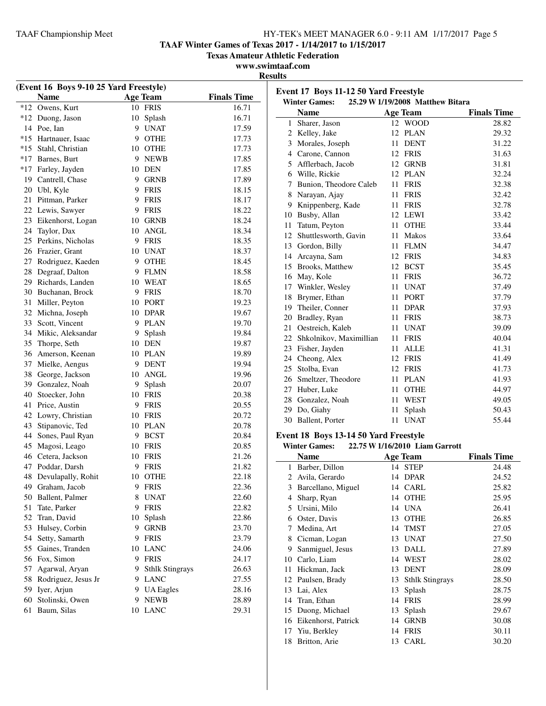Britton, Arie 13 CARL 30.20

**TAAF Winter Games of Texas 2017 - 1/14/2017 to 1/15/2017**

**Texas Amateur Athletic Federation**

### **www.swimtaaf.com**

**Results**

|       | (Event 16 Boys 9-10 25 Yard Freestyle) |                             |                    |                                       |                                  |                    |
|-------|----------------------------------------|-----------------------------|--------------------|---------------------------------------|----------------------------------|--------------------|
|       | <b>Name</b>                            | <b>Age Team</b>             | <b>Finals Time</b> | Event 17 Boys 11-12 50 Yard Freestyle |                                  |                    |
|       | *12 Owens, Kurt                        | 10 FRIS                     | 16.71              | <b>Winter Games:</b><br><b>Name</b>   | 25.29 W 1/19/2008 Matthew Bitara | <b>Finals Time</b> |
|       | *12 Duong, Jason                       | 10 Splash                   | 16.71              |                                       | <b>Age Team</b>                  |                    |
|       | 14 Poe, Ian                            | <b>UNAT</b><br>9            | 17.59              | 1 Sharer, Jason                       | 12 WOOD                          | 28.82              |
|       | *15 Hartnauer, Isaac                   | <b>OTHE</b><br>9            | 17.73              | 2 Kelley, Jake                        | 12 PLAN                          | 29.32              |
| $*15$ | Stahl, Christian                       | 10 OTHE                     | 17.73              | 3 Morales, Joseph                     | 11 DENT                          | 31.22              |
| $*17$ | Barnes, Burt                           | <b>NEWB</b><br>9            | 17.85              | 4 Carone, Cannon                      | 12 FRIS                          | 31.63              |
| $*17$ | Farley, Jayden                         | DEN<br>10                   | 17.85              | 5 Afflerbach, Jacob                   | 12 GRNB                          | 31.81              |
| 19    | Cantrell, Chase                        | <b>GRNB</b><br>9            | 17.89              | Wille, Rickie<br>6                    | 12 PLAN                          | 32.24              |
| 20    | Ubl, Kyle                              | <b>FRIS</b><br>9            | 18.15              | Bunion, Theodore Caleb<br>7           | 11 FRIS                          | 32.38              |
|       | 21 Pittman, Parker                     | FRIS<br>9                   | 18.17              | Narayan, Ajay<br>8                    | 11 FRIS                          | 32.42              |
|       | 22 Lewis, Sawyer                       | <b>FRIS</b><br>9            | 18.22              | Knippenberg, Kade<br>9                | 11 FRIS                          | 32.78              |
|       | 23 Eikenhorst, Logan                   | 10 GRNB                     | 18.24              | 10 Busby, Allan                       | 12 LEWI                          | 33.42              |
| 24    | Taylor, Dax                            | 10 ANGL                     | 18.34              | Tatum, Peyton<br>11                   | 11 OTHE                          | 33.44              |
|       | 25 Perkins, Nicholas                   | <b>FRIS</b><br>9            | 18.35              | Shuttlesworth, Gavin<br>12            | 11 Makos                         | 33.64              |
|       | 26 Frazier, Grant                      | 10 UNAT                     | 18.37              | Gordon, Billy<br>13                   | 11 FLMN                          | 34.47              |
|       | 27 Rodriguez, Kaeden                   | <b>OTHE</b><br>9            | 18.45              | 14 Arcayna, Sam                       | 12 FRIS                          | 34.83              |
| 28    | Degraaf, Dalton                        | 9 FLMN                      | 18.58              | 15 Brooks, Matthew                    | 12 BCST                          | 35.45              |
| 29    | Richards, Landen                       | 10 WEAT                     | 18.65              | 16 May, Kole                          | 11 FRIS                          | 36.72              |
|       | 30 Buchanan, Brock                     | 9 FRIS                      | 18.70              | 17 Winkler, Wesley                    | 11 UNAT                          | 37.49              |
|       | 31 Miller, Peyton                      | 10 PORT                     | 19.23              | 18<br>Brymer, Ethan                   | 11 PORT                          | 37.79              |
|       | 32 Michna, Joseph                      | 10 DPAR                     | 19.67              | 19<br>Theiler, Conner                 | 11 DPAR                          | 37.93              |
| 33    | Scott, Vincent                         | 9 PLAN                      | 19.70              | Bradley, Ryan<br>20                   | 11 FRIS                          | 38.73              |
| 34    | Mikic, Aleksandar                      | Splash<br>9                 | 19.84              | Oestreich, Kaleb<br>21                | 11 UNAT                          | 39.09              |
| 35    | Thorpe, Seth                           | 10 DEN                      | 19.87              | 22 Shkolnikov, Maximillian            | 11 FRIS                          | 40.04              |
|       | 36 Amerson, Keenan                     | 10 PLAN                     | 19.89              | 23 Fisher, Jayden                     | 11 ALLE                          | 41.31              |
|       |                                        | <b>DENT</b><br>9            | 19.94              | 24 Cheong, Alex                       | 12 FRIS                          | 41.49              |
| 38    | 37 Mielke, Aengus<br>George, Jackson   | 10 ANGL                     | 19.96              | 25 Stolba, Evan                       | 12 FRIS                          | 41.73              |
| 39    | Gonzalez, Noah                         |                             | 20.07              | 26 Smeltzer, Theodore                 | 11 PLAN                          | 41.93              |
|       |                                        | Splash<br>9                 |                    | 27 Huber, Luke                        | 11 OTHE                          | 44.97              |
| 40    | Stoecker, John                         | 10 FRIS                     | 20.38              | 28 Gonzalez, Noah                     | 11 WEST                          | 49.05              |
| 41    | Price, Austin                          | 9 FRIS                      | 20.55              | 29 Do, Giahy                          | 11 Splash                        | 50.43              |
| 42    | Lowry, Christian                       | 10 FRIS                     | 20.72              | 30 Ballent, Porter                    | 11 UNAT                          | 55.44              |
| 43    | Stipanovic, Ted                        | 10 PLAN                     | 20.78              |                                       |                                  |                    |
| 44    | Sones, Paul Ryan                       | <b>BCST</b><br>9            | 20.84              | Event 18 Boys 13-14 50 Yard Freestyle |                                  |                    |
| 45    | Magosi, Leago                          | 10 FRIS                     | 20.85              | <b>Winter Games:</b>                  | 22.75 W 1/16/2010 Liam Garrott   |                    |
| 46    | Cetera, Jackson                        | 10 FRIS                     | 21.26              | <b>Name</b>                           | <b>Age Team</b>                  | <b>Finals Time</b> |
|       | 47 Poddar, Darsh                       | 9 FRIS                      | 21.82              | 1 Barber, Dillon                      | 14 STEP                          | 24.48              |
|       | 48 Devulapally, Rohit                  | 10 OTHE                     | 22.18              | 2 Avila, Gerardo                      | 14 DPAR                          | 24.52              |
| 49    | Graham, Jacob                          | 9 FRIS                      | 22.36              | 3 Barcellano, Miguel                  | 14 CARL                          | 25.82              |
|       | 50 Ballent, Palmer                     | UNAT<br>8                   | 22.60              | 4 Sharp, Ryan                         | 14 OTHE                          | 25.95              |
| 51    | Tate, Parker                           | <b>FRIS</b><br>9            | 22.82              | 5 Ursini, Milo                        | 14 UNA                           | 26.41              |
| 52    | Tran, David                            | 10 Splash                   | 22.86              | Oster, Davis<br>6                     | 13 OTHE                          | 26.85              |
| 53    | Hulsey, Corbin                         | <b>GRNB</b><br>9.           | 23.70              | 7 Medina, Art                         | 14 TMST                          | 27.05              |
| 54    | Setty, Samarth                         | FRIS<br>9                   | 23.79              | 8 Cicman, Logan                       | 13 UNAT                          | 27.50              |
| 55    | Gaines, Tranden                        | 10 LANC                     | 24.06              | Sanmiguel, Jesus<br>9                 | 13 DALL                          | 27.89              |
| 56    | Fox, Simon                             | 9 FRIS                      | 24.17              | 10 Carlo, Liam                        | 14 WEST                          | 28.02              |
|       | 57 Agarwal, Aryan                      | 9<br><b>Sthlk Stingrays</b> | 26.63              | 11 Hickman, Jack                      | 13 DENT                          | 28.09              |
| 58    | Rodriguez, Jesus Jr                    | 9 LANC                      | 27.55              | 12 Paulsen, Brady                     | 13 Sthlk Stingrays               | 28.50              |
|       | 59 Iyer, Arjun                         | 9 UA Eagles                 | 28.16              | 13 Lai, Alex                          | 13 Splash                        | 28.75              |
|       | 60 Stolinski, Owen                     | 9 NEWB                      | 28.89              | 14 Tran, Ethan                        | 14 FRIS                          | 28.99              |
|       | 61 Baum, Silas                         | 10 LANC                     | 29.31              | 15 Duong, Michael                     | 13 Splash                        | 29.67              |
|       |                                        |                             |                    | 16 Eikenhorst, Patrick                | 14 GRNB                          | 30.08              |
|       |                                        |                             |                    | 17 Yiu, Berkley                       | 14 FRIS                          | 30.11              |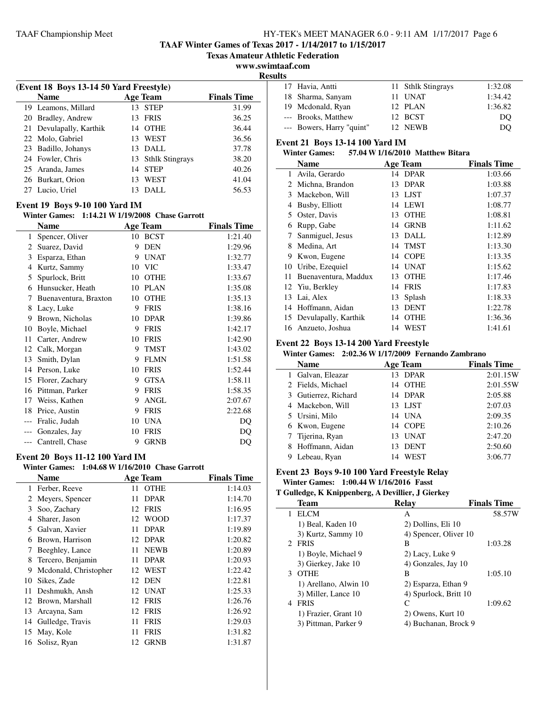**TAAF Winter Games of Texas 2017 - 1/14/2017 to 1/15/2017**

**Texas Amateur Athletic Federation**

### **www.swimtaaf.com**

j.

**Results**

| (Event 18 Boys 13-14 50 Yard Freestyle) |    |                    |                    |
|-----------------------------------------|----|--------------------|--------------------|
| <b>Name</b>                             |    | <b>Age Team</b>    | <b>Finals Time</b> |
| 19 Leamons, Millard                     |    | 13 STEP            | 31.99              |
| 20 Bradley, Andrew                      |    | 13 FRIS            | 36.25              |
| 21 Devulapally, Karthik                 | 14 | OTHE               | 36.44              |
| 22 Molo, Gabriel                        | 13 | WEST               | 36.56              |
| 23 Badillo, Johanys                     |    | $13$ DALL          | 37.78              |
| 24 Fowler, Chris                        |    | 13 Sthlk Stingrays | 38.20              |
| 25 Aranda, James                        | 14 | <b>STEP</b>        | 40.26              |
| 26 Burkart, Orion                       |    | WEST               | 41.04              |
| 27 Lucio, Uriel                         | 13 | DALL               | 56.53              |

### **Event 19 Boys 9-10 100 Yard IM**

**Winter Games: 1:14.21 W1/19/2008 Chase Garrott**

|       | Name                  |    | <b>Age Team</b> | <b>Finals Time</b> |
|-------|-----------------------|----|-----------------|--------------------|
| 1     | Spencer, Oliver       | 10 | <b>BCST</b>     | 1:21.40            |
| 2     | Suarez, David         | 9  | <b>DEN</b>      | 1:29.96            |
| 3     | Esparza, Ethan        | 9  | <b>UNAT</b>     | 1:32.77            |
| 4     | Kurtz, Sammy          | 10 | <b>VIC</b>      | 1:33.47            |
| 5     | Spurlock, Britt       | 10 | <b>OTHE</b>     | 1:33.67            |
| 6     | Hunsucker, Heath      | 10 | <b>PLAN</b>     | 1:35.08            |
| 7     | Buenaventura, Braxton | 10 | <b>OTHE</b>     | 1:35.13            |
| 8     | Lacy, Luke            | 9  | <b>FRIS</b>     | 1:38.16            |
| 9     | Brown, Nicholas       | 10 | <b>DPAR</b>     | 1:39.86            |
| 10    | Boyle, Michael        | 9  | <b>FRIS</b>     | 1:42.17            |
| 11    | Carter, Andrew        | 10 | <b>FRIS</b>     | 1:42.90            |
| 12    | Calk, Morgan          | 9  | TMST            | 1:43.02            |
| 13    | Smith, Dylan          | 9  | <b>FLMN</b>     | 1:51.58            |
| 14    | Person, Luke          | 10 | <b>FRIS</b>     | 1:52.44            |
| 15    | Florer, Zachary       | 9  | <b>GTSA</b>     | 1:58.11            |
| 16    | Pittman, Parker       | 9  | <b>FRIS</b>     | 1:58.35            |
| 17    | Weiss, Kathen         | 9  | <b>ANGL</b>     | 2:07.67            |
| 18    | Price, Austin         | 9  | <b>FRIS</b>     | 2:22.68            |
|       | Fralic, Judah         | 10 | <b>UNA</b>      | DQ                 |
|       | Gonzales, Jay         | 10 | <b>FRIS</b>     | DQ                 |
| $---$ | Cantrell, Chase       | 9  | <b>GRNB</b>     | DQ                 |

### **Event 20 Boys 11-12 100 Yard IM**

### **Winter Games: 1:04.68 W1/16/2010 Chase Garrott**

|    | <b>Name</b>           |     | <b>Age Team</b> | <b>Finals Time</b> |
|----|-----------------------|-----|-----------------|--------------------|
| 1  | Ferber, Reeve         | 11  | <b>OTHE</b>     | 1:14.03            |
| 2  | Meyers, Spencer       | 11  | <b>DPAR</b>     | 1:14.70            |
| 3  | Soo, Zachary          | 12  | <b>FRIS</b>     | 1:16.95            |
| 4  | Sharer, Jason         | 12  | <b>WOOD</b>     | 1:17.37            |
| 5  | Galvan, Xavier        | 11  | <b>DPAR</b>     | 1:19.89            |
| 6  | Brown, Harrison       |     | 12 DPAR         | 1:20.82            |
| 7  | Beeghley, Lance       | 11  | <b>NEWB</b>     | 1:20.89            |
| 8  | Tercero, Benjamin     | 11  | <b>DPAR</b>     | 1:20.93            |
| 9  | Mcdonald, Christopher | 12  | WEST            | 1:22.42            |
| 10 | Sikes, Zade           | 12  | DEN             | 1:22.81            |
| 11 | Deshmukh, Ansh        | 12. | UNAT            | 1:25.33            |
| 12 | Brown, Marshall       | 12  | <b>FRIS</b>     | 1:26.76            |
| 13 | Arcayna, Sam          | 12  | <b>FRIS</b>     | 1:26.92            |
| 14 | Gulledge, Travis      | 11  | <b>FRIS</b>     | 1:29.03            |
| 15 | May, Kole             | 11  | <b>FRIS</b>     | 1:31.82            |
| 16 | Solisz, Ryan          | 12  | <b>GRNB</b>     | 1:31.87            |

| . . |                           |                    |         |
|-----|---------------------------|--------------------|---------|
|     | 17 Havia, Antti           | 11 Sthlk Stingrays | 1:32.08 |
|     | 18 Sharma, Sanyam         | 11 UNAT            | 1:34.42 |
|     | 19 Mcdonald, Ryan         | 12 PLAN            | 1:36.82 |
|     | --- Brooks, Matthew       | 12 BCST            | DO      |
|     | --- Bowers, Harry "quint" | 12 NEWB            | DO      |

### **Event 21 Boys 13-14 100 Yard IM**

### **Winter Games: 57.04 W1/16/2010 Matthew Bitara**

|                             | <b>Name</b>             | <b>Age Team</b>   | <b>Finals Time</b> |
|-----------------------------|-------------------------|-------------------|--------------------|
| 1                           | Avila, Gerardo          | 14 DPAR           | 1:03.66            |
| $\mathcal{D}_{\mathcal{L}}$ | Michna, Brandon         | <b>DPAR</b><br>13 | 1:03.88            |
| 3                           | Mackebon, Will          | 13 LJST           | 1:07.37            |
| 4                           | Busby, Elliott          | LEWI<br>14        | 1:08.77            |
| 5.                          | Oster, Davis            | <b>OTHE</b><br>13 | 1:08.81            |
| 6                           | Rupp, Gabe              | <b>GRNB</b><br>14 | 1:11.62            |
| 7                           | Sanmiguel, Jesus        | 13 DALL           | 1:12.89            |
| 8                           | Medina, Art             | 14 TMST           | 1:13.30            |
| 9                           | Kwon, Eugene            | <b>COPE</b><br>14 | 1:13.35            |
| 10                          | Uribe, Ezequiel         | <b>UNAT</b><br>14 | 1:15.62            |
| 11                          | Buenaventura, Maddux    | <b>OTHE</b><br>13 | 1:17.46            |
|                             | 12 Yiu, Berkley         | <b>FRIS</b><br>14 | 1:17.83            |
| 13                          | Lai, Alex               | Splash<br>13      | 1:18.33            |
| 14                          | Hoffmann, Aidan         | <b>DENT</b><br>13 | 1:22.78            |
|                             | 15 Devulapally, Karthik | <b>OTHE</b><br>14 | 1:36.36            |
| 16                          | Anzueto, Joshua         | WEST<br>14        | 1:41.61            |

### **Event 22 Boys 13-14 200 Yard Freestyle**

### **Winter Games: 2:02.36 W1/17/2009 Fernando Zambrano**

| <b>Name</b>          |    | <b>Age Team</b> | <b>Finals Time</b> |
|----------------------|----|-----------------|--------------------|
| 1 Galvan, Eleazar    |    | 13 DPAR         | 2:01.15W           |
| 2 Fields, Michael    |    | 14 OTHE         | 2:01.55W           |
| 3 Gutierrez, Richard |    | 14 DPAR         | 2:05.88            |
| 4 Mackebon, Will     |    | 13 LJST         | 2:07.03            |
| 5 Ursini, Milo       |    | 14 UNA          | 2:09.35            |
| 6 Kwon, Eugene       |    | 14 COPE         | 2:10.26            |
| 7 Tijerina, Ryan     | 13 | <b>UNAT</b>     | 2:47.20            |
| 8 Hoffmann, Aidan    | 13 | <b>DENT</b>     | 2:50.60            |
| Lebeau, Ryan         | 14 | <b>WEST</b>     | 3:06.77            |

### **Event 23 Boys 9-10 100 Yard Freestyle Relay Winter Games: 1:00.44 W1/16/2016 Fasst**

### **T Gulledge, K Knippenberg, A Devillier, J Gierkey**

| Team                       | Relay                 | <b>Finals Time</b> |
|----------------------------|-----------------------|--------------------|
| <b>ELCM</b>                | A                     | 58.57W             |
| 1) Beal, Kaden 10          | 2) Dollins, Eli 10    |                    |
| 3) Kurtz, Sammy 10         | 4) Spencer, Oliver 10 |                    |
| <b>FRIS</b><br>$2^{\circ}$ | В                     | 1:03.28            |
| 1) Boyle, Michael 9        | 2) Lacy, Luke 9       |                    |
| 3) Gierkey, Jake 10        | 4) Gonzales, Jay 10   |                    |
| <b>OTHE</b><br>3           | в                     | 1:05.10            |
| 1) Arellano, Alwin 10      | 2) Esparza, Ethan 9   |                    |
| 3) Miller, Lance 10        | 4) Spurlock, Britt 10 |                    |
| <b>FRIS</b>                | $\subset$             | 1:09.62            |
| 1) Frazier, Grant 10       | 2) Owens, Kurt 10     |                    |
| 3) Pittman, Parker 9       | 4) Buchanan, Brock 9  |                    |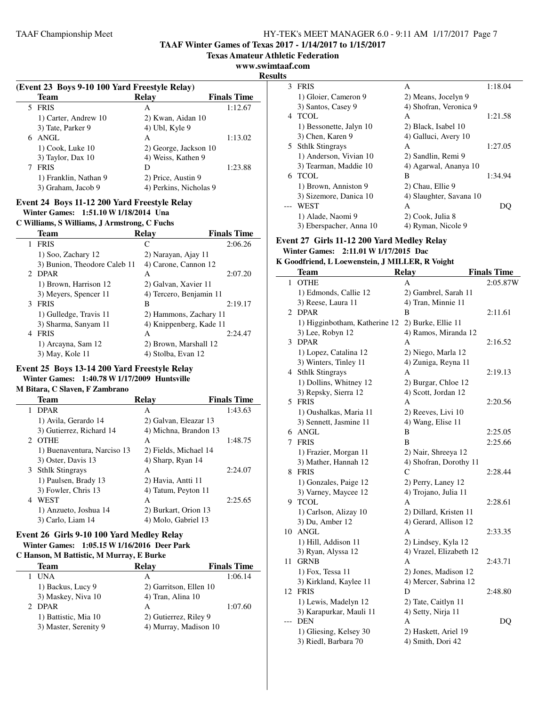**TAAF Winter Games of Texas 2017 - 1/14/2017 to 1/15/2017**

**Texas Amateur Athletic Federation**

**www.swimtaaf.com**

**Result** 

 $\overline{\phantom{a}}$ 

### **(Event 23 Boys 9-10 100 Yard Freestyle Relay) Team Relay Finals Time** 5 FRIS A 1:12.67 1) Carter, Andrew 10 2) Kwan, Aidan 10<br>3) Tate, Parker 9 4) Ubl, Kyle 9 3) Tate, Parker 9 6 ANGL A 1:13.02 1) Cook, Luke 10 2) George, Jackson 10 3) Taylor, Dax 10 4) Weiss, Kathen 9 7 FRIS D 1:23.88 1) Franklin, Nathan 9 2) Price, Austin 9 3) Graham, Jacob 9 4) Perkins, Nicholas 9

### **Event 24 Boys 11-12 200 Yard Freestyle Relay Winter Games: 1:51.10 W1/18/2014 Una**

### **C Williams, S Williams, J Armstrong, C Fuchs**

| <b>Team</b>                  | Relay                   | <b>Finals Time</b> |
|------------------------------|-------------------------|--------------------|
| <b>FRIS</b>                  | C                       | 2:06.26            |
| 1) Soo, Zachary 12           | 2) Narayan, Ajay 11     |                    |
| 3) Bunion, Theodore Caleb 11 | 4) Carone, Cannon 12    |                    |
| 2 DPAR                       | A                       | 2:07.20            |
| 1) Brown, Harrison 12        | 2) Galvan, Xavier 11    |                    |
| 3) Meyers, Spencer 11        | 4) Tercero, Benjamin 11 |                    |
| 3 FRIS                       | В                       | 2:19.17            |
| 1) Gulledge, Travis 11       | 2) Hammons, Zachary 11  |                    |
| 3) Sharma, Sanyam 11         | 4) Knippenberg, Kade 11 |                    |
| <b>FRIS</b><br>4             | A                       | 2:24.47            |
| 1) Arcayna, Sam 12           | 2) Brown, Marshall 12   |                    |
| 3) May, Kole 11              | 4) Stolba, Evan 12      |                    |

# **Event 25 Boys 13-14 200 Yard Freestyle Relay Winter Games: 1:40.78 W1/17/2009 Huntsville**

### **M Bitara, C Slaven, F Zambrano**

|   | Team                        | Relay                 | <b>Finals Time</b> |
|---|-----------------------------|-----------------------|--------------------|
|   | <b>DPAR</b>                 | A                     | 1:43.63            |
|   | 1) Avila, Gerardo 14        | 2) Galvan, Eleazar 13 |                    |
|   | 3) Gutierrez, Richard 14    | 4) Michna, Brandon 13 |                    |
|   | 2 OTHE                      | A                     | 1:48.75            |
|   | 1) Buenaventura, Narciso 13 | 2) Fields, Michael 14 |                    |
|   | 3) Oster, Davis 13          | 4) Sharp, Ryan 14     |                    |
|   | 3 Sthlk Stingrays           | A                     | 2:24.07            |
|   | 1) Paulsen, Brady 13        | 2) Havia, Antti 11    |                    |
|   | 3) Fowler, Chris 13         | 4) Tatum, Peyton 11   |                    |
| 4 | <b>WEST</b>                 | A                     | 2:25.65            |
|   | 1) Anzueto, Joshua 14       | 2) Burkart, Orion 13  |                    |
|   | 3) Carlo, Liam 14           | 4) Molo, Gabriel 13   |                    |

# **Event 26 Girls 9-10 100 Yard Medley Relay**

#### **Winter Games: 1:05.15 W1/16/2016 Deer Park C Hanson, M Battistic, M Murray, E Burke**

| C Hanson, M Batusuc, M Murray, E Burke |                   |                                                                          |  |  |  |
|----------------------------------------|-------------------|--------------------------------------------------------------------------|--|--|--|
| Team                                   | Relay             | <b>Finals Time</b>                                                       |  |  |  |
| UNA                                    | А                 | 1:06.14                                                                  |  |  |  |
| 1) Backus, Lucy 9                      |                   |                                                                          |  |  |  |
| 3) Maskey, Niva 10                     | 4) Tran, Alina 10 |                                                                          |  |  |  |
| 2 DPAR                                 | А                 | 1:07.60                                                                  |  |  |  |
| 1) Battistic, Mia 10                   |                   |                                                                          |  |  |  |
| 3) Master, Serenity 9                  |                   |                                                                          |  |  |  |
|                                        |                   | 2) Garritson, Ellen 10<br>2) Gutierrez, Riley 9<br>4) Murray, Madison 10 |  |  |  |

| ts |                         |                         |         |
|----|-------------------------|-------------------------|---------|
| 3  | <b>FRIS</b>             | A                       | 1:18.04 |
|    | 1) Gloier, Cameron 9    | 2) Means, Jocelyn 9     |         |
|    | 3) Santos, Casey 9      | 4) Shofran, Veronica 9  |         |
| 4  | <b>TCOL</b>             | A                       | 1:21.58 |
|    | 1) Bessonette, Jalyn 10 | 2) Black, Isabel 10     |         |
|    | 3) Chen, Karen 9        | 4) Galluci, Avery 10    |         |
| 5. | <b>Sthlk Stingrays</b>  | A                       | 1:27.05 |
|    | 1) Anderson, Vivian 10  | 2) Sandlin, Remi 9      |         |
|    | 3) Tearman, Maddie 10   | 4) Agarwal, Ananya 10   |         |
|    | 6 TCOL                  | B                       | 1:34.94 |
|    | 1) Brown, Anniston 9    | 2) Chau, Ellie 9        |         |
|    | 3) Sizemore, Danica 10  | 4) Slaughter, Savana 10 |         |
|    | <b>WEST</b>             | A                       |         |
|    | 1) Alade, Naomi 9       | 2) Cook, Julia 8        |         |
|    | 3) Eberspacher, Anna 10 | 4) Ryman, Nicole 9      |         |

### **Event 27 Girls 11-12 200 Yard Medley Relay Winter Games: 2:11.01 W1/17/2015 Dac**

### **K Goodfriend, L Loewenstein, J MILLER, R Voight**

|              | Team                          | <b>Relay</b>            | <b>Finals Time</b> |
|--------------|-------------------------------|-------------------------|--------------------|
| $\mathbf{1}$ | <b>OTHE</b>                   | A                       | 2:05.87W           |
|              | 1) Edmonds, Callie 12         | 2) Gambrel, Sarah 11    |                    |
|              | 3) Reese, Laura 11            | 4) Tran, Minnie 11      |                    |
| 2            | <b>DPAR</b>                   | В                       | 2:11.61            |
|              | 1) Higginbotham, Katherine 12 | 2) Burke, Ellie 11      |                    |
|              | 3) Lee, Robyn 12              | 4) Ramos, Miranda 12    |                    |
| 3            | <b>DPAR</b>                   | A                       | 2:16.52            |
|              | 1) Lopez, Catalina 12         | 2) Niego, Marla 12      |                    |
|              | 3) Winters, Tinley 11         | 4) Zuniga, Reyna 11     |                    |
|              | 4 Sthlk Stingrays             | А                       | 2:19.13            |
|              | 1) Dollins, Whitney 12        | 2) Burgar, Chloe 12     |                    |
|              | 3) Repsky, Sierra 12          | 4) Scott, Jordan 12     |                    |
|              | 5 FRIS                        | A                       | 2:20.56            |
|              | 1) Oushalkas, Maria 11        | 2) Reeves, Livi 10      |                    |
|              | 3) Sennett, Jasmine 11        | 4) Wang, Elise 11       |                    |
|              | 6 ANGL                        | B                       | 2:25.05            |
| 7            | <b>FRIS</b>                   | B                       | 2:25.66            |
|              | 1) Frazier, Morgan 11         | 2) Nair, Shreeya 12     |                    |
|              | 3) Mather, Hannah 12          | 4) Shofran, Dorothy 11  |                    |
| 8            | FRIS                          | C                       | 2:28.44            |
|              | 1) Gonzales, Paige 12         | 2) Perry, Laney 12      |                    |
|              | 3) Varney, Maycee 12          | 4) Trojano, Julia 11    |                    |
| 9            | <b>TCOL</b>                   | A                       | 2:28.61            |
|              | 1) Carlson, Alizay 10         | 2) Dillard, Kristen 11  |                    |
|              | 3) Du, Amber 12               | 4) Gerard, Allison 12   |                    |
| 10           | <b>ANGL</b>                   | A                       | 2:33.35            |
|              | 1) Hill, Addison 11           | 2) Lindsey, Kyla 12     |                    |
|              | 3) Ryan, Alyssa 12            | 4) Vrazel, Elizabeth 12 |                    |
| 11           | <b>GRNB</b>                   | A                       | 2:43.71            |
|              | 1) Fox, Tessa 11              | 2) Jones, Madison 12    |                    |
|              | 3) Kirkland, Kaylee 11        | 4) Mercer, Sabrina 12   |                    |
| 12           | <b>FRIS</b>                   | D                       | 2:48.80            |
|              | 1) Lewis, Madelyn 12          | 2) Tate, Caitlyn 11     |                    |
|              | 3) Karapurkar, Mauli 11       | 4) Setty, Nirja 11      |                    |
|              | <b>DEN</b>                    | A                       | DQ                 |
|              | 1) Gliesing, Kelsey 30        | 2) Haskett, Ariel 19    |                    |
|              | 3) Riedl, Barbara 70          | 4) Smith, Dori 42       |                    |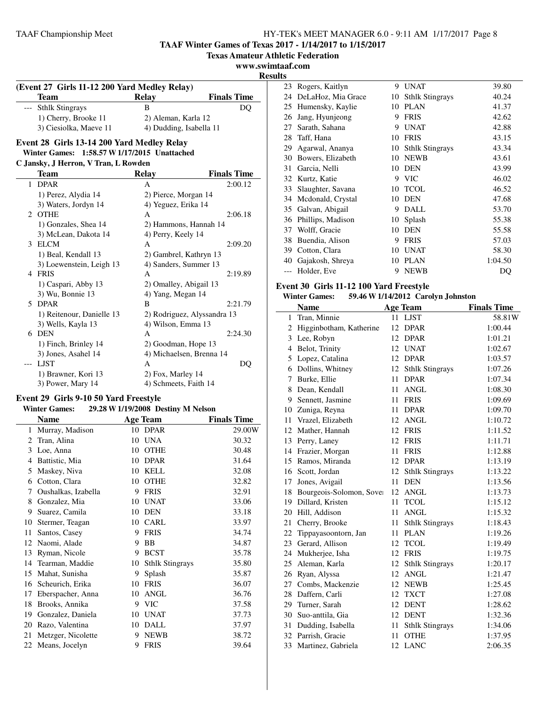**TAAF Winter Games of Texas 2017 - 1/14/2017 to 1/15/2017**

**Texas Amateur Athletic Federation**

**www.swimtaaf.com**

**Results**

| (Event 27 Girls 11-12 200 Yard Medley Relay) |                         |                    |  |  |  |  |
|----------------------------------------------|-------------------------|--------------------|--|--|--|--|
| <b>Team</b>                                  | Relav                   | <b>Finals Time</b> |  |  |  |  |
| --- Sthlk Stingrays                          |                         | DO                 |  |  |  |  |
| 1) Cherry, Brooke 11                         | 2) Aleman, Karla 12     |                    |  |  |  |  |
| 3) Ciesiolka, Maeve 11                       | 4) Dudding, Isabella 11 |                    |  |  |  |  |

### **Event 28 Girls 13-14 200 Yard Medley Relay**

**Winter Games: 1:58.57 W1/17/2015 Unattached**

### **C Jansky, J Herron, V Tran, L Rowden**

 $\overline{\phantom{a}}$ 

|              | Team                      | <b>Relay</b>                | <b>Finals Time</b> |
|--------------|---------------------------|-----------------------------|--------------------|
| $\mathbf{1}$ | <b>DPAR</b>               | A                           | 2:00.12            |
|              | 1) Perez, Alydia 14       | 2) Pierce, Morgan 14        |                    |
|              | 3) Waters, Jordyn 14      | 4) Yeguez, Erika 14         |                    |
| 2.           | <b>OTHE</b>               | A                           | 2:06.18            |
|              | 1) Gonzales, Shea 14      | 2) Hammons, Hannah 14       |                    |
|              | 3) McLean, Dakota 14      | 4) Perry, Keely 14          |                    |
| 3            | <b>ELCM</b>               | A                           | 2:09.20            |
|              | 1) Beal, Kendall 13       | 2) Gambrel, Kathryn 13      |                    |
|              | 3) Loewenstein, Leigh 13  | 4) Sanders, Summer 13       |                    |
| 4            | <b>FRIS</b>               | A                           | 2:19.89            |
|              | 1) Caspari, Abby 13       | 2) Omalley, Abigail 13      |                    |
|              | 3) Wu, Bonnie 13          | 4) Yang, Megan 14           |                    |
|              | 5 DPAR                    | B                           | 2:21.79            |
|              | 1) Reitenour, Danielle 13 | 2) Rodriguez, Alyssandra 13 |                    |
|              | 3) Wells, Kayla 13        | 4) Wilson, Emma 13          |                    |
|              | 6 DEN                     | A                           | 2:24.30            |
|              | 1) Finch, Brinley 14      | 2) Goodman, Hope 13         |                    |
|              | 3) Jones, Asahel 14       | 4) Michaelsen, Brenna 14    |                    |
|              | <b>LJST</b>               | A                           | DQ                 |
|              | 1) Brawner, Kori 13       | 2) Fox, Marley 14           |                    |
|              | 3) Power, Mary 14         | 4) Schmeets, Faith 14       |                    |
|              |                           |                             |                    |

### **Event 29 Girls 9-10 50 Yard Freestyle**

|    | <b>Winter Games:</b> |    | 29.28 W 1/19/2008 Destiny M Nelson |                    |
|----|----------------------|----|------------------------------------|--------------------|
|    | <b>Name</b>          |    | <b>Age Team</b>                    | <b>Finals Time</b> |
| 1  | Murray, Madison      |    | 10 DPAR                            | 29.00W             |
| 2  | Tran, Alina          | 10 | <b>UNA</b>                         | 30.32              |
| 3  | Loe, Anna            | 10 | <b>OTHE</b>                        | 30.48              |
| 4  | Battistic, Mia       | 10 | <b>DPAR</b>                        | 31.64              |
| 5  | Maskey, Niva         | 10 | KELL                               | 32.08              |
| 6  | Cotton, Clara        | 10 | <b>OTHE</b>                        | 32.82              |
| 7  | Oushalkas, Izabella  | 9  | <b>FRIS</b>                        | 32.91              |
| 8  | Gonzalez, Mia        | 10 | <b>UNAT</b>                        | 33.06              |
| 9  | Suarez, Camila       | 10 | <b>DEN</b>                         | 33.18              |
| 10 | Stermer, Teagan      | 10 | CARL                               | 33.97              |
| 11 | Santos, Casey        | 9  | <b>FRIS</b>                        | 34.74              |
| 12 | Naomi, Alade         | 9  | <b>BB</b>                          | 34.87              |
| 13 | Ryman, Nicole        | 9  | <b>BCST</b>                        | 35.78              |
| 14 | Tearman, Maddie      | 10 | <b>Sthlk Stingrays</b>             | 35.80              |
| 15 | Mahat, Sunisha       | 9  | Splash                             | 35.87              |
| 16 | Scheurich, Erika     | 10 | <b>FRIS</b>                        | 36.07              |
| 17 | Eberspacher, Anna    | 10 | ANGL                               | 36.76              |
| 18 | Brooks, Annika       | 9  | <b>VIC</b>                         | 37.58              |
| 19 | Gonzalez, Daniela    | 10 | <b>UNAT</b>                        | 37.73              |
| 20 | Razo, Valentina      | 10 | DALL                               | 37.97              |
| 21 | Metzger, Nicolette   | 9  | <b>NEWB</b>                        | 38.72              |
| 22 | Means, Jocelyn       | 9  | <b>FRIS</b>                        | 39.64              |

| 23 | Rogers, Kaitlyn    | 9  | <b>UNAT</b>            | 39.80   |
|----|--------------------|----|------------------------|---------|
| 24 | DeLaHoz, Mia Grace | 10 | <b>Sthlk Stingrays</b> | 40.24   |
| 25 | Humensky, Kaylie   | 10 | PLAN                   | 41.37   |
| 26 | Jang, Hyunjeong    | 9  | <b>FRIS</b>            | 42.62   |
| 27 | Sarath, Sahana     | 9  | <b>UNAT</b>            | 42.88   |
| 28 | Taff, Hana         | 10 | <b>FRIS</b>            | 43.15   |
| 29 | Agarwal, Ananya    | 10 | <b>Sthlk Stingrays</b> | 43.34   |
| 30 | Bowers, Elizabeth  | 10 | <b>NEWB</b>            | 43.61   |
| 31 | Garcia, Nelli      | 10 | <b>DEN</b>             | 43.99   |
| 32 | Kurtz, Katie       | 9  | <b>VIC</b>             | 46.02   |
| 33 | Slaughter, Savana  | 10 | <b>TCOL</b>            | 46.52   |
| 34 | Mcdonald, Crystal  | 10 | DEN                    | 47.68   |
| 35 | Galvan, Abigail    | 9  | DALL                   | 53.70   |
| 36 | Phillips, Madison  | 10 | Splash                 | 55.38   |
| 37 | Wolff, Gracie      | 10 | <b>DEN</b>             | 55.58   |
| 38 | Buendia, Alison    | 9  | <b>FRIS</b>            | 57.03   |
| 39 | Cotton, Clara      | 10 | <b>UNAT</b>            | 58.30   |
| 40 | Gajakosh, Shreya   | 10 | <b>PLAN</b>            | 1:04.50 |
|    | Holder, Eve        | 9  | <b>NEWB</b>            | DQ      |

# **Event 30 Girls 11-12 100 Yard Freestyle**

### **Winter Games: 59.46 W1/14/2012 Carolyn Johnston**

|    | <b>Name</b>                 |                 | <b>Age Team</b>        | <b>Finals Time</b> |
|----|-----------------------------|-----------------|------------------------|--------------------|
| 1  | Tran, Minnie                | 11              | <b>LJST</b>            | 58.81W             |
|    | 2 Higginbotham, Katherine   | 12              | <b>DPAR</b>            | 1:00.44            |
|    | 3 Lee, Robyn                |                 | 12 DPAR                | 1:01.21            |
|    | 4 Belot, Trinity            |                 | 12 UNAT                | 1:02.67            |
| 5  | Lopez, Catalina             | 12              | <b>DPAR</b>            | 1:03.57            |
| 6  | Dollins, Whitney            | 12              | <b>Sthlk Stingrays</b> | 1:07.26            |
| 7  | Burke, Ellie                | 11              | <b>DPAR</b>            | 1:07.34            |
|    | 8 Dean, Kendall             | 11.             | <b>ANGL</b>            | 1:08.30            |
|    | 9 Sennett, Jasmine          | 11              | <b>FRIS</b>            | 1:09.69            |
|    | 10 Zuniga, Reyna            | 11              | <b>DPAR</b>            | 1:09.70            |
|    | 11 Vrazel, Elizabeth        | 12              | <b>ANGL</b>            | 1:10.72            |
|    | 12 Mather, Hannah           |                 | 12 FRIS                | 1:11.52            |
|    | 13 Perry, Laney             |                 | 12 FRIS                | 1:11.71            |
|    | 14 Frazier, Morgan          | 11              | <b>FRIS</b>            | 1:12.88            |
|    | 15 Ramos, Miranda           |                 | 12 DPAR                | 1:13.19            |
|    | 16 Scott, Jordan            | 12              | <b>Sthlk Stingrays</b> | 1:13.22            |
| 17 | Jones, Avigail              | 11              | <b>DEN</b>             | 1:13.56            |
|    | 18 Bourgeois-Solomon, Sover | 12              | <b>ANGL</b>            | 1:13.73            |
|    | 19 Dillard, Kristen         | 11 <sup>1</sup> | <b>TCOL</b>            | 1:15.12            |
|    | 20 Hill, Addison            | 11              | <b>ANGL</b>            | 1:15.32            |
| 21 | Cherry, Brooke              | 11              | <b>Sthlk Stingrays</b> | 1:18.43            |
| 22 | Tippayasoontorn, Jan        | 11              | <b>PLAN</b>            | 1:19.26            |
|    | 23 Gerard, Allison          | 12              | <b>TCOL</b>            | 1:19.49            |
|    | 24 Mukherjee, Isha          |                 | 12 FRIS                | 1:19.75            |
|    | 25 Aleman, Karla            |                 | 12 Sthlk Stingrays     | 1:20.17            |
| 26 | Ryan, Alyssa                | 12              | <b>ANGL</b>            | 1:21.47            |
| 27 | Combs, Mackenzie            | 12              | <b>NEWB</b>            | 1:25.45            |
|    | 28 Daffern, Carli           | 12              | <b>TXCT</b>            | 1:27.08            |
|    | 29 Turner, Sarah            |                 | 12 DENT                | 1:28.62            |
|    | 30 Suo-anttila, Gia         |                 | 12 DENT                | 1:32.36            |
|    | 31 Dudding, Isabella        | 11              | <b>Sthlk Stingrays</b> | 1:34.06            |
|    | 32 Parrish, Gracie          | 11              | <b>OTHE</b>            | 1:37.95            |
|    | 33 Martinez, Gabriela       |                 | 12 LANC                | 2:06.35            |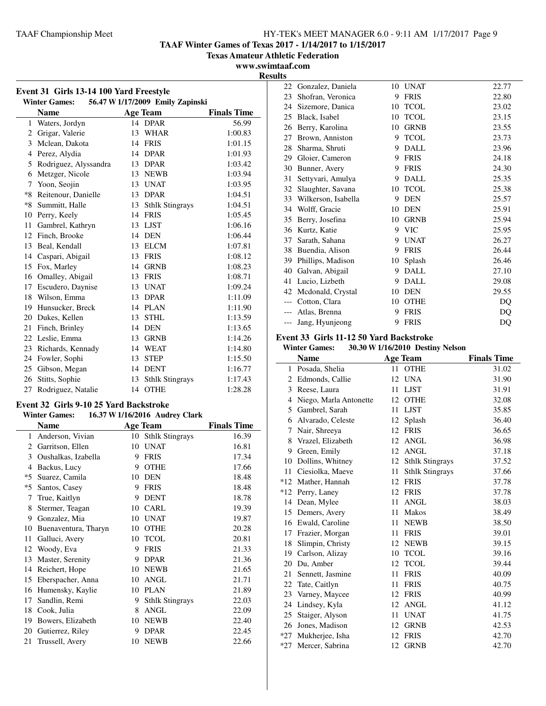**TAAF Winter Games of Texas 2017 - 1/14/2017 to 1/15/2017**

**Texas Amateur Athletic Federation**

**www.swimtaaf.com**

| .              |
|----------------|
| <b>Results</b> |

| Event 31 Girls 13-14 100 Yard Freestyle                  |                       |    |                        |                    |  |  |
|----------------------------------------------------------|-----------------------|----|------------------------|--------------------|--|--|
| 56.47 W 1/17/2009 Emily Zapinski<br><b>Winter Games:</b> |                       |    |                        |                    |  |  |
|                                                          | <b>Name</b>           |    | <b>Age Team</b>        | <b>Finals Time</b> |  |  |
| 1                                                        | Waters, Jordyn        |    | 14 DPAR                | 56.99              |  |  |
| $\overline{c}$                                           | Grigar, Valerie       | 13 | <b>WHAR</b>            | 1:00.83            |  |  |
| 3                                                        | Mclean, Dakota        | 14 | <b>FRIS</b>            | 1:01.15            |  |  |
| $\overline{4}$                                           | Perez, Alydia         | 14 | <b>DPAR</b>            | 1:01.93            |  |  |
| 5                                                        | Rodriguez, Alyssandra |    | 13 DPAR                | 1:03.42            |  |  |
| 6                                                        | Metzger, Nicole       | 13 | <b>NEWB</b>            | 1:03.94            |  |  |
| 7                                                        | Yoon, Seojin          | 13 | <b>UNAT</b>            | 1:03.95            |  |  |
| $*8$                                                     | Reitenour, Danielle   | 13 | <b>DPAR</b>            | 1:04.51            |  |  |
| $*8$                                                     | Summitt, Halle        | 13 | <b>Sthlk Stingrays</b> | 1:04.51            |  |  |
| 10                                                       | Perry, Keely          | 14 | <b>FRIS</b>            | 1:05.45            |  |  |
| 11                                                       | Gambrel, Kathryn      | 13 | <b>LJST</b>            | 1:06.16            |  |  |
| 12                                                       | Finch, Brooke         | 14 | DEN                    | 1:06.44            |  |  |
| 13                                                       | Beal, Kendall         | 13 | <b>ELCM</b>            | 1:07.81            |  |  |
| 14                                                       | Caspari, Abigail      |    | 13 FRIS                | 1:08.12            |  |  |
| 15                                                       | Fox, Marley           | 14 | <b>GRNB</b>            | 1:08.23            |  |  |
| 16                                                       | Omalley, Abigail      | 13 | <b>FRIS</b>            | 1:08.71            |  |  |
| 17                                                       | Escudero, Daynise     | 13 | <b>UNAT</b>            | 1:09.24            |  |  |
| 18                                                       | Wilson, Emma          | 13 | <b>DPAR</b>            | 1:11.09            |  |  |
| 19                                                       | Hunsucker, Breck      | 14 | <b>PLAN</b>            | 1:11.90            |  |  |
| 20                                                       | Dukes, Kellen         | 13 | <b>STHL</b>            | 1:13.59            |  |  |
| 21                                                       | Finch, Brinley        | 14 | <b>DEN</b>             | 1:13.65            |  |  |
| 22                                                       | Leslie, Emma          | 13 | <b>GRNB</b>            | 1:14.26            |  |  |
| 23                                                       | Richards, Kennady     | 14 | WEAT                   | 1:14.80            |  |  |
| 24                                                       | Fowler, Sophi         | 13 | <b>STEP</b>            | 1:15.50            |  |  |
| 25                                                       | Gibson, Megan         | 14 | <b>DENT</b>            | 1:16.77            |  |  |
| 26                                                       | Stitts, Sophie        | 13 | <b>Sthlk Stingrays</b> | 1:17.43            |  |  |
| 27                                                       | Rodriguez, Natalie    |    | 14 OTHE                | 1:28.28            |  |  |

# **Event 32 Girls 9-10 25 Yard Backstroke**

| 16.37 W 1/16/2016 Audrey Clark<br><b>Winter Games:</b> |                      |    |                        |                    |  |
|--------------------------------------------------------|----------------------|----|------------------------|--------------------|--|
|                                                        | <b>Name</b>          |    | <b>Age Team</b>        | <b>Finals Time</b> |  |
| 1                                                      | Anderson, Vivian     | 10 | <b>Sthlk Stingrays</b> | 16.39              |  |
| 2                                                      | Garritson, Ellen     | 10 | <b>UNAT</b>            | 16.81              |  |
| 3                                                      | Oushalkas, Izabella  | 9  | <b>FRIS</b>            | 17.34              |  |
| 4                                                      | Backus, Lucy         | 9  | <b>OTHE</b>            | 17.66              |  |
| $*5$                                                   | Suarez, Camila       | 10 | <b>DEN</b>             | 18.48              |  |
| $*5$                                                   | Santos, Casey        | 9  | <b>FRIS</b>            | 18.48              |  |
| 7                                                      | True, Kaitlyn        | 9  | <b>DENT</b>            | 18.78              |  |
| 8                                                      | Stermer, Teagan      | 10 | <b>CARL</b>            | 19.39              |  |
| 9                                                      | Gonzalez, Mia        | 10 | <b>UNAT</b>            | 19.87              |  |
| 10                                                     | Buenaventura, Tharyn | 10 | <b>OTHE</b>            | 20.28              |  |
| 11                                                     | Galluci, Avery       | 10 | <b>TCOL</b>            | 20.81              |  |
| 12                                                     | Woody, Eva           | 9  | <b>FRIS</b>            | 21.33              |  |
| 13                                                     | Master, Serenity     | 9  | <b>DPAR</b>            | 21.36              |  |
| 14                                                     | Reichert, Hope       | 10 | <b>NEWB</b>            | 21.65              |  |
| 15                                                     | Eberspacher, Anna    | 10 | <b>ANGL</b>            | 21.71              |  |
| 16                                                     | Humensky, Kaylie     | 10 | <b>PLAN</b>            | 21.89              |  |
| 17                                                     | Sandlin, Remi        | 9  | <b>Sthlk Stingrays</b> | 22.03              |  |
| 18                                                     | Cook, Julia          | 8  | ANGL                   | 22.09              |  |
| 19                                                     | Bowers, Elizabeth    | 10 | <b>NEWB</b>            | 22.40              |  |
| 20                                                     | Gutierrez, Riley     | 9  | <b>DPAR</b>            | 22.45              |  |
| 21                                                     | Trussell, Avery      | 10 | <b>NEWB</b>            | 22.66              |  |

| 22  | Gonzalez, Daniela   | 10 | <b>UNAT</b> | 22.77 |
|-----|---------------------|----|-------------|-------|
| 23  | Shofran, Veronica   | 9  | <b>FRIS</b> | 22.80 |
| 24  | Sizemore, Danica    | 10 | <b>TCOL</b> | 23.02 |
| 25  | Black, Isabel       | 10 | <b>TCOL</b> | 23.15 |
| 26  | Berry, Karolina     | 10 | <b>GRNB</b> | 23.55 |
| 27  | Brown, Anniston     | 9  | <b>TCOL</b> | 23.73 |
| 28  | Sharma, Shruti      | 9  | <b>DALL</b> | 23.96 |
| 29  | Gloier, Cameron     | 9  | <b>FRIS</b> | 24.18 |
| 30  | Bunner, Avery       | 9  | <b>FRIS</b> | 24.30 |
| 31  | Settyvari, Amulya   | 9  | DALL        | 25.35 |
| 32  | Slaughter, Savana   | 10 | <b>TCOL</b> | 25.38 |
| 33  | Wilkerson, Isabella | 9  | <b>DEN</b>  | 25.57 |
| 34  | Wolff, Gracie       | 10 | <b>DEN</b>  | 25.91 |
| 35  | Berry, Josefina     | 10 | <b>GRNB</b> | 25.94 |
| 36  | Kurtz, Katie        | 9  | <b>VIC</b>  | 25.95 |
| 37  | Sarath, Sahana      | 9  | <b>UNAT</b> | 26.27 |
| 38  | Buendia, Alison     | 9  | <b>FRIS</b> | 26.44 |
| 39  | Phillips, Madison   | 10 | Splash      | 26.46 |
| 40  | Galvan, Abigail     | 9  | DALL        | 27.10 |
| 41  | Lucio, Lizbeth      | 9  | <b>DALL</b> | 29.08 |
| 42  | Mcdonald, Crystal   | 10 | <b>DEN</b>  | 29.55 |
|     | Cotton, Clara       | 10 | <b>OTHE</b> | DQ    |
|     | Atlas, Brenna       | 9  | <b>FRIS</b> | DQ    |
| --- | Jang, Hyunjeong     | 9  | <b>FRIS</b> | DQ    |
|     |                     |    |             |       |

### **Event 33 Girls 11-12 50 Yard Backstroke**

### **Winter Games: 30.30 W1/16/2010 Destiny Nelson**

|       | <b>Name</b>            |    | <b>Age Team</b>        | <b>Finals Time</b> |
|-------|------------------------|----|------------------------|--------------------|
| 1     | Posada, Shelia         | 11 | <b>OTHE</b>            | 31.02              |
| 2     | Edmonds, Callie        | 12 | <b>UNA</b>             | 31.90              |
| 3     | Reese, Laura           | 11 | <b>LJST</b>            | 31.91              |
| 4     | Niego, Marla Antonette | 12 | <b>OTHE</b>            | 32.08              |
| 5     | Gambrel, Sarah         | 11 | <b>LJST</b>            | 35.85              |
| 6     | Alvarado, Celeste      | 12 | Splash                 | 36.40              |
| 7     | Nair, Shreeya          | 12 | <b>FRIS</b>            | 36.65              |
| 8     | Vrazel, Elizabeth      | 12 | <b>ANGL</b>            | 36.98              |
| 9     | Green, Emily           | 12 | <b>ANGL</b>            | 37.18              |
| 10    | Dollins, Whitney       | 12 | <b>Sthlk Stingrays</b> | 37.52              |
| 11    | Ciesiolka, Maeve       | 11 | <b>Sthlk Stingrays</b> | 37.66              |
| $*12$ | Mather, Hannah         | 12 | <b>FRIS</b>            | 37.78              |
| $*12$ | Perry, Laney           | 12 | <b>FRIS</b>            | 37.78              |
| 14    | Dean, Mylee            | 11 | <b>ANGL</b>            | 38.03              |
| 15    | Demers, Avery          | 11 | <b>Makos</b>           | 38.49              |
| 16    | Ewald, Caroline        | 11 | <b>NEWB</b>            | 38.50              |
| 17    | Frazier, Morgan        | 11 | <b>FRIS</b>            | 39.01              |
| 18    | Slimpin, Christy       | 12 | <b>NEWB</b>            | 39.15              |
| 19    | Carlson, Alizay        | 10 | <b>TCOL</b>            | 39.16              |
| 20    | Du, Amber              | 12 | <b>TCOL</b>            | 39.44              |
| 21    | Sennett, Jasmine       | 11 | <b>FRIS</b>            | 40.09              |
| 22    | Tate, Caitlyn          | 11 | <b>FRIS</b>            | 40.75              |
| 23    | Varney, Maycee         | 12 | <b>FRIS</b>            | 40.99              |
| 24    | Lindsey, Kyla          | 12 | <b>ANGL</b>            | 41.12              |
| 25    | Staiger, Alyson        | 11 | <b>UNAT</b>            | 41.75              |
| 26    | Jones, Madison         | 12 | <b>GRNB</b>            | 42.53              |
| $*27$ | Mukherjee, Isha        | 12 | <b>FRIS</b>            | 42.70              |
| $*27$ | Mercer, Sabrina        | 12 | <b>GRNB</b>            | 42.70              |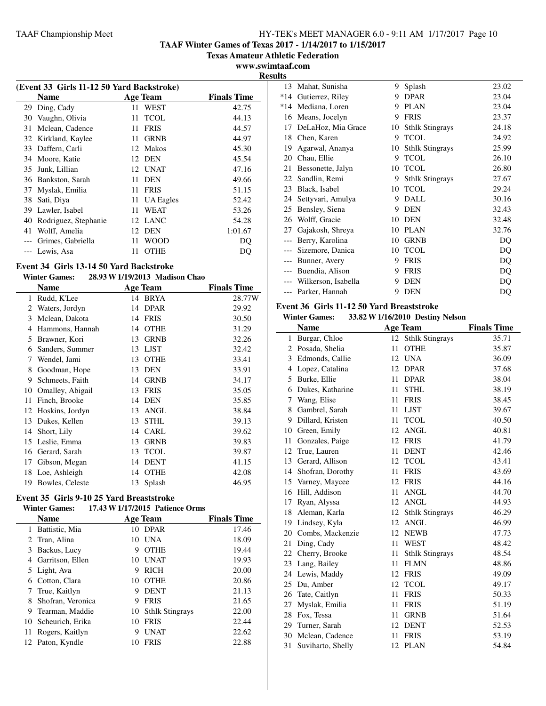**TAAF Winter Games of Texas 2017 - 1/14/2017 to 1/15/2017**

**Texas Amateur Athletic Federation**

**www.swimtaaf.com Results**

|    | (Event 33 Girls 11-12 50 Yard Backstroke) |     |                 |                    |  |  |
|----|-------------------------------------------|-----|-----------------|--------------------|--|--|
|    | Name                                      |     | <b>Age Team</b> | <b>Finals Time</b> |  |  |
| 29 | Ding, Cady                                | 11. | <b>WEST</b>     | 42.75              |  |  |
| 30 | Vaughn, Olivia                            | 11  | <b>TCOL</b>     | 44.13              |  |  |
| 31 | Mclean, Cadence                           | 11  | <b>FRIS</b>     | 44.57              |  |  |
|    | 32 Kirkland, Kaylee                       | 11. | <b>GRNB</b>     | 44.97              |  |  |
| 33 | Daffern, Carli                            |     | 12 Makos        | 45.30              |  |  |
|    | 34 Moore, Katie                           |     | 12 DEN          | 45.54              |  |  |
| 35 | Junk, Lillian                             |     | 12 UNAT         | 47.16              |  |  |
| 36 | Bankston, Sarah                           | 11. | <b>DEN</b>      | 49.66              |  |  |
| 37 | Myslak, Emilia                            | 11  | <b>FRIS</b>     | 51.15              |  |  |
| 38 | Sati, Diya                                |     | 11 UA Eagles    | 52.42              |  |  |
| 39 | Lawler, Isabel                            | 11  | <b>WEAT</b>     | 53.26              |  |  |
| 40 | Rodriguez, Stephanie                      |     | 12 LANC         | 54.28              |  |  |
| 41 | Wolff, Amelia                             |     | 12 DEN          | 1:01.67            |  |  |
|    | Grimes, Gabriella                         | 11. | <b>WOOD</b>     | DO                 |  |  |
|    | Lewis, Asa                                | 11  | <b>OTHE</b>     | DO                 |  |  |
|    |                                           |     |                 |                    |  |  |

### **Event 34 Girls 13-14 50 Yard Backstroke Winter Games: 28.93 W1/19/2013 Madison Chao**

|    | Name             |    | <b>Age Team</b> | <b>Finals Time</b> |
|----|------------------|----|-----------------|--------------------|
| 1  | Rudd, K'Lee      | 14 | <b>BRYA</b>     | 28.77W             |
| 2  | Waters, Jordyn   | 14 | <b>DPAR</b>     | 29.92              |
| 3  | Mclean, Dakota   | 14 | <b>FRIS</b>     | 30.50              |
| 4  | Hammons, Hannah  | 14 | <b>OTHE</b>     | 31.29              |
| 5  | Brawner, Kori    | 13 | <b>GRNB</b>     | 32.26              |
| 6  | Sanders, Summer  | 13 | <b>LJST</b>     | 32.42              |
| 7  | Wendel, Jami     | 13 | <b>OTHE</b>     | 33.41              |
| 8  | Goodman, Hope    | 13 | <b>DEN</b>      | 33.91              |
| 9  | Schmeets, Faith  | 14 | <b>GRNB</b>     | 34.17              |
| 10 | Omalley, Abigail | 13 | <b>FRIS</b>     | 35.05              |
| 11 | Finch, Brooke    | 14 | <b>DEN</b>      | 35.85              |
| 12 | Hoskins, Jordyn  | 13 | <b>ANGL</b>     | 38.84              |
| 13 | Dukes, Kellen    | 13 | <b>STHL</b>     | 39.13              |
| 14 | Short, Lily      | 14 | <b>CARL</b>     | 39.62              |
| 15 | Leslie, Emma     | 13 | <b>GRNB</b>     | 39.83              |
| 16 | Gerard, Sarah    | 13 | <b>TCOL</b>     | 39.87              |
| 17 | Gibson, Megan    | 14 | <b>DENT</b>     | 41.15              |
| 18 | Loe, Ashleigh    | 14 | <b>OTHE</b>     | 42.08              |
| 19 | Bowles, Celeste  | 13 | Splash          | 46.95              |

# **Event 35 Girls 9-10 25 Yard Breaststroke**

# **Winter Games: 17.43 W1/17/2015 Patience Orms**

|    | Name              |    | Age Team               | <b>Finals Time</b> |
|----|-------------------|----|------------------------|--------------------|
| 1  | Battistic, Mia    |    | 10 DPAR                | 17.46              |
| 2  | Tran, Alina       | 10 | <b>UNA</b>             | 18.09              |
| 3  | Backus, Lucy      | 9  | <b>OTHE</b>            | 19.44              |
| 4  | Garritson, Ellen  | 10 | <b>UNAT</b>            | 19.93              |
| 5  | Light, Ava        | 9  | <b>RICH</b>            | 20.00              |
| 6  | Cotton, Clara     | 10 | <b>OTHE</b>            | 20.86              |
|    | True, Kaitlyn     | 9  | <b>DENT</b>            | 21.13              |
| 8  | Shofran, Veronica | 9  | <b>FRIS</b>            | 21.65              |
| 9  | Tearman, Maddie   | 10 | <b>Sthlk Stingrays</b> | 22.00              |
| 10 | Scheurich, Erika  | 10 | <b>FRIS</b>            | 22.44              |
| 11 | Rogers, Kaitlyn   | 9  | UNAT                   | 22.62              |
|    | 12 Paton, Kyndle  | 10 | <b>FRIS</b>            | 22.88              |

| 13    | Mahat, Sunisha      | 9  | Splash                 | 23.02 |
|-------|---------------------|----|------------------------|-------|
| *14   | Gutierrez, Riley    | 9  | <b>DPAR</b>            | 23.04 |
| $*14$ | Mediana, Loren      | 9  | <b>PLAN</b>            | 23.04 |
| 16    | Means, Jocelyn      | 9  | <b>FRIS</b>            | 23.37 |
| 17    | DeLaHoz, Mia Grace  | 10 | <b>Sthlk Stingrays</b> | 24.18 |
| 18    | Chen, Karen         | 9  | <b>TCOL</b>            | 24.92 |
| 19    | Agarwal, Ananya     | 10 | <b>Sthlk Stingrays</b> | 25.99 |
| 20    | Chau, Ellie         | 9  | <b>TCOL</b>            | 26.10 |
| 21    | Bessonette, Jalyn   | 10 | <b>TCOL</b>            | 26.80 |
| 22    | Sandlin, Remi       | 9  | <b>Sthlk Stingrays</b> | 27.67 |
| 23    | Black, Isabel       | 10 | <b>TCOL</b>            | 29.24 |
| 24    | Settyvari, Amulya   | 9  | DALL                   | 30.16 |
| 25    | Bensley, Siena      | 9  | <b>DEN</b>             | 32.43 |
| 26    | Wolff, Gracie       | 10 | DEN                    | 32.48 |
| 27    | Gajakosh, Shreya    | 10 | <b>PLAN</b>            | 32.76 |
|       | Berry, Karolina     | 10 | <b>GRNB</b>            | DQ    |
|       | Sizemore, Danica    | 10 | <b>TCOL</b>            | DQ    |
|       | Bunner, Avery       | 9  | <b>FRIS</b>            | DQ    |
|       | Buendia, Alison     | 9  | <b>FRIS</b>            | DQ    |
|       | Wilkerson, Isabella | 9  | <b>DEN</b>             | DQ    |
| $---$ | Parker, Hannah      | 9  | <b>DEN</b>             | DQ    |

# **Event 36 Girls 11-12 50 Yard Breaststroke**

**Winter Games: 33.82 W1/16/2010 Destiny Nelson**

|              | <b>Name</b>         |    | <b>Age Team</b>        | <b>Finals Time</b> |
|--------------|---------------------|----|------------------------|--------------------|
| $\mathbf{1}$ | Burgar, Chloe       |    | 12 Sthlk Stingrays     | 35.71              |
|              | 2 Posada, Shelia    | 11 | <b>OTHE</b>            | 35.87              |
| 3            | Edmonds, Callie     | 12 | <b>UNA</b>             | 36.09              |
| 4            | Lopez, Catalina     | 12 | <b>DPAR</b>            | 37.68              |
| 5            | Burke, Ellie        | 11 | <b>DPAR</b>            | 38.04              |
| 6            | Dukes, Katharine    | 11 | <b>STHL</b>            | 38.19              |
| 7            | Wang, Elise         | 11 | <b>FRIS</b>            | 38.45              |
| 8            | Gambrel, Sarah      | 11 | <b>LJST</b>            | 39.67              |
| 9            | Dillard, Kristen    | 11 | <b>TCOL</b>            | 40.50              |
| 10           | Green, Emily        | 12 | <b>ANGL</b>            | 40.81              |
| 11           | Gonzales, Paige     | 12 | <b>FRIS</b>            | 41.79              |
| 12           | True, Lauren        | 11 | <b>DENT</b>            | 42.46              |
| 13           | Gerard, Allison     | 12 | <b>TCOL</b>            | 43.41              |
|              | 14 Shofran, Dorothy | 11 | <b>FRIS</b>            | 43.69              |
|              | 15 Varney, Maycee   | 12 | <b>FRIS</b>            | 44.16              |
| 16           | Hill, Addison       | 11 | <b>ANGL</b>            | 44.70              |
| 17           | Ryan, Alyssa        | 12 | <b>ANGL</b>            | 44.93              |
| 18           | Aleman, Karla       | 12 | <b>Sthlk Stingrays</b> | 46.29              |
| 19           | Lindsey, Kyla       | 12 | <b>ANGL</b>            | 46.99              |
|              | 20 Combs, Mackenzie | 12 | <b>NEWB</b>            | 47.73              |
| 21           | Ding, Cady          | 11 | <b>WEST</b>            | 48.42              |
| 22           | Cherry, Brooke      | 11 | <b>Sthlk Stingrays</b> | 48.54              |
| 23           | Lang, Bailey        | 11 | <b>FLMN</b>            | 48.86              |
| 24           | Lewis, Maddy        | 12 | <b>FRIS</b>            | 49.09              |
| 25           | Du, Amber           | 12 | <b>TCOL</b>            | 49.17              |
| 26           | Tate, Caitlyn       | 11 | <b>FRIS</b>            | 50.33              |
| 27           | Myslak, Emilia      | 11 | <b>FRIS</b>            | 51.19              |
| 28           | Fox, Tessa          | 11 | <b>GRNB</b>            | 51.64              |
|              | 29 Turner, Sarah    | 12 | <b>DENT</b>            | 52.53              |
| 30           | Mclean, Cadence     | 11 | <b>FRIS</b>            | 53.19              |
| 31           | Suviharto, Shelly   | 12 | <b>PLAN</b>            | 54.84              |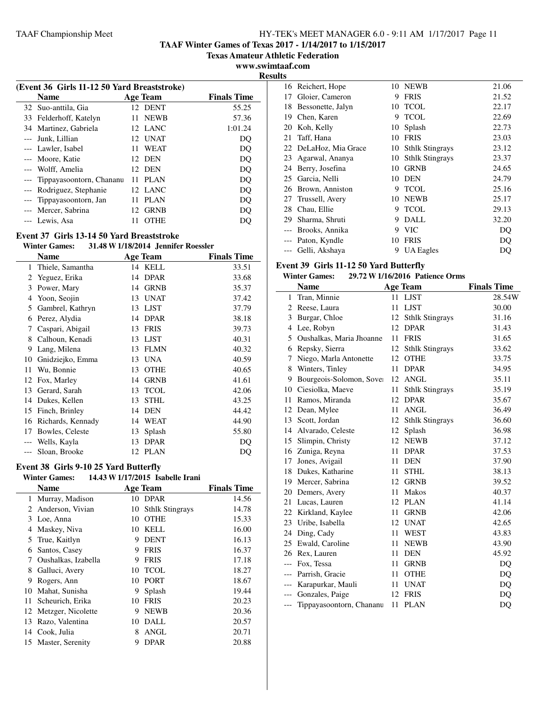**TAAF Winter Games of Texas 2017 - 1/14/2017 to 1/15/2017**

**Texas Amateur Athletic Federation**

**www.swimtaaf.com**

 $\overline{\phantom{a}}$ 

| (Event 36 Girls 11-12 50 Yard Breaststroke) |    |             |                    |
|---------------------------------------------|----|-------------|--------------------|
| <b>Name</b>                                 |    | Age Team    | <b>Finals Time</b> |
| 32 Suo-anttila, Gia                         |    | 12 DENT     | 55.25              |
| 33 Felderhoff, Katelyn                      |    | 11 NEWB     | 57.36              |
| 34 Martinez, Gabriela                       |    | 12 LANC     | 1:01.24            |
| Junk, Lillian                               |    | 12 UNAT     | DO                 |
| --- Lawler, Isabel                          |    | 11 WEAT     | DQ                 |
| --- Moore, Katie                            |    | 12 DEN      | DO                 |
| --- Wolff, Amelia                           |    | 12 DEN      | DO                 |
| --- Tippayasoontorn, Chananu                | 11 | PLAN        | DQ                 |
| --- Rodriguez, Stephanie                    |    | 12 LANC     | DQ                 |
| --- Tippayasoontorn, Jan                    | 11 | PLAN        | DQ                 |
| --- Mercer, Sabrina                         | 12 | <b>GRNB</b> | DO                 |
| --- Lewis, Asa                              |    | <b>OTHE</b> | DO                 |

# **Event 37 Girls 13-14 50 Yard Breaststroke**

# **Winter Games: 31.48 W1/18/2014 Jennifer Roessler**

|    | Name              |    | <b>Age Team</b> | <b>Finals Time</b> |
|----|-------------------|----|-----------------|--------------------|
| 1  | Thiele, Samantha  |    | 14 KELL         | 33.51              |
| 2  | Yeguez, Erika     | 14 | <b>DPAR</b>     | 33.68              |
| 3  | Power, Mary       | 14 | <b>GRNB</b>     | 35.37              |
| 4  | Yoon, Seojin      | 13 | <b>UNAT</b>     | 37.42              |
| 5  | Gambrel, Kathryn  | 13 | <b>LJST</b>     | 37.79              |
| 6  | Perez, Alydia     | 14 | <b>DPAR</b>     | 38.18              |
| 7  | Caspari, Abigail  | 13 | <b>FRIS</b>     | 39.73              |
| 8  | Calhoun, Kenadi   | 13 | <b>LJST</b>     | 40.31              |
| 9  | Lang, Milena      | 13 | <b>FLMN</b>     | 40.32              |
| 10 | Gnidziejko, Emma  | 13 | <b>UNA</b>      | 40.59              |
| 11 | Wu, Bonnie        | 13 | <b>OTHE</b>     | 40.65              |
| 12 | Fox, Marley       | 14 | <b>GRNB</b>     | 41.61              |
| 13 | Gerard, Sarah     | 13 | <b>TCOL</b>     | 42.06              |
| 14 | Dukes, Kellen     | 13 | <b>STHL</b>     | 43.25              |
| 15 | Finch, Brinley    | 14 | <b>DEN</b>      | 44.42              |
| 16 | Richards, Kennady | 14 | WEAT            | 44.90              |
| 17 | Bowles, Celeste   | 13 | Splash          | 55.80              |
|    | Wells, Kayla      | 13 | <b>DPAR</b>     | DO                 |
|    | Sloan, Brooke     | 12 | <b>PLAN</b>     | DQ                 |

# **Event 38 Girls 9-10 25 Yard Butterfly**

 $\overline{a}$ 

# **Winter Games: 14.43 W1/17/2015 Isabelle Irani**

|    | <b>Name</b>           |    | <b>Age Team</b>        | <b>Finals Time</b> |
|----|-----------------------|----|------------------------|--------------------|
|    | 1 Murray, Madison     | 10 | <b>DPAR</b>            | 14.56              |
| 2  | Anderson, Vivian      | 10 | <b>Sthlk Stingrays</b> | 14.78              |
| 3  | Loe, Anna             | 10 | <b>OTHE</b>            | 15.33              |
| 4  | Maskey, Niva          | 10 | KELL                   | 16.00              |
| 5. | True, Kaitlyn         | 9  | <b>DENT</b>            | 16.13              |
| 6  | Santos, Casey         | 9  | <b>FRIS</b>            | 16.37              |
|    | Oushalkas, Izabella   | 9  | <b>FRIS</b>            | 17.18              |
| 8  | Galluci, Avery        | 10 | <b>TCOL</b>            | 18.27              |
| 9  | Rogers, Ann           | 10 | <b>PORT</b>            | 18.67              |
| 10 | Mahat, Sunisha        | 9  | Splash                 | 19.44              |
| 11 | Scheurich, Erika      | 10 | <b>FRIS</b>            | 20.23              |
|    | 12 Metzger, Nicolette | 9  | <b>NEWB</b>            | 20.36              |
| 13 | Razo, Valentina       | 10 | DALL                   | 20.57              |
| 14 | Cook, Julia           | 8  | ANGL                   | 20.71              |
| 15 | Master, Serenity      | 9  | <b>DPAR</b>            | 20.88              |

| 1 L.J |                       |    |                        |       |
|-------|-----------------------|----|------------------------|-------|
|       | 16 Reichert, Hope     | 10 | <b>NEWB</b>            | 21.06 |
| 17    | Gloier, Cameron       | 9  | <b>FRIS</b>            | 21.52 |
| 18    | Bessonette, Jalyn     | 10 | <b>TCOL</b>            | 22.17 |
| 19    | Chen, Karen           | 9  | <b>TCOL</b>            | 22.69 |
| 20    | Koh, Kelly            | 10 | Splash                 | 22.73 |
| 21    | Taff, Hana            | 10 | <b>FRIS</b>            | 23.03 |
|       | 22 DeLaHoz, Mia Grace | 10 | <b>Sthlk Stingrays</b> | 23.12 |
| 23    | Agarwal, Ananya       | 10 | <b>Sthlk Stingrays</b> | 23.37 |
| 24    | Berry, Josefina       | 10 | <b>GRNB</b>            | 24.65 |
| 25    | Garcia, Nelli         | 10 | <b>DEN</b>             | 24.79 |
| 26    | Brown, Anniston       | 9  | <b>TCOL</b>            | 25.16 |
| 27    | Trussell, Avery       | 10 | <b>NEWB</b>            | 25.17 |
| 28    | Chau, Ellie           | 9  | <b>TCOL</b>            | 29.13 |
| 29    | Sharma, Shruti        | 9  | DALL                   | 32.20 |
|       | Brooks, Annika        | 9  | <b>VIC</b>             | DQ    |
| $---$ | Paton, Kyndle         | 10 | <b>FRIS</b>            | DO    |
|       | Gelli, Akshaya        | 9  | UA Eagles              | DQ    |

# **Event 39 Girls 11-12 50 Yard Butterfly**

# **Winter Games: 29.72 W1/16/2016 Patience Orms**

|       | <b>Name</b>              |    | <b>Age Team</b>        | <b>Finals Time</b> |
|-------|--------------------------|----|------------------------|--------------------|
| 1     | Tran, Minnie             | 11 | <b>LJST</b>            | 28.54W             |
| 2     | Reese, Laura             | 11 | <b>LJST</b>            | 30.00              |
| 3     | Burgar, Chloe            | 12 | <b>Sthlk Stingrays</b> | 31.16              |
| 4     | Lee, Robyn               | 12 | <b>DPAR</b>            | 31.43              |
| 5     | Oushalkas, Maria Jhoanne | 11 | <b>FRIS</b>            | 31.65              |
| 6     | Repsky, Sierra           | 12 | <b>Sthlk Stingrays</b> | 33.62              |
| 7     | Niego, Marla Antonette   | 12 | <b>OTHE</b>            | 33.75              |
| 8     | Winters, Tinley          | 11 | <b>DPAR</b>            | 34.95              |
| 9     | Bourgeois-Solomon, Sover | 12 | <b>ANGL</b>            | 35.11              |
| 10    | Ciesiolka, Maeve         | 11 | <b>Sthlk Stingrays</b> | 35.19              |
| 11    | Ramos, Miranda           | 12 | <b>DPAR</b>            | 35.67              |
| 12    | Dean, Mylee              | 11 | ANGL                   | 36.49              |
| 13    | Scott, Jordan            | 12 | <b>Sthlk Stingrays</b> | 36.60              |
|       | 14 Alvarado, Celeste     | 12 | Splash                 | 36.98              |
| 15    | Slimpin, Christy         | 12 | <b>NEWB</b>            | 37.12              |
|       | 16 Zuniga, Reyna         | 11 | <b>DPAR</b>            | 37.53              |
| 17    | Jones, Avigail           | 11 | <b>DEN</b>             | 37.90              |
|       | 18 Dukes, Katharine      | 11 | <b>STHL</b>            | 38.13              |
|       | 19 Mercer, Sabrina       | 12 | <b>GRNB</b>            | 39.52              |
|       | 20 Demers, Avery         | 11 | Makos                  | 40.37              |
| 21    | Lucas, Lauren            | 12 | <b>PLAN</b>            | 41.14              |
| 22    | Kirkland, Kaylee         | 11 | <b>GRNB</b>            | 42.06              |
|       | 23 Uribe, Isabella       | 12 | UNAT                   | 42.65              |
|       | 24 Ding, Cady            | 11 | WEST                   | 43.83              |
| 25    | Ewald, Caroline          | 11 | <b>NEWB</b>            | 43.90              |
| 26    | Rex, Lauren              | 11 | <b>DEN</b>             | 45.92              |
| $---$ | Fox, Tessa               | 11 | <b>GRNB</b>            | DQ                 |
| $---$ | Parrish, Gracie          | 11 | <b>OTHE</b>            | DQ                 |
|       | Karapurkar, Mauli        | 11 | <b>UNAT</b>            | DQ                 |
|       | Gonzales, Paige          | 12 | <b>FRIS</b>            | DQ                 |
| $---$ | Tippayasoontorn, Chananu | 11 | <b>PLAN</b>            | DQ                 |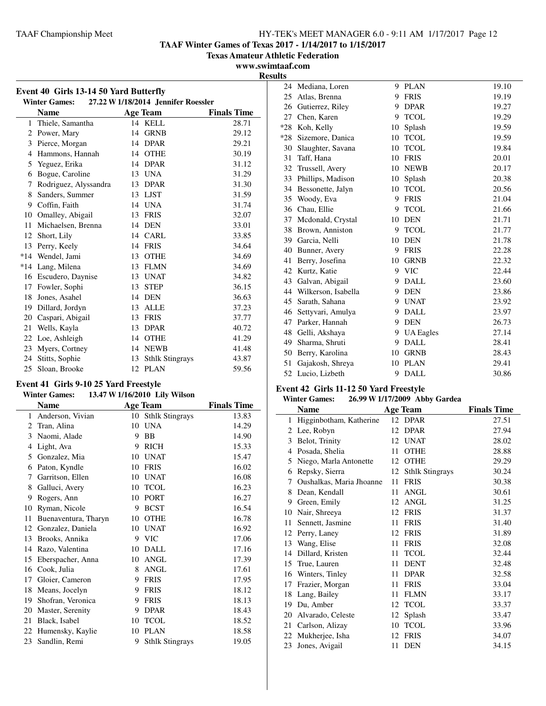**TAAF Winter Games of Texas 2017 - 1/14/2017 to 1/15/2017**

**Texas Amateur Athletic Federation**

**www.swimtaaf.com Results**

j.

| Event 40 Girls 13-14 50 Yard Butterfly |                                                             |    |                        |                    |  |  |
|----------------------------------------|-------------------------------------------------------------|----|------------------------|--------------------|--|--|
|                                        | 27.22 W 1/18/2014 Jennifer Roessler<br><b>Winter Games:</b> |    |                        |                    |  |  |
|                                        | <b>Name</b>                                                 |    | <b>Age Team</b>        | <b>Finals Time</b> |  |  |
| 1                                      | Thiele, Samantha                                            |    | 14 KELL                | 28.71              |  |  |
| 2                                      | Power, Mary                                                 |    | 14 GRNB                | 29.12              |  |  |
| 3                                      | Pierce, Morgan                                              | 14 | <b>DPAR</b>            | 29.21              |  |  |
| $\overline{4}$                         | Hammons, Hannah                                             | 14 | <b>OTHE</b>            | 30.19              |  |  |
| 5                                      | Yeguez, Erika                                               |    | 14 DPAR                | 31.12              |  |  |
| 6                                      | Bogue, Caroline                                             |    | 13 UNA                 | 31.29              |  |  |
| 7                                      | Rodriguez, Alyssandra                                       | 13 | <b>DPAR</b>            | 31.30              |  |  |
| 8                                      | Sanders, Summer                                             |    | 13 LJST                | 31.59              |  |  |
| 9                                      | Coffin, Faith                                               | 14 | <b>UNA</b>             | 31.74              |  |  |
| 10                                     | Omalley, Abigail                                            | 13 | <b>FRIS</b>            | 32.07              |  |  |
| 11                                     | Michaelsen, Brenna                                          | 14 | DEN                    | 33.01              |  |  |
| 12                                     | Short, Lily                                                 |    | 14 CARL                | 33.85              |  |  |
| 13                                     | Perry, Keely                                                | 14 | <b>FRIS</b>            | 34.64              |  |  |
| $*14$                                  | Wendel, Jami                                                | 13 | <b>OTHE</b>            | 34.69              |  |  |
| $*14$                                  | Lang, Milena                                                | 13 | <b>FLMN</b>            | 34.69              |  |  |
| 16                                     | Escudero, Daynise                                           | 13 | <b>UNAT</b>            | 34.82              |  |  |
| 17                                     | Fowler, Sophi                                               | 13 | <b>STEP</b>            | 36.15              |  |  |
| 18                                     | Jones, Asahel                                               | 14 | <b>DEN</b>             | 36.63              |  |  |
| 19                                     | Dillard, Jordyn                                             | 13 | <b>ALLE</b>            | 37.23              |  |  |
| 20                                     | Caspari, Abigail                                            | 13 | <b>FRIS</b>            | 37.77              |  |  |
| 21                                     | Wells, Kayla                                                | 13 | <b>DPAR</b>            | 40.72              |  |  |
| 22                                     | Loe, Ashleigh                                               | 14 | <b>OTHE</b>            | 41.29              |  |  |
| 23                                     | Myers, Cortney                                              | 14 | <b>NEWB</b>            | 41.48              |  |  |
| 24                                     | Stitts, Sophie                                              | 13 | <b>Sthlk Stingrays</b> | 43.87              |  |  |
| 25                                     | Sloan, Brooke                                               | 12 | <b>PLAN</b>            | 59.56              |  |  |

### **Event 41 Girls 9-10 25 Yard Freestyle Winter Games: 13.47 W1/16/2010 Lily Wilson**

| mun omnos<br>$1.0477$ $1.1072010$ $1.017$ |                      |    |                        |                    |  |
|-------------------------------------------|----------------------|----|------------------------|--------------------|--|
|                                           | <b>Name</b>          |    | <b>Age Team</b>        | <b>Finals Time</b> |  |
| 1                                         | Anderson, Vivian     |    | 10 Sthlk Stingrays     | 13.83              |  |
| 2                                         | Tran, Alina          | 10 | <b>UNA</b>             | 14.29              |  |
| 3                                         | Naomi, Alade         | 9  | <b>BB</b>              | 14.90              |  |
| 4                                         | Light, Ava           | 9  | <b>RICH</b>            | 15.33              |  |
| 5                                         | Gonzalez, Mia        | 10 | <b>UNAT</b>            | 15.47              |  |
| 6                                         | Paton, Kyndle        | 10 | <b>FRIS</b>            | 16.02              |  |
| 7                                         | Garritson, Ellen     | 10 | <b>UNAT</b>            | 16.08              |  |
| 8                                         | Galluci, Avery       | 10 | <b>TCOL</b>            | 16.23              |  |
| 9                                         | Rogers, Ann          | 10 | <b>PORT</b>            | 16.27              |  |
| 10                                        | Ryman, Nicole        | 9  | <b>BCST</b>            | 16.54              |  |
| 11                                        | Buenaventura, Tharyn | 10 | <b>OTHE</b>            | 16.78              |  |
| 12                                        | Gonzalez, Daniela    | 10 | <b>UNAT</b>            | 16.92              |  |
| 13                                        | Brooks, Annika       | 9  | VIC                    | 17.06              |  |
| 14                                        | Razo, Valentina      | 10 | <b>DALL</b>            | 17.16              |  |
| 15                                        | Eberspacher, Anna    | 10 | ANGL                   | 17.39              |  |
| 16                                        | Cook, Julia          | 8  | <b>ANGL</b>            | 17.61              |  |
| 17                                        | Gloier, Cameron      | 9  | <b>FRIS</b>            | 17.95              |  |
| 18                                        | Means, Jocelyn       | 9  | <b>FRIS</b>            | 18.12              |  |
| 19                                        | Shofran, Veronica    | 9  | <b>FRIS</b>            | 18.13              |  |
| 20                                        | Master, Serenity     | 9  | <b>DPAR</b>            | 18.43              |  |
| 21                                        | Black, Isabel        | 10 | <b>TCOL</b>            | 18.52              |  |
| 22                                        | Humensky, Kaylie     | 10 | <b>PLAN</b>            | 18.58              |  |
| 23                                        | Sandlin, Remi        | 9  | <b>Sthlk Stingrays</b> | 19.05              |  |

| 24    | Mediana, Loren      | 9  | <b>PLAN</b>      | 19.10 |
|-------|---------------------|----|------------------|-------|
| 25    | Atlas, Brenna       | 9  | <b>FRIS</b>      | 19.19 |
| 26    | Gutierrez, Riley    | 9  | <b>DPAR</b>      | 19.27 |
| 27    | Chen, Karen         | 9  | <b>TCOL</b>      | 19.29 |
| $*28$ | Koh, Kelly          | 10 | Splash           | 19.59 |
| $*28$ | Sizemore, Danica    | 10 | <b>TCOL</b>      | 19.59 |
| 30    | Slaughter, Savana   | 10 | <b>TCOL</b>      | 19.84 |
| 31    | Taff, Hana          | 10 | <b>FRIS</b>      | 20.01 |
| 32    | Trussell, Avery     | 10 | <b>NEWB</b>      | 20.17 |
| 33    | Phillips, Madison   | 10 | Splash           | 20.38 |
| 34    | Bessonette, Jalyn   | 10 | <b>TCOL</b>      | 20.56 |
| 35    | Woody, Eva          | 9  | <b>FRIS</b>      | 21.04 |
| 36    | Chau, Ellie         | 9  | <b>TCOL</b>      | 21.66 |
| 37    | Mcdonald, Crystal   | 10 | <b>DEN</b>       | 21.71 |
| 38    | Brown, Anniston     | 9  | <b>TCOL</b>      | 21.77 |
| 39    | Garcia, Nelli       | 10 | <b>DEN</b>       | 21.78 |
| 40    | Bunner, Avery       | 9  | <b>FRIS</b>      | 22.28 |
| 41    | Berry, Josefina     | 10 | <b>GRNB</b>      | 22.32 |
| 42    | Kurtz, Katie        |    | 9 VIC            | 22.44 |
| 43    | Galvan, Abigail     | 9  | <b>DALL</b>      | 23.60 |
| 44    | Wilkerson, Isabella | 9  | <b>DEN</b>       | 23.86 |
| 45    | Sarath, Sahana      | 9  | <b>UNAT</b>      | 23.92 |
| 46    | Settyvari, Amulya   | 9  | <b>DALL</b>      | 23.97 |
| 47    | Parker, Hannah      | 9  | <b>DEN</b>       | 26.73 |
| 48    | Gelli, Akshaya      | 9  | <b>UA Eagles</b> | 27.14 |
| 49    | Sharma, Shruti      | 9  | <b>DALL</b>      | 28.41 |
| 50    | Berry, Karolina     | 10 | <b>GRNB</b>      | 28.43 |
| 51    | Gajakosh, Shreya    | 10 | <b>PLAN</b>      | 29.41 |
|       | 52 Lucio, Lizbeth   | 9  | DALL             | 30.86 |
|       |                     |    |                  |       |

# **Event 42 Girls 11-12 50 Yard Freestyle**

| <b>Winter Games:</b> | 26.99 W 1/17/2009 Abby Gardea |  |
|----------------------|-------------------------------|--|
|----------------------|-------------------------------|--|

|              | <b>Name</b>              |    | <b>Age Team</b>        | <b>Finals Time</b> |
|--------------|--------------------------|----|------------------------|--------------------|
| $\mathbf{1}$ | Higginbotham, Katherine  |    | 12 DPAR                | 27.51              |
| 2            | Lee, Robyn               | 12 | <b>DPAR</b>            | 27.94              |
| 3            | Belot, Trinity           | 12 | <b>UNAT</b>            | 28.02              |
| 4            | Posada, Shelia           | 11 | <b>OTHE</b>            | 28.88              |
| 5            | Niego, Marla Antonette   | 12 | <b>OTHE</b>            | 29.29              |
| 6            | Repsky, Sierra           | 12 | <b>Sthlk Stingrays</b> | 30.24              |
| 7            | Oushalkas, Maria Jhoanne | 11 | <b>FRIS</b>            | 30.38              |
| 8            | Dean, Kendall            | 11 | ANGL                   | 30.61              |
| 9            | Green, Emily             | 12 | <b>ANGL</b>            | 31.25              |
| 10           | Nair, Shreeya            | 12 | <b>FRIS</b>            | 31.37              |
| 11           | Sennett, Jasmine         | 11 | <b>FRIS</b>            | 31.40              |
| 12           | Perry, Laney             | 12 | <b>FRIS</b>            | 31.89              |
| 13           | Wang, Elise              | 11 | <b>FRIS</b>            | 32.08              |
| 14           | Dillard, Kristen         | 11 | <b>TCOL</b>            | 32.44              |
| 15           | True, Lauren             | 11 | <b>DENT</b>            | 32.48              |
| 16           | Winters, Tinley          | 11 | <b>DPAR</b>            | 32.58              |
| 17           | Frazier, Morgan          | 11 | <b>FRIS</b>            | 33.04              |
| 18           | Lang, Bailey             | 11 | <b>FLMN</b>            | 33.17              |
| 19           | Du, Amber                | 12 | <b>TCOL</b>            | 33.37              |
| 20           | Alvarado, Celeste        | 12 | Splash                 | 33.47              |
| 21           | Carlson, Alizay          | 10 | <b>TCOL</b>            | 33.96              |
| 22           | Mukherjee, Isha          | 12 | <b>FRIS</b>            | 34.07              |
| 23           | Jones, Avigail           | 11 | <b>DEN</b>             | 34.15              |
|              |                          |    |                        |                    |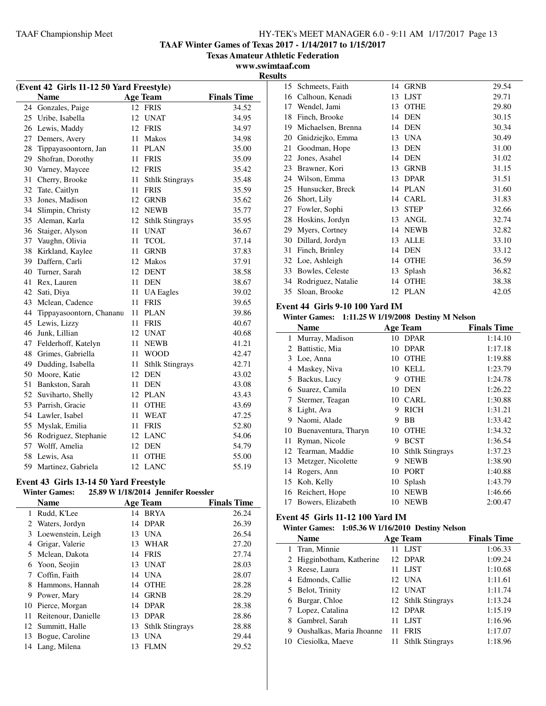**TAAF Winter Games of Texas 2017 - 1/14/2017 to 1/15/2017**

**Texas Amateur Athletic Federation**

**www.swimtaaf.com**

| (Event 42 Girls 11-12 50 Yard Freestyle) |                          |    |                        |                    |  |
|------------------------------------------|--------------------------|----|------------------------|--------------------|--|
|                                          | <b>Name</b>              |    | <b>Age Team</b>        | <b>Finals Time</b> |  |
|                                          | 24 Gonzales, Paige       |    | 12 FRIS                | 34.52              |  |
|                                          | 25 Uribe, Isabella       |    | 12 UNAT                | 34.95              |  |
| 26                                       | Lewis, Maddy             |    | 12 FRIS                | 34.97              |  |
| 27                                       | Demers, Avery            | 11 | Makos                  | 34.98              |  |
| 28                                       | Tippayasoontorn, Jan     | 11 | <b>PLAN</b>            | 35.00              |  |
| 29                                       | Shofran, Dorothy         | 11 | <b>FRIS</b>            | 35.09              |  |
| 30                                       | Varney, Maycee           |    | 12 FRIS                | 35.42              |  |
| 31                                       | Cherry, Brooke           | 11 | <b>Sthlk Stingrays</b> | 35.48              |  |
| 32                                       | Tate, Caitlyn            | 11 | <b>FRIS</b>            | 35.59              |  |
| 33                                       | Jones, Madison           |    | 12 GRNB                | 35.62              |  |
| 34                                       | Slimpin, Christy         |    | 12 NEWB                | 35.77              |  |
| 35                                       | Aleman, Karla            | 12 | <b>Sthlk Stingrays</b> | 35.95              |  |
| 36                                       | Staiger, Alyson          | 11 | <b>UNAT</b>            | 36.67              |  |
| 37                                       | Vaughn, Olivia           | 11 | <b>TCOL</b>            | 37.14              |  |
| 38                                       | Kirkland, Kaylee         | 11 | <b>GRNB</b>            | 37.83              |  |
| 39                                       | Daffern, Carli           |    | 12 Makos               | 37.91              |  |
| 40                                       | Turner, Sarah            | 12 | <b>DENT</b>            | 38.58              |  |
| 41                                       | Rex, Lauren              | 11 | <b>DEN</b>             | 38.67              |  |
| 42                                       | Sati, Diya               |    | 11 UA Eagles           | 39.02              |  |
| 43                                       | Mclean, Cadence          | 11 | <b>FRIS</b>            | 39.65              |  |
| 44                                       | Tippayasoontorn, Chananu | 11 | <b>PLAN</b>            | 39.86              |  |
| 45                                       | Lewis, Lizzy             | 11 | <b>FRIS</b>            | 40.67              |  |
| 46                                       | Junk, Lillian            | 12 | UNAT                   | 40.68              |  |
| 47                                       | Felderhoff, Katelyn      | 11 | <b>NEWB</b>            | 41.21              |  |
| 48                                       | Grimes, Gabriella        |    | 11 WOOD                | 42.47              |  |
| 49                                       | Dudding, Isabella        | 11 | <b>Sthlk Stingrays</b> | 42.71              |  |
| 50                                       | Moore, Katie             | 12 | <b>DEN</b>             | 43.02              |  |
| 51                                       | Bankston, Sarah          | 11 | <b>DEN</b>             | 43.08              |  |
| 52                                       | Suviharto, Shelly        |    | 12 PLAN                | 43.43              |  |
| 53                                       | Parrish, Gracie          | 11 | <b>OTHE</b>            | 43.69              |  |
| 54                                       | Lawler, Isabel           | 11 | <b>WEAT</b>            | 47.25              |  |
| 55                                       | Myslak, Emilia           | 11 | <b>FRIS</b>            | 52.80              |  |
| 56                                       | Rodriguez, Stephanie     |    | 12 LANC                | 54.06              |  |
| 57                                       | Wolff, Amelia            |    | 12 DEN                 | 54.79              |  |
| 58                                       | Lewis, Asa               | 11 | <b>OTHE</b>            | 55.00              |  |
| 59                                       | Martinez, Gabriela       | 12 | <b>LANC</b>            | 55.19              |  |

### **Event 43 Girls 13-14 50 Yard Freestyle**

# **Winter Games: 25.89 W1/18/2014 Jennifer Roessler**

|    | <b>Name</b>          |    | <b>Age Team</b>    | <b>Finals Time</b> |
|----|----------------------|----|--------------------|--------------------|
|    | Rudd, K'Lee          |    | 14 BRYA            | 26.24              |
| 2  | Waters, Jordyn       |    | 14 DPAR            | 26.39              |
|    | 3 Loewenstein, Leigh | 13 | <b>UNA</b>         | 26.54              |
| 4  | Grigar, Valerie      | 13 | WHAR               | 27.20              |
|    | 5 Mclean, Dakota     | 14 | <b>FRIS</b>        | 27.74              |
| 6  | Yoon, Seojin         |    | 13 UNAT            | 28.03              |
|    | Coffin, Faith        | 14 | UNA                | 28.07              |
| 8  | Hammons, Hannah      | 14 | OTHE               | 28.28              |
| 9  | Power, Mary          | 14 | <b>GRNB</b>        | 28.29              |
| 10 | Pierce, Morgan       |    | 14 DPAR            | 28.38              |
| 11 | Reitenour, Danielle  | 13 | <b>DPAR</b>        | 28.86              |
| 12 | Summitt, Halle       |    | 13 Sthlk Stingrays | 28.88              |
| 13 | Bogue, Caroline      | 13 | <b>UNA</b>         | 29.44              |
| 14 | Lang, Milena         | 13 | <b>FLMN</b>        | 29.52              |
|    |                      |    |                    |                    |

| <b>Results</b> |                    |    |             |       |
|----------------|--------------------|----|-------------|-------|
| 15             | Schmeets, Faith    | 14 | <b>GRNB</b> | 29.54 |
| 16             | Calhoun, Kenadi    | 13 | <b>LJST</b> | 29.71 |
| 17             | Wendel, Jami       | 13 | <b>OTHE</b> | 29.80 |
| 18             | Finch, Brooke      | 14 | <b>DEN</b>  | 30.15 |
| 19             | Michaelsen, Brenna | 14 | <b>DEN</b>  | 30.34 |
| 20             | Gnidziejko, Emma   | 13 | UNA         | 30.49 |
| 21             | Goodman, Hope      | 13 | <b>DEN</b>  | 31.00 |
| 22             | Jones, Asahel      | 14 | <b>DEN</b>  | 31.02 |
| 23             | Brawner, Kori      | 13 | <b>GRNB</b> | 31.15 |
| 24             | Wilson, Emma       | 13 | <b>DPAR</b> | 31.51 |
| 25             | Hunsucker, Breck   | 14 | <b>PLAN</b> | 31.60 |
| 26             | Short, Lily        | 14 | CARL        | 31.83 |
| 27             | Fowler, Sophi      | 13 | <b>STEP</b> | 32.66 |
| 28             | Hoskins, Jordyn    | 13 | <b>ANGL</b> | 32.74 |
| 29             | Myers, Cortney     | 14 | <b>NEWB</b> | 32.82 |
| 30             | Dillard, Jordyn    | 13 | <b>ALLE</b> | 33.10 |
| 31             | Finch, Brinley     | 14 | <b>DEN</b>  | 33.12 |
|                | 32 Loe, Ashleigh   | 14 | <b>OTHE</b> | 36.59 |
| 33             | Bowles, Celeste    | 13 | Splash      | 36.82 |
| 34             | Rodriguez, Natalie | 14 | <b>OTHE</b> | 38.38 |
| 35             | Sloan, Brooke      | 12 | <b>PLAN</b> | 42.05 |
|                |                    |    |             |       |

### **Event 44 Girls 9-10 100 Yard IM**

### **Winter Games: 1:11.25 W1/19/2008 Destiny M Nelson**

|    | <b>Name</b>          |    | <b>Age Team</b>        | <b>Finals Time</b> |
|----|----------------------|----|------------------------|--------------------|
| 1  | Murray, Madison      | 10 | <b>DPAR</b>            | 1:14.10            |
| 2  | Battistic, Mia       | 10 | <b>DPAR</b>            | 1:17.18            |
| 3  | Loe, Anna            | 10 | <b>OTHE</b>            | 1:19.88            |
| 4  | Maskey, Niva         | 10 | <b>KELL</b>            | 1:23.79            |
| 5  | Backus, Lucy         | 9  | <b>OTHE</b>            | 1:24.78            |
| 6  | Suarez, Camila       | 10 | <b>DEN</b>             | 1:26.22            |
| 7  | Stermer, Teagan      | 10 | <b>CARL</b>            | 1:30.88            |
| 8  | Light, Ava           | 9  | <b>RICH</b>            | 1:31.21            |
| 9  | Naomi, Alade         | 9  | <b>BB</b>              | 1:33.42            |
| 10 | Buenaventura, Tharyn | 10 | <b>OTHE</b>            | 1:34.32            |
| 11 | Ryman, Nicole        | 9  | <b>BCST</b>            | 1:36.54            |
|    | 12 Tearman, Maddie   | 10 | <b>Sthlk Stingrays</b> | 1:37.23            |
| 13 | Metzger, Nicolette   | 9  | <b>NEWB</b>            | 1:38.90            |
| 14 | Rogers, Ann          | 10 | PORT                   | 1:40.88            |
| 15 | Koh, Kelly           | 10 | Splash                 | 1:43.79            |
| 16 | Reichert, Hope       | 10 | <b>NEWB</b>            | 1:46.66            |
| 17 | Bowers, Elizabeth    | 10 | <b>NEWB</b>            | 2:00.47            |

# **Event 45 Girls 11-12 100 Yard IM**

# **Winter Games: 1:05.36 W1/16/2010 Destiny Nelson**

|   | <b>Name</b>               |    | <b>Age Team</b>        | <b>Finals Time</b> |
|---|---------------------------|----|------------------------|--------------------|
|   | 1 Tran, Minnie            |    | LJST                   | 1:06.33            |
|   | 2 Higginbotham, Katherine |    | 12 DPAR                | 1:09.24            |
|   | 3 Reese, Laura            |    | 11 LJST                | 1:10.68            |
|   | 4 Edmonds, Callie         |    | 12 UNA                 | 1:11.61            |
|   | 5 Belot, Trinity          |    | 12 UNAT                | 1:11.74            |
|   | 6 Burgar, Chloe           |    | 12 Sthlk Stingrays     | 1:13.24            |
|   | 7 Lopez, Catalina         |    | 12 DPAR                | 1:15.19            |
|   | Gambrel, Sarah            | 11 | LJST                   | 1:16.96            |
| 9 | Oushalkas, Maria Jhoanne  | 11 | <b>FRIS</b>            | 1:17.07            |
|   | 10 Ciesiolka, Maeve       | 11 | <b>Sthlk Stingrays</b> | 1:18.96            |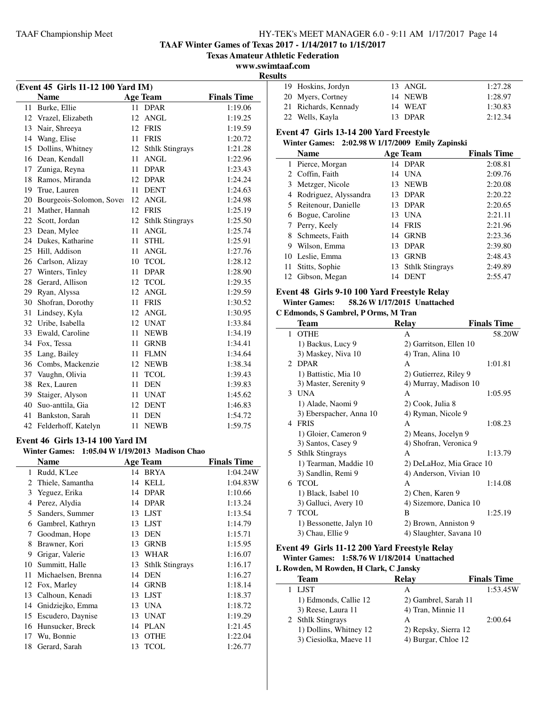**(Event 45 Girls 11-12 100 Yard IM)**

### TAAF Championship Meet HY-TEK's MEET MANAGER 6.0 - 9:11 AM 1/17/2017 Page 14

**TAAF Winter Games of Texas 2017 - 1/14/2017 to 1/15/2017**

**Texas Amateur Athletic Federation**

**www.swimtaaf.com**

 $\overline{a}$ 

**Results**

|    | <b>Name</b>                             |    | <b>Age Team</b>                  | <b>Finals Time</b> |
|----|-----------------------------------------|----|----------------------------------|--------------------|
|    | 11 Burke, Ellie                         |    | 11 DPAR                          | 1:19.06            |
|    | 12 Vrazel, Elizabeth                    |    | 12 ANGL                          | 1:19.25            |
| 13 | Nair, Shreeya                           |    | 12 FRIS                          | 1:19.59            |
|    | 14 Wang, Elise                          |    | 11 FRIS                          | 1:20.72            |
| 15 | Dollins, Whitney                        |    | 12 Sthlk Stingrays               | 1:21.28            |
|    | 16 Dean, Kendall                        | 11 | <b>ANGL</b>                      | 1:22.96            |
|    | 17 Zuniga, Reyna                        | 11 | <b>DPAR</b>                      | 1:23.43            |
|    | 18 Ramos, Miranda                       |    | 12 DPAR                          | 1:24.24            |
|    | 19 True, Lauren                         | 11 | <b>DENT</b>                      | 1:24.63            |
|    | 20 Bourgeois-Solomon, Sover             |    | 12 ANGL                          | 1:24.98            |
| 21 | Mather, Hannah                          |    | 12 FRIS                          | 1:25.19            |
|    | 22 Scott, Jordan                        |    | 12 Sthlk Stingrays               | 1:25.50            |
|    | 23 Dean, Mylee                          | 11 | <b>ANGL</b>                      | 1:25.74            |
|    | 24 Dukes, Katharine                     | 11 | <b>STHL</b>                      | 1:25.91            |
|    | 25 Hill, Addison                        | 11 | <b>ANGL</b>                      | 1:27.76            |
|    | 26 Carlson, Alizay                      |    | 10 TCOL                          | 1:28.12            |
|    | 27 Winters, Tinley                      | 11 | <b>DPAR</b>                      | 1:28.90            |
| 28 | Gerard, Allison                         |    | 12 TCOL                          | 1:29.35            |
|    | 29 Ryan, Alyssa                         | 12 | ANGL                             | 1:29.59            |
| 30 | Shofran, Dorothy                        | 11 | <b>FRIS</b>                      | 1:30.52            |
| 31 | Lindsey, Kyla                           | 12 | <b>ANGL</b>                      | 1:30.95            |
|    | 32 Uribe, Isabella                      | 12 | UNAT                             | 1:33.84            |
|    | 33 Ewald, Caroline                      | 11 | <b>NEWB</b>                      | 1:34.19            |
|    | 34 Fox, Tessa                           | 11 | <b>GRNB</b>                      | 1:34.41            |
|    | 35 Lang, Bailey                         |    | 11 FLMN                          | 1:34.64            |
|    | 36 Combs, Mackenzie                     |    | 12 NEWB                          | 1:38.34            |
|    | 37 Vaughn, Olivia                       | 11 | <b>TCOL</b>                      | 1:39.43            |
|    | 38 Rex, Lauren                          | 11 | <b>DEN</b>                       | 1:39.83            |
|    | 39 Staiger, Alyson                      |    | 11 UNAT                          | 1:45.62            |
|    | 40 Suo-anttila, Gia                     |    | 12 DENT                          | 1:46.83            |
| 41 | Bankston, Sarah                         | 11 | <b>DEN</b>                       | 1:54.72            |
|    | 42 Felderhoff, Katelyn                  |    | 11 NEWB                          | 1:59.75            |
|    | <b>Event 46 Girls 13-14 100 Yard IM</b> |    |                                  |                    |
|    | <b>Winter Games:</b>                    |    | 1:05.04 W 1/19/2013 Madison Chao |                    |
|    | <b>Name</b>                             |    | <b>Age Team</b>                  | <b>Finals Time</b> |
| 1  | Rudd, K'Lee                             |    | 14 BRYA                          | 1:04.24W           |
| 2  | Thiele, Samantha                        |    | 14 KELL                          | 1:04.83W           |
|    | 3 Yeguez, Erika                         |    | 14 DPAR                          | 1:10.66            |
|    | 4 Perez, Alydia                         |    | 14 DPAR                          | 1:13.24            |
|    | 5 Sanders, Summer                       | 13 | LJST                             | 1:13.54            |
|    | 6 Gambrel, Kathryn                      | 13 | <b>LJST</b>                      | 1:14.79            |
| 7  | Goodman, Hope                           | 13 | DEN                              | 1:15.71            |
| 8  | Brawner, Kori                           |    | 13 GRNB                          | 1:15.95            |
| 9  | Grigar, Valerie                         | 13 | WHAR                             | 1:16.07            |
| 10 | Summitt, Halle                          | 13 | <b>Sthlk Stingrays</b>           | 1:16.17            |
| 11 | Michaelsen, Brenna                      |    | 14 DEN                           | 1:16.27            |
| 12 | Fox, Marley                             |    | 14 GRNB                          | 1:18.14            |
| 13 | Calhoun, Kenadi                         | 13 | <b>LJST</b>                      | 1:18.37            |
| 14 | Gnidziejko, Emma                        | 13 | <b>UNA</b>                       | 1:18.72            |
| 15 | Escudero, Daynise                       | 13 | UNAT                             | 1:19.29            |
| 16 | Hunsucker, Breck                        | 14 | <b>PLAN</b>                      | 1:21.45            |
| 17 | Wu, Bonnie                              | 13 | <b>OTHE</b>                      | 1:22.04            |
|    |                                         |    |                                  |                    |

18 Gerard, Sarah 13 TCOL 1:26.77

| . . |                      |         |         |
|-----|----------------------|---------|---------|
|     | 19 Hoskins, Jordyn   | 13 ANGL | 1:27.28 |
|     | 20 Myers, Cortney    | 14 NEWB | 1:28.97 |
|     | 21 Richards, Kennady | 14 WEAT | 1:30.83 |
|     | 22 Wells, Kayla      | 13 DPAR | 2:12.34 |

# **Event 47 Girls 13-14 200 Yard Freestyle**

### **Winter Games: 2:02.98 W1/17/2009 Emily Zapinski**

|    | <b>Name</b>             |    | <b>Age Team</b>    | <b>Finals Time</b> |
|----|-------------------------|----|--------------------|--------------------|
|    | 1 Pierce, Morgan        |    | 14 DPAR            | 2:08.81            |
|    | 2 Coffin, Faith         |    | 14 UNA             | 2:09.76            |
| 3  | Metzger, Nicole         |    | 13 NEWB            | 2:20.08            |
|    | 4 Rodriguez, Alyssandra |    | 13 DPAR            | 2:20.22            |
|    | 5 Reitenour, Danielle   |    | 13 DPAR            | 2:20.65            |
| 6  | Bogue, Caroline         | 13 | UNA                | 2:21.11            |
|    | Perry, Keely            |    | 14 FRIS            | 2:21.96            |
|    | 8 Schmeets, Faith       |    | 14 GRNB            | 2:23.36            |
| 9  | Wilson, Emma            | 13 | <b>DPAR</b>        | 2:39.80            |
|    | 10 Leslie, Emma         | 13 | <b>GRNB</b>        | 2:48.43            |
| 11 | Stitts, Sophie          |    | 13 Sthlk Stingrays | 2:49.89            |
| 12 | Gibson, Megan           | 14 | <b>DENT</b>        | 2:55.47            |

# **Event 48 Girls 9-10 100 Yard Freestyle Relay**

### **Winter Games: 58.26 W1/17/2015 Unattached**

**C Edmonds, S Gambrel, P Orms, M Tran**

| Team                       | <b>Relay</b>             | <b>Finals Time</b> |
|----------------------------|--------------------------|--------------------|
| <b>OTHE</b><br>1           | A                        | 58.20W             |
| 1) Backus, Lucy 9          | 2) Garritson, Ellen 10   |                    |
| 3) Maskey, Niva 10         | 4) Tran, Alina 10        |                    |
| <b>DPAR</b><br>$2^{\circ}$ | A                        | 1:01.81            |
| 1) Battistic, Mia 10       | 2) Gutierrez, Riley 9    |                    |
| 3) Master, Serenity 9      | 4) Murray, Madison 10    |                    |
| <b>UNA</b><br>3            | A                        | 1:05.95            |
| 1) Alade, Naomi 9          | 2) Cook, Julia 8         |                    |
| 3) Eberspacher, Anna 10    | 4) Ryman, Nicole 9       |                    |
| <b>FRIS</b><br>4           | A                        | 1:08.23            |
| 1) Gloier, Cameron 9       | 2) Means, Jocelyn 9      |                    |
| 3) Santos, Casey 9         | 4) Shofran, Veronica 9   |                    |
| 5 Sthlk Stingrays          | A                        | 1:13.79            |
| 1) Tearman, Maddie 10      | 2) DeLaHoz, Mia Grace 10 |                    |
| 3) Sandlin, Remi 9         | 4) Anderson, Vivian 10   |                    |
| <b>TCOL</b><br>6           | A                        | 1:14.08            |
| 1) Black, Isabel 10        | 2) Chen, Karen 9         |                    |
| 3) Galluci, Avery 10       | 4) Sizemore, Danica 10   |                    |
| <b>TCOL</b><br>7           | B                        | 1:25.19            |
| 1) Bessonette, Jalyn 10    | 2) Brown, Anniston 9     |                    |
| 3) Chau, Ellie 9           | 4) Slaughter, Savana 10  |                    |

### **Event 49 Girls 11-12 200 Yard Freestyle Relay Winter Games: 1:58.76 W1/18/2014 Unattached L Rowden, M Rowden, H Clark, C Jansky**

| $\mu$ is $\mu$ and $\mu$ is the $\mu$ and $\mu$ is $\mu$ and $\mu$ |                      |                    |  |
|--------------------------------------------------------------------|----------------------|--------------------|--|
| Team                                                               | Relay                | <b>Finals Time</b> |  |
| 1 LJST                                                             | А                    | 1:53.45W           |  |
| 1) Edmonds, Callie 12                                              | 2) Gambrel, Sarah 11 |                    |  |
| 3) Reese, Laura 11                                                 | 4) Tran, Minnie 11   |                    |  |
| 2 Sthlk Stingrays                                                  | А                    | 2:00.64            |  |
| 1) Dollins, Whitney 12                                             | 2) Repsky, Sierra 12 |                    |  |
| 3) Ciesiolka, Maeve 11                                             | 4) Burgar, Chloe 12  |                    |  |
|                                                                    |                      |                    |  |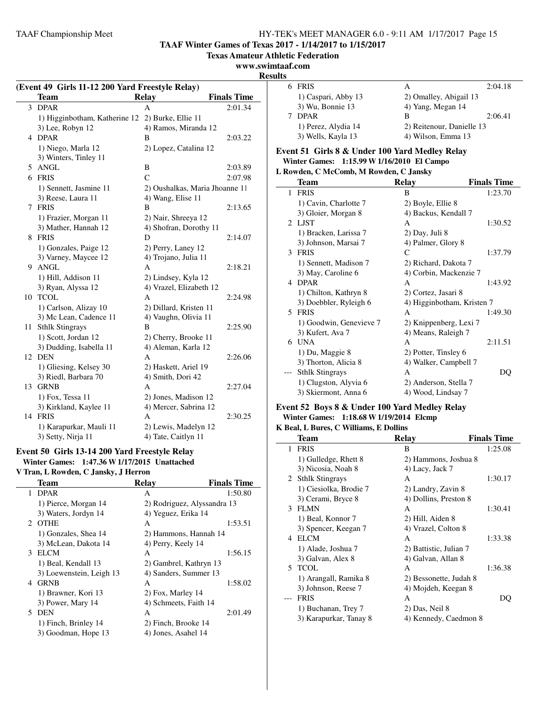**TAAF Winter Games of Texas 2017 - 1/14/2017 to 1/15/2017**

**Texas Amateur Athletic Federation**

### **www.swimtaaf.com**

**Results**

| (Event 49 Girls 11-12 200 Yard Freestyle Relay) |                                                  |                                | 6 FF               |              |
|-------------------------------------------------|--------------------------------------------------|--------------------------------|--------------------|--------------|
|                                                 | Team                                             | <b>Relay</b>                   | <b>Finals Time</b> | 1)           |
|                                                 | 3 DPAR                                           | A                              | 2:01.34            | 3)           |
|                                                 | 1) Higginbotham, Katherine 12 2) Burke, Ellie 11 |                                |                    | DI<br>7      |
|                                                 | 3) Lee, Robyn 12                                 | 4) Ramos, Miranda 12           |                    | 1)           |
|                                                 | 4 DPAR                                           | B                              | 2:03.22            | 3)           |
|                                                 | 1) Niego, Marla 12                               | 2) Lopez, Catalina 12          |                    | Event 5      |
|                                                 | 3) Winters, Tinley 11                            |                                |                    | Winter       |
|                                                 | 5 ANGL                                           | B                              | 2:03.89            | L Rowde      |
|                                                 | 6 FRIS                                           | $\mathcal{C}$                  | 2:07.98            | Te           |
|                                                 | 1) Sennett, Jasmine 11                           | 2) Oushalkas, Maria Jhoanne 11 |                    | $\mathbf{1}$ |
|                                                 | 3) Reese, Laura 11                               | 4) Wang, Elise 11              |                    | FF           |
|                                                 | 7 FRIS                                           | B                              | 2:13.65            | 1)           |
|                                                 | 1) Frazier, Morgan 11                            | 2) Nair, Shreeya 12            |                    | 3)           |
|                                                 | 3) Mather, Hannah 12                             | 4) Shofran, Dorothy 11         |                    | 2 LJ         |
|                                                 | 8 FRIS                                           | D                              | 2:14.07            | 1)           |
|                                                 | 1) Gonzales, Paige 12                            | 2) Perry, Laney 12             |                    | 3)           |
|                                                 | 3) Varney, Maycee 12                             | 4) Trojano, Julia 11           |                    | 3 FF         |
|                                                 | 9 ANGL                                           | A                              | 2:18.21            | 1)           |
|                                                 | 1) Hill, Addison 11                              | 2) Lindsey, Kyla 12            |                    | 3)           |
|                                                 | 3) Ryan, Alyssa 12                               | 4) Vrazel, Elizabeth 12        |                    | 4 DI         |
|                                                 | 10 TCOL                                          | A                              | 2:24.98            | 1)           |
|                                                 | 1) Carlson, Alizay 10                            | 2) Dillard, Kristen 11         |                    | 3)           |
|                                                 | 3) Mc Lean, Cadence 11                           | 4) Vaughn, Olivia 11           |                    | 5 FF         |
|                                                 | 11 Sthlk Stingrays                               | B                              | 2:25.90            | 1)           |
|                                                 | 1) Scott, Jordan 12                              | 2) Cherry, Brooke 11           |                    | 3)           |
|                                                 | 3) Dudding, Isabella 11                          | 4) Aleman, Karla 12            |                    | 6 U          |
|                                                 | 12 DEN                                           | A                              | 2:26.06            | 1)           |
|                                                 | 1) Gliesing, Kelsey 30                           | 2) Haskett, Ariel 19           |                    | 3)           |
|                                                 | 3) Riedl, Barbara 70                             | 4) Smith, Dori 42              |                    | Stl          |
|                                                 | 13 GRNB                                          | A                              | 2:27.04            | 1)           |
|                                                 | 1) Fox, Tessa 11                                 | 2) Jones, Madison 12           |                    | 3)           |
|                                                 | 3) Kirkland, Kaylee 11                           | 4) Mercer, Sabrina 12          |                    | Event 5      |
|                                                 | 14 FRIS                                          | Α                              | 2:30.25            | Winter       |

4) Tate, Caitlyn 11

# **Event 50 Girls 13-14 200 Yard Freestyle Relay**

1) Karapurkar, Mauli 11 2) Lewis, Madelyn 12<br>3) Setty, Nirja 11 4) Tate, Caitlyn 11

**Winter Games: 1:47.36 W1/17/2015 Unattached**

**V Tran, L Rowden, C Jansky, J Herron**

| <b>Team</b>              | <b>Relay</b>           | <b>Finals Time</b>          |
|--------------------------|------------------------|-----------------------------|
| <b>DPAR</b><br>1         | A                      | 1:50.80                     |
| 1) Pierce, Morgan 14     |                        | 2) Rodriguez, Alyssandra 13 |
| 3) Waters, Jordyn 14     | 4) Yeguez, Erika 14    |                             |
| 2 OTHE                   | A                      | 1:53.51                     |
| 1) Gonzales, Shea 14     | 2) Hammons, Hannah 14  |                             |
| 3) McLean, Dakota 14     | 4) Perry, Keely 14     |                             |
| <b>ELCM</b><br>3         | A                      | 1:56.15                     |
| 1) Beal, Kendall 13      | 2) Gambrel, Kathryn 13 |                             |
| 3) Loewenstein, Leigh 13 | 4) Sanders, Summer 13  |                             |
| <b>GRNB</b><br>4         | A                      | 1:58.02                     |
| 1) Brawner, Kori 13      | 2) Fox, Marley 14      |                             |
| 3) Power, Mary 14        | 4) Schmeets, Faith 14  |                             |
| <b>DEN</b><br>5.         | A                      | 2:01.49                     |
| 1) Finch, Brinley 14     | 2) Finch, Brooke 14    |                             |
| 3) Goodman, Hope 13      | 4) Jones, Asahel 14    |                             |
|                          |                        |                             |

| LS |                     |                           |         |
|----|---------------------|---------------------------|---------|
|    | <b>FRIS</b>         | А                         | 2:04.18 |
|    | 1) Caspari, Abby 13 | 2) Omalley, Abigail 13    |         |
|    | 3) Wu, Bonnie 13    | 4) Yang, Megan 14         |         |
|    | <b>DPAR</b>         | в                         | 2:06.41 |
|    | 1) Perez, Alydia 14 | 2) Reitenour, Danielle 13 |         |
|    | 3) Wells, Kayla 13  | 4) Wilson, Emma 13        |         |

### **Event 51 Girls 8 & Under 100 Yard Medley Relay Winter Games: 1:15.99 W1/16/2010 El Campo**

| Rowden, C McComb, M Rowden, C Jansky |                         |                            |                    |
|--------------------------------------|-------------------------|----------------------------|--------------------|
|                                      | <b>Team</b>             | Relay                      | <b>Finals Time</b> |
| $\mathbf{1}$                         | <b>FRIS</b>             | B                          | 1:23.70            |
|                                      | 1) Cavin, Charlotte 7   | 2) Boyle, Ellie 8          |                    |
|                                      | 3) Gloier, Morgan 8     | 4) Backus, Kendall 7       |                    |
| $\mathcal{D}_{\mathcal{L}}$          | L IST                   | A                          | 1:30.52            |
|                                      | 1) Bracken, Larissa 7   | 2) Day, Juli 8             |                    |
|                                      | 3) Johnson, Marsai 7    | 4) Palmer, Glory 8         |                    |
| 3                                    | <b>FRIS</b>             | C                          | 1:37.79            |
|                                      | 1) Sennett, Madison 7   | 2) Richard, Dakota 7       |                    |
|                                      | 3) May, Caroline 6      | 4) Corbin, Mackenzie 7     |                    |
|                                      | 4 DPAR                  | A                          | 1:43.92            |
|                                      | 1) Chilton, Kathryn 8   | 2) Cortez, Jasari 8        |                    |
|                                      | 3) Doebbler, Ryleigh 6  | 4) Higginbotham, Kristen 7 |                    |
|                                      | 5 FRIS                  | A                          | 1:49.30            |
|                                      | 1) Goodwin, Genevieve 7 | 2) Knippenberg, Lexi 7     |                    |
|                                      | 3) Kufert, Ava 7        | 4) Means, Raleigh 7        |                    |
| 6                                    | <b>I</b> JNA            | A                          | 2:11.51            |
|                                      | 1) Du, Maggie 8         | 2) Potter, Tinsley 6       |                    |
|                                      | 3) Thorton, Alicia 8    | 4) Walker, Campbell 7      |                    |
|                                      | <b>Sthlk Stingrays</b>  | A                          | DO                 |
|                                      | 1) Clugston, Alyvia 6   | 2) Anderson, Stella 7      |                    |
|                                      | 3) Skiermont, Anna 6    | 4) Wood, Lindsay 7         |                    |
|                                      |                         |                            |                    |

### **Event 52 Boys 8 & Under 100 Yard Medley Relay Winter Games: 1:18.68 W1/19/2014 Elcmp**

### **K Beal, L Bures, C Williams, E Dollins**

|    | <b>Team</b>            | Relay                  | <b>Finals Time</b> |
|----|------------------------|------------------------|--------------------|
| 1  | <b>FRIS</b>            | B                      | 1:25.08            |
|    | 1) Gulledge, Rhett 8   | 2) Hammons, Joshua 8   |                    |
|    | 3) Nicosia, Noah 8     | 4) Lacy, Jack 7        |                    |
| 2  | <b>Sthlk Stingrays</b> | A                      | 1:30.17            |
|    | 1) Ciesiolka, Brodie 7 | 2) Landry, Zavin 8     |                    |
|    | 3) Cerami, Bryce 8     | 4) Dollins, Preston 8  |                    |
| 3  | <b>FLMN</b>            | A                      | 1:30.41            |
|    | 1) Beal, Konnor 7      | 2) Hill, Aiden 8       |                    |
|    | 3) Spencer, Keegan 7   | 4) Vrazel, Colton 8    |                    |
| 4  | <b>ELCM</b>            | A                      | 1:33.38            |
|    | 1) Alade, Joshua 7     | 2) Battistic, Julian 7 |                    |
|    | 3) Galvan, Alex 8      | 4) Galvan, Allan 8     |                    |
| 5. | <b>TCOL</b>            | A                      | 1:36.38            |
|    | 1) Arangall, Ramika 8  | 2) Bessonette, Judah 8 |                    |
|    | 3) Johnson, Reese 7    | 4) Mojdeh, Keegan 8    |                    |
|    | <b>FRIS</b>            | A                      | DO                 |
|    | 1) Buchanan, Trey 7    | 2) Das, Neil 8         |                    |
|    | 3) Karapurkar, Tanay 8 | 4) Kennedy, Caedmon 8  |                    |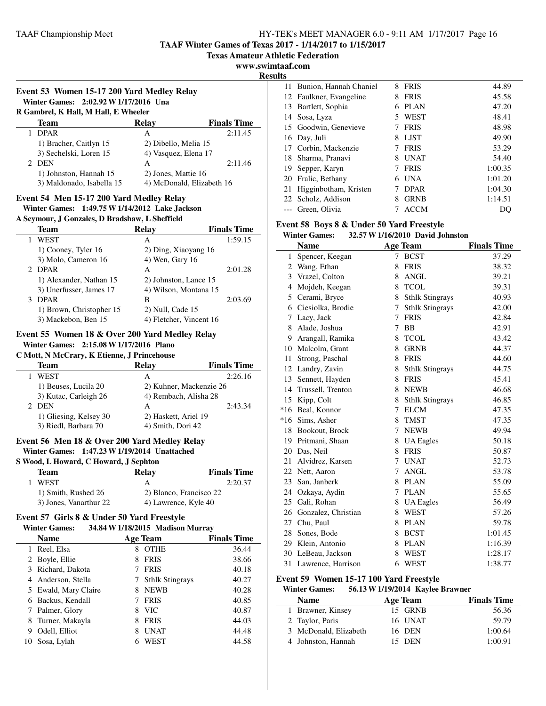**TAAF Winter Games of Texas 2017 - 1/14/2017 to 1/15/2017**

**Texas Amateur Athletic Federation**

**www.swimtaaf.com**

**Results**

| R Gambrel, K Hall, M Hall, E Wheeler |                           |                    |
|--------------------------------------|---------------------------|--------------------|
| Team                                 | Relay                     | <b>Finals Time</b> |
| <b>DPAR</b>                          | A                         | 2:11.45            |
| 1) Bracher, Caitlyn 15               | 2) Dibello, Melia 15      |                    |
| 3) Sechelski, Loren 15               | 4) Vasquez, Elena 17      |                    |
| 2 DEN                                | A                         | 2:11.46            |
| 1) Johnston, Hannah 15               | 2) Jones, Mattie 16       |                    |
| 3) Maldonado, Isabella 15            | 4) McDonald, Elizabeth 16 |                    |

### **A Seymour, J Gonzales, D Bradshaw, L Sheffield**

|       | Team                     | Relay                   | <b>Finals Time</b> |
|-------|--------------------------|-------------------------|--------------------|
|       | WEST                     | А                       | 1:59.15            |
|       | 1) Cooney, Tyler 16      | 2) Ding, Xiaoyang 16    |                    |
|       | 3) Molo, Cameron 16      | 4) Wen, Gary 16         |                    |
| $2 -$ | <b>DPAR</b>              | A                       | 2:01.28            |
|       | 1) Alexander, Nathan 15  | 2) Johnston, Lance 15   |                    |
|       | 3) Unerfusser, James 17  | 4) Wilson, Montana 15   |                    |
| 3     | <b>DPAR</b>              | В                       | 2:03.69            |
|       | 1) Brown, Christopher 15 | 2) Null, Cade 15        |                    |
|       | 3) Mackebon, Ben 15      | 4) Fletcher, Vincent 16 |                    |

### **Event 55 Women 18 & Over 200 Yard Medley Relay Winter Games: 2:15.08 W1/17/2016 Plano**

**C Mott, N McCrary, K Etienne, J Princehouse**

| <b>Team</b>            | Relay                 | <b>Finals Time</b>      |
|------------------------|-----------------------|-------------------------|
| WEST                   | А                     | 2:26.16                 |
| 1) Beuses, Lucila 20   |                       | 2) Kuhner, Mackenzie 26 |
| 3) Kutac, Carleigh 26  | 4) Rembach, Alisha 28 |                         |
| 2 DEN                  | А                     | 2:43.34                 |
| 1) Gliesing, Kelsey 30 | 2) Haskett, Ariel 19  |                         |
| 3) Riedl, Barbara 70   | 4) Smith, Dori 42     |                         |

# **Event 56 Men 18 & Over 200 Yard Medley Relay Winter Games: 1:47.23 W1/19/2014 Unattached**

# **S Wood, L Howard, C Howard, J Sephton**

| Team                   | Relav                | <b>Finals Time</b>      |
|------------------------|----------------------|-------------------------|
| <b>WEST</b>            |                      | 2:20.37                 |
| 1) Smith, Rushed 26    |                      | 2) Blanco, Francisco 22 |
| 3) Jones, Vanarthur 22 | 4) Lawrence, Kyle 40 |                         |

### **Event 57 Girls 8 & Under 50 Yard Freestyle**

| 34.84 W 1/18/2015 Madison Murray<br><b>Winter Games:</b> |                      |   |                        |                    |
|----------------------------------------------------------|----------------------|---|------------------------|--------------------|
|                                                          | <b>Name</b>          |   | <b>Age Team</b>        | <b>Finals Time</b> |
|                                                          | Reel, Elsa           | 8 | <b>OTHE</b>            | 36.44              |
|                                                          | 2 Boyle, Ellie       | 8 | <b>FRIS</b>            | 38.66              |
|                                                          | 3 Richard, Dakota    |   | <b>FRIS</b>            | 40.18              |
|                                                          | Anderson. Stella     |   | <b>Sthlk Stingrays</b> | 40.27              |
|                                                          | 5 Ewald, Mary Claire | 8 | <b>NEWB</b>            | 40.28              |
| 6                                                        | Backus, Kendall      |   | <b>FRIS</b>            | 40.85              |
|                                                          | Palmer, Glory        | 8 | <b>VIC</b>             | 40.87              |
| 8                                                        | Turner, Makayla      | 8 | <b>FRIS</b>            | 44.03              |
| 9                                                        | Odell, Elliot        | 8 | <b>UNAT</b>            | 44.48              |
| 10-                                                      | Sosa, Lylah          | 6 | WEST                   | 44.58              |

| 11 | Bunion, Hannah Chaniel  | 8  | <b>FRIS</b> | 44.89   |
|----|-------------------------|----|-------------|---------|
|    | 12 Faulkner, Evangeline | 8  | <b>FRIS</b> | 45.58   |
|    | 13 Bartlett, Sophia     | 6  | <b>PLAN</b> | 47.20   |
|    | 14 Sosa, Lyza           | 5. | WEST        | 48.41   |
|    | 15 Goodwin, Genevieve   |    | <b>FRIS</b> | 48.98   |
|    | 16 Day, Juli            | 8  | <b>LIST</b> | 49.90   |
|    | 17 Corbin, Mackenzie    |    | <b>FRIS</b> | 53.29   |
| 18 | Sharma, Pranavi         | 8  | <b>UNAT</b> | 54.40   |
|    | 19 Sepper, Karyn        |    | <b>FRIS</b> | 1:00.35 |
|    | 20 Fralic, Bethany      | 6  | <b>UNA</b>  | 1:01.20 |
| 21 | Higginbotham, Kristen   |    | <b>DPAR</b> | 1:04.30 |
|    | 22 Scholz, Addison      | 8  | <b>GRNB</b> | 1:14.51 |
|    | Green, Olivia           |    | <b>ACCM</b> |         |

#### **Event 58 Boys 8 & Under 50 Yard Freestyle Winter Games: 32.57 W1/16/2010 David Johnston**

| минсі дашсэ.<br>$32.37$ W 1/10/2010 David Johnston |                      |   |                        |                    |
|----------------------------------------------------|----------------------|---|------------------------|--------------------|
|                                                    | <b>Name</b>          |   | <b>Age Team</b>        | <b>Finals Time</b> |
| $\mathbf{1}$                                       | Spencer, Keegan      | 7 | <b>BCST</b>            | 37.29              |
|                                                    | 2 Wang, Ethan        | 8 | <b>FRIS</b>            | 38.32              |
|                                                    | 3 Vrazel, Colton     | 8 | <b>ANGL</b>            | 39.21              |
|                                                    | 4 Mojdeh, Keegan     | 8 | <b>TCOL</b>            | 39.31              |
| 5                                                  | Cerami, Bryce        | 8 | <b>Sthlk Stingrays</b> | 40.93              |
| 6                                                  | Ciesiolka, Brodie    | 7 | <b>Sthlk Stingrays</b> | 42.00              |
| 7                                                  | Lacy, Jack           | 7 | <b>FRIS</b>            | 42.84              |
| 8                                                  | Alade, Joshua        | 7 | <b>BB</b>              | 42.91              |
| 9                                                  | Arangall, Ramika     | 8 | <b>TCOL</b>            | 43.42              |
|                                                    | 10 Malcolm, Grant    | 8 | <b>GRNB</b>            | 44.37              |
| 11                                                 | Strong, Paschal      | 8 | <b>FRIS</b>            | 44.60              |
|                                                    | 12 Landry, Zavin     | 8 | <b>Sthlk Stingrays</b> | 44.75              |
| 13                                                 | Sennett, Hayden      | 8 | <b>FRIS</b>            | 45.41              |
|                                                    | 14 Trussell, Trenton | 8 | <b>NEWB</b>            | 46.68              |
|                                                    | 15 Kipp, Colt        | 8 | <b>Sthlk Stingrays</b> | 46.85              |
|                                                    | *16 Beal, Konnor     | 7 | <b>ELCM</b>            | 47.35              |
|                                                    | *16 Sims, Asher      | 8 | <b>TMST</b>            | 47.35              |
|                                                    | 18 Bookout, Brock    | 7 | <b>NEWB</b>            | 49.94              |
|                                                    | 19 Pritmani, Shaan   | 8 | <b>UA</b> Eagles       | 50.18              |
| 20                                                 | Das, Neil            | 8 | <b>FRIS</b>            | 50.87              |
| 21                                                 | Alvidrez, Karsen     | 7 | <b>UNAT</b>            | 52.73              |
| 22                                                 | Nett, Aaron          | 7 | <b>ANGL</b>            | 53.78              |
|                                                    | 23 San, Janberk      | 8 | <b>PLAN</b>            | 55.09              |
|                                                    | 24 Ozkaya, Aydin     | 7 | <b>PLAN</b>            | 55.65              |
| 25                                                 | Gali, Rohan          | 8 | <b>UA</b> Eagles       | 56.49              |
| 26                                                 | Gonzalez, Christian  | 8 | WEST                   | 57.26              |
|                                                    | 27 Chu, Paul         | 8 | <b>PLAN</b>            | 59.78              |
|                                                    | 28 Sones, Bode       | 8 | <b>BCST</b>            | 1:01.45            |
|                                                    | 29 Klein, Antonio    | 8 | <b>PLAN</b>            | 1:16.39            |
| 30                                                 | LeBeau, Jackson      | 8 | <b>WEST</b>            | 1:28.17            |
| 31                                                 | Lawrence, Harrison   | 6 | WEST                   | 1:38.77            |

### **Event 59 Women 15-17 100 Yard Freestyle**

### **Winter Games: 56.13 W1/19/2014 Kaylee Brawner**

| <b>Name</b>           | Age Team | <b>Finals Time</b> |
|-----------------------|----------|--------------------|
| 1 Brawner, Kinsey     | 15 GRNB  | 56.36              |
| 2 Taylor, Paris       | 16 UNAT  | 59.79              |
| 3 McDonald, Elizabeth | 16 DEN   | 1:00.64            |
| 4 Johnston, Hannah    | 15 DEN   | 1:00.91            |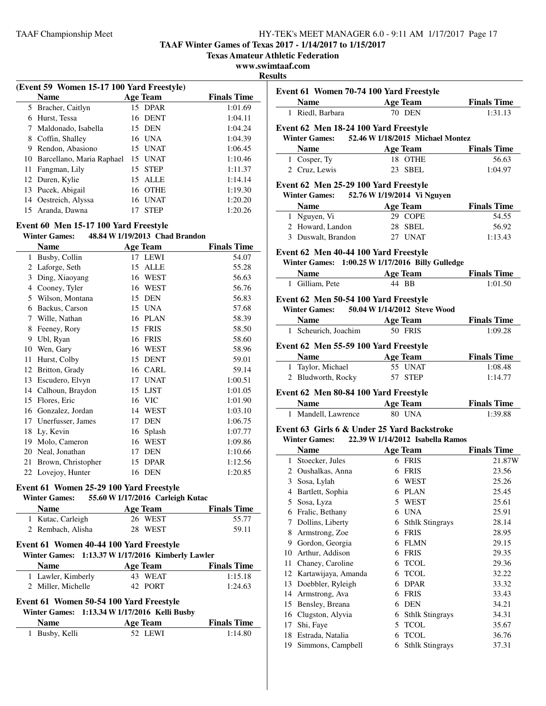**TAAF Winter Games of Texas 2017 - 1/14/2017 to 1/15/2017**

**Texas Amateur Athletic Federation**

**www.swimtaaf.com**

### **Results**

|    | (Event 59 Women 15-17 100 Yard Freestyle) |    |             |                    |  |
|----|-------------------------------------------|----|-------------|--------------------|--|
|    | <b>Name</b>                               |    | Age Team    | <b>Finals Time</b> |  |
| 5  | Bracher, Caitlyn                          |    | 15 DPAR     | 1:01.69            |  |
| 6  | Hurst, Tessa                              |    | 16 DENT     | 1:04.11            |  |
|    | Maldonado, Isabella                       |    | 15 DEN      | 1:04.24            |  |
| 8  | Coffin, Shalley                           |    | 16 UNA      | 1:04.39            |  |
| 9  | Rendon, Abasiono                          | 15 | <b>UNAT</b> | 1:06.45            |  |
| 10 | Barcellano, Maria Raphael                 | 15 | <b>UNAT</b> | 1:10.46            |  |
| 11 | Fangman, Lily                             | 15 | <b>STEP</b> | 1:11.37            |  |
|    | 12 Duren, Kylie                           | 15 | <b>ALLE</b> | 1:14.14            |  |
|    | 13 Pucek, Abigail                         | 16 | <b>OTHE</b> | 1:19.30            |  |
| 14 | Oestreich, Alyssa                         | 16 | <b>UNAT</b> | 1:20.20            |  |
|    | 15 Aranda, Dawna                          | 17 | <b>STEP</b> | 1:20.26            |  |

#### **Event 60 Men 15-17 100 Yard Freestyle Winter Games: 48.84 W1/19/2013 Chad Brandon**

| WHItel Gallies.<br>$+0.0$ + $\frac{1}{1}$ $\frac{1}{2}$ $\frac{2013}{201}$ Chau Dianuoli |                    |                   |                    |  |  |
|------------------------------------------------------------------------------------------|--------------------|-------------------|--------------------|--|--|
|                                                                                          | <b>Name</b>        | <b>Age Team</b>   | <b>Finals Time</b> |  |  |
| 1                                                                                        | Busby, Collin      | 17 LEWI           | 54.07              |  |  |
| 2                                                                                        | Laforge, Seth      | 15<br><b>ALLE</b> | 55.28              |  |  |
| 3                                                                                        | Ding, Xiaoyang     | WEST<br>16        | 56.63              |  |  |
| 4                                                                                        | Cooney, Tyler      | WEST<br>16        | 56.76              |  |  |
| 5                                                                                        | Wilson, Montana    | <b>DEN</b><br>15  | 56.83              |  |  |
| 6                                                                                        | Backus, Carson     | <b>UNA</b><br>15  | 57.68              |  |  |
| 7                                                                                        | Wille, Nathan      | <b>PLAN</b><br>16 | 58.39              |  |  |
| 8                                                                                        | Feeney, Rory       | 15<br><b>FRIS</b> | 58.50              |  |  |
| 9                                                                                        | Ubl, Ryan          | <b>FRIS</b><br>16 | 58.60              |  |  |
| 10                                                                                       | Wen, Gary          | <b>WEST</b><br>16 | 58.96              |  |  |
| 11                                                                                       | Hurst, Colby       | <b>DENT</b><br>15 | 59.01              |  |  |
| 12                                                                                       | Britton, Grady     | CARL<br>16        | 59.14              |  |  |
| 13                                                                                       | Escudero, Elvyn    | <b>UNAT</b><br>17 | 1:00.51            |  |  |
| 14                                                                                       | Calhoun, Braydon   | <b>LJST</b><br>15 | 1:01.05            |  |  |
| 15                                                                                       | Flores, Eric       | <b>VIC</b><br>16  | 1:01.90            |  |  |
| 16                                                                                       | Gonzalez, Jordan   | <b>WEST</b><br>14 | 1:03.10            |  |  |
| 17                                                                                       | Unerfusser, James  | <b>DEN</b><br>17  | 1:06.75            |  |  |
| 18                                                                                       | Ly, Kevin          | 16<br>Splash      | 1:07.77            |  |  |
| 19                                                                                       | Molo, Cameron      | WEST<br>16        | 1:09.86            |  |  |
| 20                                                                                       | Neal, Jonathan     | <b>DEN</b><br>17  | 1:10.66            |  |  |
| 21                                                                                       | Brown, Christopher | <b>DPAR</b><br>15 | 1:12.56            |  |  |
| 22                                                                                       | Lovejoy, Hunter    | <b>DEN</b><br>16  | 1:20.85            |  |  |

#### **Event 61 Women 25-29 100 Yard Freestyle<br>Winter Games: 55.60 W 1/17/2016 Carleiol Winter Games: 55.60 W1/17/2016 Carleigh Kutac**

| Winter Games:<br>$55.60 \text{ W}$ $1/17/2016$ Carleigh Kutac |          |                    |  |  |
|---------------------------------------------------------------|----------|--------------------|--|--|
| <b>Name</b>                                                   | Age Team | <b>Finals Time</b> |  |  |
| 1 Kutac, Carleigh                                             | 26 WEST  | 55.77              |  |  |
| 2 Rembach, Alisha                                             | 28 WEST  | 59.11              |  |  |

# **Event 61 Women 40-44 100 Yard Freestyle**

| Winter Games: 1:13.37 W 1/17/2016 Kimberly Lawler |          |                    |  |  |
|---------------------------------------------------|----------|--------------------|--|--|
| <b>Name</b>                                       | Age Team | <b>Finals Time</b> |  |  |
| 1 Lawler, Kimberly                                | 43 WEAT  | 1:15.18            |  |  |
| 2 Miller, Michelle                                | 42 PORT  | 1:24.63            |  |  |

### **Event 61 Women 50-54 100 Yard Freestyle**

**Winter Games: 1:13.34 W1/17/2016 Kelli Busby**

| <b>Name</b>    | Age Team | <b>Finals Time</b> |
|----------------|----------|--------------------|
| 1 Busby, Kelli | 52 LEWI  | 1:14.80            |

| ults                                             |                                  |                    |
|--------------------------------------------------|----------------------------------|--------------------|
| Event 61 Women 70-74 100 Yard Freestyle          |                                  |                    |
| Name Age Team                                    |                                  | <b>Finals Time</b> |
| 1 Riedl, Barbara                                 | <b>70 DEN</b>                    | 1:31.13            |
| Event 62 Men 18-24 100 Yard Freestyle            |                                  |                    |
| <b>Winter Games:</b>                             | 52.46 W 1/18/2015 Michael Montez |                    |
| Name Age Team                                    |                                  | <b>Finals Time</b> |
| 1 Cosper, Ty                                     | 18 OTHE                          | 56.63              |
| 2 Cruz, Lewis                                    | 23 SBEL                          | 1:04.97            |
| Event 62 Men 25-29 100 Yard Freestyle            |                                  |                    |
| Winter Games: 52.76 W 1/19/2014 Vi Nguyen        |                                  |                    |
| <b>Name</b>                                      | <b>Age Team</b>                  | <b>Finals Time</b> |
| 1 Nguyen, Vi                                     | 29 COPE                          | 54.55              |
| 2 Howard, Landon                                 | 28 SBEL                          | 56.92              |
| 3 Duswalt, Brandon                               | 27 UNAT                          | 1:13.43            |
| Event 62 Men 40-44 100 Yard Freestyle            |                                  |                    |
| Winter Games: 1:00.25 W 1/17/2016 Billy Gulledge |                                  |                    |
| <b>Name</b> Age Team                             |                                  | <b>Finals Time</b> |
| 1 Gilliam, Pete                                  | 44 BB                            | 1:01.50            |
| Event 62 Men 50-54 100 Yard Freestyle            |                                  |                    |
| Winter Games: 50.04 W 1/14/2012 Steve Wood       |                                  |                    |
| Name Age Team                                    |                                  | <b>Finals Time</b> |
| 1 Scheurich, Joachim                             | 50 FRIS                          | 1:09.28            |
|                                                  |                                  |                    |
| Event 62 Men 55-59 100 Yard Freestyle            |                                  |                    |
| Name Age Team                                    |                                  | <b>Finals Time</b> |
| 1 Taylor, Michael                                | 55 UNAT                          | 1:08.48            |
| 2 Bludworth, Rocky                               | 57 STEP                          | 1:14.77            |
| Event 62 Men 80-84 100 Yard Freestyle            |                                  |                    |
| Name Age Team                                    |                                  | <b>Finals Time</b> |
| 1 Mandell, Lawrence                              | 80 UNA                           | 1:39.88            |
| Event 63 Girls 6 & Under 25 Yard Backstroke      |                                  |                    |
| Winter Games: 22.39 W 1/14/2012 Isabella Ramos   |                                  |                    |
| <b>Name</b>                                      | <b>Age Team</b>                  | <b>Finals Time</b> |
| 1 Stoecker, Jules                                | 6 FRIS                           | 21.87W             |
| 2 Oushalkas, Anna                                | 6 FRIS                           | 23.56              |
| 3 Sosa, Lylah                                    | 6 WEST                           | 25.26              |
| 4 Bartlett, Sophia                               | 6 PLAN                           | 25.45              |
| 5 Sosa, Lyza                                     | 5 WEST                           | 25.61              |
| 6 Fralic, Bethany                                | 6 UNA                            | 25.91              |
| 7 Dollins, Liberty                               | 6 Sthlk Stingrays                | 28.14              |
| 8 Armstrong, Zoe                                 | 6 FRIS                           | 28.95              |
| 9 Gordon, Georgia                                | 6 FLMN                           | 29.15              |
| 10 Arthur, Addison                               | 6 FRIS                           | 29.35              |
| 11<br>Chaney, Caroline                           | 6 TCOL                           | 29.36              |
| 12<br>Kartawijaya, Amanda                        | 6 TCOL                           | 32.22              |
| 13 Doebbler, Ryleigh                             | 6 DPAR                           | 33.32              |
| 14 Armstrong, Ava                                | 6 FRIS                           | 33.43              |
| 15 Bensley, Breana                               | 6 DEN                            | 34.21              |
| 16 Clugston, Alyvia                              | 6 Sthlk Stingrays                | 34.31              |
| Shi, Faye<br>17                                  | 5 TCOL                           | 35.67              |
| 18 Estrada, Natalia                              | 6 TCOL                           | 36.76              |
| Simmons, Campbell<br>19                          | 6 Sthlk Stingrays                | 37.31              |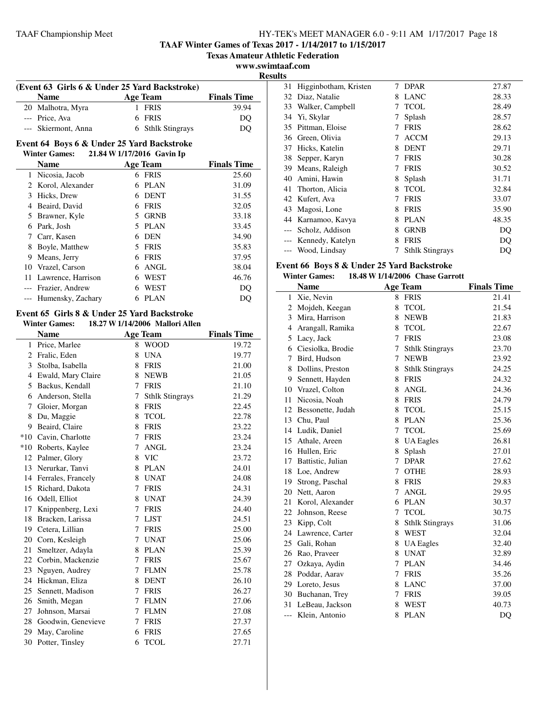**TAAF Winter Games of Texas 2017 - 1/14/2017 to 1/15/2017**

**Texas Amateur Athletic Federation**

**www.swimtaaf.com**

**Results**

 $\sim$ 

| (Event 63 Girls 6 & Under 25 Yard Backstroke) |                     |  |                   |                    |  |
|-----------------------------------------------|---------------------|--|-------------------|--------------------|--|
|                                               | <b>Name</b>         |  | Age Team          | <b>Finals Time</b> |  |
|                                               | 20 Malhotra, Myra   |  | 1 FRIS            | 39.94              |  |
|                                               | --- Price, Ava      |  | 6 FRIS            | DO                 |  |
|                                               | --- Skiermont, Anna |  | 6 Sthlk Stingrays | DO                 |  |

### **Event 64 Boys 6 & Under 25 Yard Backstroke Winter Games: 21.84 W1/17/2016 Gavin Ip**

|                       | Name                  | <b>Age Team</b>   | <b>Finals Time</b> |  |  |
|-----------------------|-----------------------|-------------------|--------------------|--|--|
|                       | Nicosia, Jacob        | <b>FRIS</b><br>6  | 25.60              |  |  |
| $\mathbf{2}^{\prime}$ | Korol, Alexander      | <b>PLAN</b><br>6  | 31.09              |  |  |
| 3                     | Hicks, Drew           | <b>DENT</b><br>6  | 31.55              |  |  |
| 4                     | Beaird, David         | <b>FRIS</b><br>6  | 32.05              |  |  |
|                       | 5 Brawner, Kyle       | <b>GRNB</b><br>5. | 33.18              |  |  |
| 6                     | Park, Josh            | PLAN<br>5.        | 33.45              |  |  |
|                       | Carr, Kasen           | <b>DEN</b><br>6   | 34.90              |  |  |
| 8                     | Boyle, Matthew        | <b>FRIS</b><br>5  | 35.83              |  |  |
| 9                     | Means, Jerry          | <b>FRIS</b><br>6  | 37.95              |  |  |
| 10                    | Vrazel, Carson        | ANGL<br>6         | 38.04              |  |  |
| 11                    | Lawrence, Harrison    | WEST<br>6         | 46.76              |  |  |
|                       | Frazier, Andrew       | <b>WEST</b><br>6  | DO                 |  |  |
|                       | --- Humensky, Zachary | <b>PLAN</b><br>6  |                    |  |  |

#### **Event 65 Girls 8 & Under 25 Yard Backstroke Winter Games: 18.27 W1/14/2006 Mallori Allen**

| а очшеж<br>10027 11 17 17 2000<br><b>WEBHOLL ANGEL</b> |                       |   |                        |                    |  |
|--------------------------------------------------------|-----------------------|---|------------------------|--------------------|--|
|                                                        | <b>Name</b>           |   | <b>Age Team</b>        | <b>Finals Time</b> |  |
|                                                        | 1 Price, Marlee       | 8 | <b>WOOD</b>            | 19.72              |  |
|                                                        | 2 Fralic, Eden        | 8 | <b>UNA</b>             | 19.77              |  |
| 3                                                      | Stolba, Isabella      | 8 | <b>FRIS</b>            | 21.00              |  |
| 4                                                      | Ewald, Mary Claire    | 8 | <b>NEWB</b>            | 21.05              |  |
| 5                                                      | Backus, Kendall       | 7 | <b>FRIS</b>            | 21.10              |  |
| 6                                                      | Anderson, Stella      | 7 | <b>Sthlk Stingrays</b> | 21.29              |  |
| 7                                                      | Gloier, Morgan        | 8 | <b>FRIS</b>            | 22.45              |  |
| 8                                                      | Du, Maggie            | 8 | <b>TCOL</b>            | 22.78              |  |
| 9                                                      | Beaird, Claire        | 8 | <b>FRIS</b>            | 23.22              |  |
|                                                        | *10 Cavin, Charlotte  | 7 | <b>FRIS</b>            | 23.24              |  |
| $*10$                                                  | Roberts, Kaylee       | 7 | <b>ANGL</b>            | 23.24              |  |
| 12                                                     | Palmer, Glory         | 8 | <b>VIC</b>             | 23.72              |  |
|                                                        | 13 Nerurkar, Tanvi    | 8 | <b>PLAN</b>            | 24.01              |  |
|                                                        | 14 Ferrales, Francely | 8 | <b>UNAT</b>            | 24.08              |  |
|                                                        | 15 Richard, Dakota    | 7 | <b>FRIS</b>            | 24.31              |  |
| 16                                                     | Odell, Elliot         | 8 | <b>UNAT</b>            | 24.39              |  |
| 17                                                     | Knippenberg, Lexi     | 7 | <b>FRIS</b>            | 24.40              |  |
| 18                                                     | Bracken, Larissa      | 7 | <b>LJST</b>            | 24.51              |  |
| 19                                                     | Cetera, Lillian       | 7 | <b>FRIS</b>            | 25.00              |  |
|                                                        | 20 Corn, Kesleigh     | 7 | <b>UNAT</b>            | 25.06              |  |
| 21                                                     | Smeltzer, Adayla      | 8 | <b>PLAN</b>            | 25.39              |  |
| 22                                                     | Corbin, Mackenzie     | 7 | <b>FRIS</b>            | 25.67              |  |
| 23                                                     | Nguyen, Audrey        | 7 | <b>FLMN</b>            | 25.78              |  |
| 24                                                     | Hickman, Eliza        | 8 | <b>DENT</b>            | 26.10              |  |
| 25                                                     | Sennett, Madison      | 7 | <b>FRIS</b>            | 26.27              |  |
| 26                                                     | Smith, Megan          | 7 | <b>FLMN</b>            | 27.06              |  |
| 27                                                     | Johnson, Marsai       | 7 | <b>FLMN</b>            | 27.08              |  |
| 28                                                     | Goodwin, Genevieve    | 7 | <b>FRIS</b>            | 27.37              |  |
| 29                                                     | May, Caroline         | 6 | <b>FRIS</b>            | 27.65              |  |
| 30                                                     | Potter, Tinsley       | 6 | <b>TCOL</b>            | 27.71              |  |
|                                                        |                       |   |                        |                    |  |

| 31    | Higginbotham, Kristen | 7 | <b>DPAR</b>            | 27.87 |
|-------|-----------------------|---|------------------------|-------|
| 32    | Diaz, Natalie         | 8 | <b>LANC</b>            | 28.33 |
| 33    | Walker, Campbell      | 7 | <b>TCOL</b>            | 28.49 |
| 34    | Yi, Skylar            | 7 | Splash                 | 28.57 |
| 35    | Pittman, Eloise       | 7 | <b>FRIS</b>            | 28.62 |
| 36    | Green, Olivia         |   | <b>ACCM</b>            | 29.13 |
| 37    | Hicks, Katelin        | 8 | <b>DENT</b>            | 29.71 |
| 38    | Sepper, Karyn         |   | <b>FRIS</b>            | 30.28 |
| 39    | Means, Raleigh        |   | <b>FRIS</b>            | 30.52 |
| 40    | Amini, Hawin          | 8 | Splash                 | 31.71 |
| 41    | Thorton, Alicia       | 8 | <b>TCOL</b>            | 32.84 |
| 42    | Kufert, Ava           |   | <b>FRIS</b>            | 33.07 |
| 43    | Magosi, Lone          | 8 | <b>FRIS</b>            | 35.90 |
|       | 44 Karnamoo, Kavya    | 8 | PLAN                   | 48.35 |
| $---$ | Scholz, Addison       | 8 | <b>GRNB</b>            | DQ    |
|       | Kennedy, Katelyn      | 8 | <b>FRIS</b>            | DO    |
|       | Wood, Lindsay         |   | <b>Sthlk Stingrays</b> | DQ    |
|       |                       |   |                        |       |

#### **Event 66 Boys 8 & Under 25 Yard Backstroke Winter Games: 18.48 W1/14/2006 Chase Garrott**

|                | winter Games:<br>10.40 W 1/14/2000 Chase Garrou |   |                        |                    |  |  |
|----------------|-------------------------------------------------|---|------------------------|--------------------|--|--|
|                | <b>Name</b>                                     |   | <b>Age Team</b>        | <b>Finals Time</b> |  |  |
| $\mathbf{1}$   | Xie, Nevin                                      | 8 | <b>FRIS</b>            | 21.41              |  |  |
| 2              | Mojdeh, Keegan                                  | 8 | <b>TCOL</b>            | 21.54              |  |  |
| 3              | Mira, Harrison                                  | 8 | <b>NEWB</b>            | 21.83              |  |  |
| $\overline{4}$ | Arangall, Ramika                                | 8 | <b>TCOL</b>            | 22.67              |  |  |
| 5              | Lacy, Jack                                      | 7 | <b>FRIS</b>            | 23.08              |  |  |
| 6              | Ciesiolka, Brodie                               | 7 | <b>Sthlk Stingrays</b> | 23.70              |  |  |
| 7              | Bird, Hudson                                    | 7 | <b>NEWB</b>            | 23.92              |  |  |
| 8              | Dollins, Preston                                | 8 | <b>Sthlk Stingrays</b> | 24.25              |  |  |
| 9              | Sennett, Hayden                                 | 8 | <b>FRIS</b>            | 24.32              |  |  |
| 10             | Vrazel, Colton                                  | 8 | <b>ANGL</b>            | 24.36              |  |  |
| 11             | Nicosia, Noah                                   | 8 | <b>FRIS</b>            | 24.79              |  |  |
| 12             | Bessonette, Judah                               | 8 | <b>TCOL</b>            | 25.15              |  |  |
| 13             | Chu, Paul                                       | 8 | <b>PLAN</b>            | 25.36              |  |  |
| 14             | Ludik, Daniel                                   | 7 | <b>TCOL</b>            | 25.69              |  |  |
| 15             | Athale, Areen                                   | 8 | <b>UA</b> Eagles       | 26.81              |  |  |
| 16             | Hullen, Eric                                    | 8 | Splash                 | 27.01              |  |  |
| 17             | Battistic, Julian                               | 7 | <b>DPAR</b>            | 27.62              |  |  |
| 18             | Loe, Andrew                                     | 7 | <b>OTHE</b>            | 28.93              |  |  |
| 19             | Strong, Paschal                                 | 8 | <b>FRIS</b>            | 29.83              |  |  |
| 20             | Nett, Aaron                                     | 7 | <b>ANGL</b>            | 29.95              |  |  |
| 21             | Korol, Alexander                                | 6 | <b>PLAN</b>            | 30.37              |  |  |
| 22             | Johnson, Reese                                  | 7 | <b>TCOL</b>            | 30.75              |  |  |
| 23             | Kipp, Colt                                      | 8 | <b>Sthlk Stingrays</b> | 31.06              |  |  |
| 24             | Lawrence, Carter                                | 8 | <b>WEST</b>            | 32.04              |  |  |
| 25             | Gali, Rohan                                     | 8 | <b>UA Eagles</b>       | 32.40              |  |  |
| 26             | Rao, Praveer                                    | 8 | <b>UNAT</b>            | 32.89              |  |  |
| 27             | Ozkaya, Aydin                                   | 7 | <b>PLAN</b>            | 34.46              |  |  |
| 28             | Poddar, Aarav                                   | 7 | <b>FRIS</b>            | 35.26              |  |  |
| 29             | Loreto, Jesus                                   | 8 | <b>LANC</b>            | 37.00              |  |  |
| 30             | Buchanan, Trey                                  | 7 | <b>FRIS</b>            | 39.05              |  |  |
| 31             | LeBeau, Jackson                                 | 8 | <b>WEST</b>            | 40.73              |  |  |
| $---$          | Klein, Antonio                                  | 8 | <b>PLAN</b>            | DQ                 |  |  |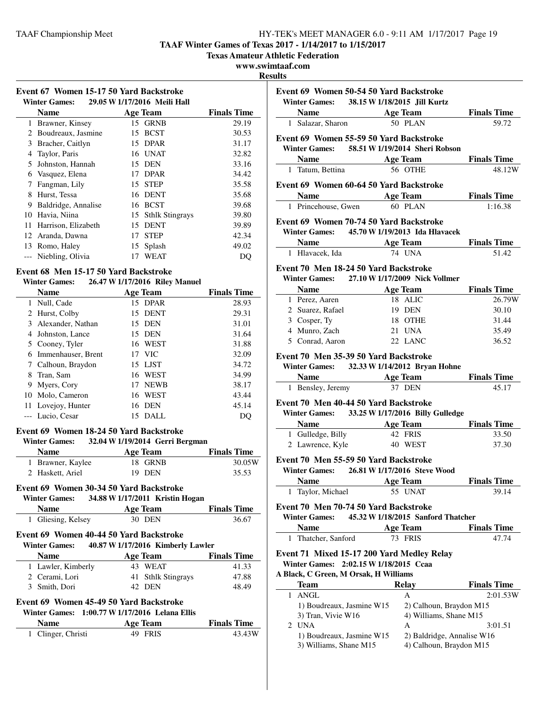**TAAF Winter Games of Texas 2017 - 1/14/2017 to 1/15/2017**

**Texas Amateur Athletic Federation**

### **www.swimtaaf.com**

**Result** 

|                      | Event 67 Women 15-17 50 Yard Backstroke |  |  |
|----------------------|-----------------------------------------|--|--|
| <b>Winter Games:</b> | 29.05 W 1/17/2016 Meili Hall            |  |  |
| <b>Name</b>          | <b>Age Team</b>                         |  |  |

|    | <b>Name</b>         |    | <b>Age Team</b>        | <b>Finals Time</b> |
|----|---------------------|----|------------------------|--------------------|
| 1  | Brawner, Kinsey     |    | 15 GRNB                | 29.19              |
| 2  | Boudreaux, Jasmine  | 15 | <b>BCST</b>            | 30.53              |
| 3  | Bracher, Caitlyn    |    | 15 DPAR                | 31.17              |
| 4  | Taylor, Paris       |    | 16 UNAT                | 32.82              |
|    | Johnston, Hannah    |    | 15 DEN                 | 33.16              |
| 6  | Vasquez, Elena      | 17 | <b>DPAR</b>            | 34.42              |
|    | Fangman, Lily       | 15 | <b>STEP</b>            | 35.58              |
| 8  | Hurst, Tessa        | 16 | <b>DENT</b>            | 35.68              |
| 9  | Baldridge, Annalise | 16 | <b>BCST</b>            | 39.68              |
| 10 | Havia, Niina        | 15 | <b>Sthlk Stingrays</b> | 39.80              |
| 11 | Harrison, Elizabeth | 15 | <b>DENT</b>            | 39.89              |
| 12 | Aranda, Dawna       | 17 | <b>STEP</b>            | 42.34              |
| 13 | Romo, Haley         | 15 | Splash                 | 49.02              |
|    | Niebling, Olivia    | 17 | WEAT                   | DO                 |

# **Event 68 Men 15-17 50 Yard Backstroke**

| <b>Winter Games:</b> | 26.47 W 1/17/2016 Riley Manuel |  |
|----------------------|--------------------------------|--|
|----------------------|--------------------------------|--|

|   | <b>Name</b>         |    | <b>Age Team</b> | <b>Finals Time</b> |
|---|---------------------|----|-----------------|--------------------|
|   | 1 Null, Cade        |    | 15 DPAR         | 28.93              |
|   | 2 Hurst, Colby      |    | 15 DENT         | 29.31              |
|   | 3 Alexander, Nathan |    | 15 DEN          | 31.01              |
|   | 4 Johnston, Lance   |    | 15 DEN          | 31.64              |
|   | 5 Cooney, Tyler     |    | 16 WEST         | 31.88              |
| 6 | Immenhauser, Brent  |    | 17 VIC          | 32.09              |
|   | 7 Calhoun, Braydon  |    | 15 LJST         | 34.72              |
| 8 | Tran, Sam           | 16 | WEST            | 34.99              |
| 9 | Myers, Cory         | 17 | <b>NEWB</b>     | 38.17              |
|   | 10 Molo, Cameron    | 16 | <b>WEST</b>     | 43.44              |
|   | 11 Lovejoy, Hunter  | 16 | DEN             | 45.14              |
|   | --- Lucio, Cesar    | 15 | DALI.           | DO                 |

### **Event 69 Women 18-24 50 Yard Backstroke**

| <b>Winter Games:</b> | 32.04 W 1/19/2014 Gerri Bergman |                    |  |  |
|----------------------|---------------------------------|--------------------|--|--|
| <b>Name</b>          | Age Team                        | <b>Finals Time</b> |  |  |
| 1 Brawner, Kaylee    | 18 GRNB                         | 30.05W             |  |  |

### **Event 69 Women 30-34 50 Yard Backstroke**

| <b>Winter Games:</b> | 34.88 W 1/17/2011 Kristin Hogan |  |
|----------------------|---------------------------------|--|

| $\cdots$           |          |                    |
|--------------------|----------|--------------------|
| <b>Name</b>        | Age Team | <b>Finals Time</b> |
| 1 Gliesing, Kelsey | 30 DEN   | 36.67              |

2 Haskett, Ariel 19 DEN 35.53

# **Event 69 Women 40-44 50 Yard Backstroke**

| <b>Name</b>        | Age Team           |       |
|--------------------|--------------------|-------|
| 1 Lawler, Kimberly | 43 WEAT            | 41.33 |
| 2 Cerami, Lori     | 41 Sthlk Stingrays | 47.88 |
| 3 Smith, Dori      | 42 DEN             | 48.49 |

### **Event 69 Women 45-49 50 Yard Backstroke Winter Games: 1:00.77 W1/17/2016 Lelana Ellis**

| <b>Name</b>        | Age Team | <b>Finals Time</b> |
|--------------------|----------|--------------------|
| 1 Clinger, Christi | 49 FRIS  | 43.43W             |

| ults                                              |                                    |                             |
|---------------------------------------------------|------------------------------------|-----------------------------|
| Event 69 Women 50-54 50 Yard Backstroke           |                                    |                             |
| Winter Games: 38.15 W 1/18/2015 Jill Kurtz        |                                    |                             |
|                                                   |                                    | <b>Finals Time</b>          |
| <b>Name Age Team</b><br>1 Salazar, Sharon 50 PLAN |                                    | 59.72                       |
|                                                   |                                    |                             |
| Event 69 Women 55-59 50 Yard Backstroke           |                                    |                             |
| Winter Games: 58.51 W 1/19/2014 Sheri Robson      |                                    |                             |
| Name                                              | Age Team                           | <b>Finals Time</b>          |
| 1 Tatum, Bettina                                  | 56 OTHE                            | 48.12W                      |
| Event 69 Women 60-64 50 Yard Backstroke           |                                    |                             |
| <b>Name</b> Age Team                              |                                    | <b>Finals Time</b>          |
| 1 Princehouse, Gwen                               | 60 PLAN                            | 1:16.38                     |
| Event 69 Women 70-74 50 Yard Backstroke           |                                    |                             |
| Winter Games: 45.70 W 1/19/2013 Ida Hlavacek      |                                    |                             |
|                                                   |                                    |                             |
| Name Age Team<br>1 Hlavacek, Ida                  | <b>74 UNA</b>                      | <b>Finals Time</b><br>51.42 |
|                                                   |                                    |                             |
| Event 70 Men 18-24 50 Yard Backstroke             |                                    |                             |
| Winter Games: 27.10 W 1/17/2009 Nick Vollmer      |                                    |                             |
| <b>Name</b>                                       | <b>Age Team</b>                    | <b>Finals Time</b>          |
| 1 Perez, Aaren                                    | 18 ALIC                            | 26.79W                      |
| 2 Suarez, Rafael                                  | 19 DEN                             | 30.10                       |
| 3 Cosper, Ty                                      | 18 OTHE                            | 31.44                       |
| 4 Munro, Zach                                     | 21 UNA                             | 35.49                       |
| 5 Conrad, Aaron                                   | 22 LANC                            | 36.52                       |
| Event 70 Men 35-39 50 Yard Backstroke             |                                    |                             |
| Winter Games: 32.33 W 1/14/2012 Bryan Hohne       |                                    |                             |
| Name Age Team                                     |                                    | <b>Finals Time</b>          |
| 1 Bensley, Jeremy 37 DEN                          |                                    | 45.17                       |
|                                                   |                                    |                             |
| Event 70 Men 40-44 50 Yard Backstroke             |                                    |                             |
| Winter Games: 33.25 W 1/17/2016 Billy Gulledge    |                                    |                             |
| Name Age Team                                     |                                    | <b>Finals Time</b>          |
| 1 Gulledge, Billy                                 | 42 FRIS                            | 33.50                       |
| 2 Lawrence, Kyle                                  | 40 WEST                            | 37.30                       |
| Event 70 Men 55-59 50 Yard Backstroke             |                                    |                             |
| Winter Games: 26.81 W 1/17/2016 Steve Wood        |                                    |                             |
| <b>Name</b>                                       | <b>Age Team</b>                    | <b>Finals Time</b>          |
| Taylor, Michael<br>1                              | 55 UNAT                            | 39.14                       |
|                                                   |                                    |                             |
| Event 70 Men 70-74 50 Yard Backstroke             |                                    |                             |
| <b>Winter Games:</b>                              | 45.32 W 1/18/2015 Sanford Thatcher |                             |
| Name                                              | <b>Age Team</b>                    | <b>Finals Time</b>          |
| Thatcher, Sanford<br>1                            | 73 FRIS                            | 47.74                       |
| Event 71 Mixed 15-17 200 Yard Medley Relay        |                                    |                             |
| Winter Games: 2:02.15 W 1/18/2015 Ccaa            |                                    |                             |
| A Black, C Green, M Orsak, H Williams             |                                    |                             |
| Team                                              | <b>Relay</b>                       | <b>Finals Time</b>          |
| <b>ANGL</b><br>1                                  | А                                  | 2:01.53W                    |
| 1) Boudreaux, Jasmine W15                         | 2) Calhoun, Braydon M15            |                             |
| 3) Tran, Vivie W16                                | 4) Williams, Shane M15             |                             |
| 2 UNA                                             | А                                  | 3:01.51                     |
| 1) Boudreaux, Jasmine W15                         | 2) Baldridge, Annalise W16         |                             |
| 3) Williams, Shane M15                            | 4) Calhoun, Braydon M15            |                             |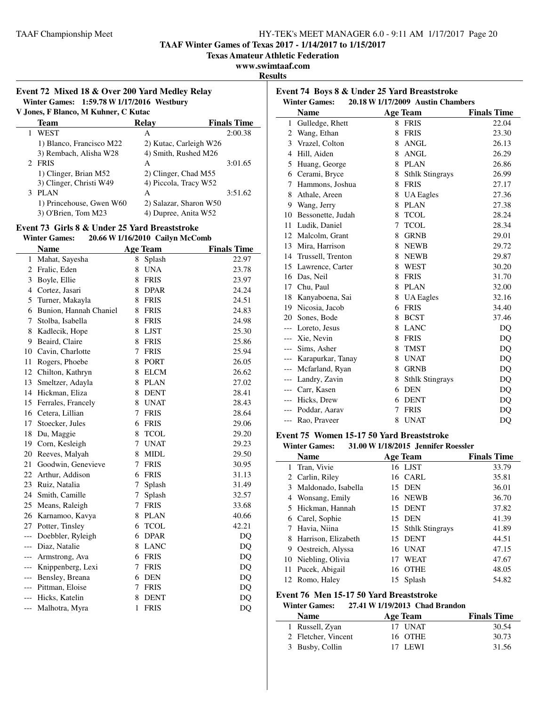**TAAF Winter Games of Texas 2017 - 1/14/2017 to 1/15/2017**

**Texas Amateur Athletic Federation**

**www.swimtaaf.com**

**Results**

#### **Event 72 Mixed 18 & Over 200 Yard Medley Relay Winter Games:** 1:59.78 **W** 1/17/2016 **Westbury**<br>*V* Janes E Blance M Kubner C Kutse *V* M Kuh

| V .Jones, F Blanco, M Kunner, C Kutac |                          |                        |                    |  |
|---------------------------------------|--------------------------|------------------------|--------------------|--|
|                                       | Team                     | Relay                  | <b>Finals Time</b> |  |
|                                       | <b>WEST</b>              | A                      | 2:00.38            |  |
|                                       | 1) Blanco, Francisco M22 | 2) Kutac, Carleigh W26 |                    |  |
|                                       | 3) Rembach, Alisha W28   | 4) Smith, Rushed M26   |                    |  |
|                                       | 2 FRIS                   | A                      | 3:01.65            |  |
|                                       | 1) Clinger, Brian M52    | 2) Clinger, Chad M55   |                    |  |
|                                       | 3) Clinger, Christi W49  | 4) Piccola, Tracy W52  |                    |  |
|                                       | 3 PLAN                   | А                      | 3:51.62            |  |
|                                       | 1) Princehouse, Gwen W60 | 2) Salazar, Sharon W50 |                    |  |
|                                       | 3) O'Brien, Tom M23      | 4) Dupree, Anita W52   |                    |  |
|                                       |                          |                        |                    |  |

# **Event 73 Girls 8 & Under 25 Yard Breaststroke**

| <b>Winter Games:</b> | 20.66 W 1/16/2010 Cailyn McComb |   |
|----------------------|---------------------------------|---|
| Nomo                 | $\Lambda$ as Thom               | ы |

|                | <b>Name</b>            |   | <b>Age Team</b> | <b>Finals Time</b> |
|----------------|------------------------|---|-----------------|--------------------|
| 1              | Mahat, Sayesha         | 8 | Splash          | 22.97              |
| $\overline{2}$ | Fralic, Eden           | 8 | <b>UNA</b>      | 23.78              |
| 3              | Boyle, Ellie           | 8 | <b>FRIS</b>     | 23.97              |
| 4              | Cortez, Jasari         | 8 | <b>DPAR</b>     | 24.24              |
| 5              | Turner, Makayla        | 8 | <b>FRIS</b>     | 24.51              |
| 6              | Bunion, Hannah Chaniel | 8 | <b>FRIS</b>     | 24.83              |
| 7              | Stolba, Isabella       | 8 | <b>FRIS</b>     | 24.98              |
| 8              | Kadlecik, Hope         | 8 | <b>LJST</b>     | 25.30              |
| 9              | Beaird, Claire         | 8 | <b>FRIS</b>     | 25.86              |
| 10             | Cavin, Charlotte       | 7 | <b>FRIS</b>     | 25.94              |
| 11             | Rogers, Phoebe         | 8 | <b>PORT</b>     | 26.05              |
| 12             | Chilton, Kathryn       | 8 | <b>ELCM</b>     | 26.62              |
| 13             | Smeltzer, Adayla       | 8 | <b>PLAN</b>     | 27.02              |
| 14             | Hickman, Eliza         | 8 | <b>DENT</b>     | 28.41              |
| 15             | Ferrales, Francely     | 8 | <b>UNAT</b>     | 28.43              |
| 16             | Cetera, Lillian        | 7 | <b>FRIS</b>     | 28.64              |
| 17             | Stoecker, Jules        | 6 | <b>FRIS</b>     | 29.06              |
| 18             | Du, Maggie             | 8 | <b>TCOL</b>     | 29.20              |
| 19             | Corn, Kesleigh         | 7 | <b>UNAT</b>     | 29.23              |
| 20             | Reeves, Malyah         | 8 | <b>MIDL</b>     | 29.50              |
| 21             | Goodwin, Genevieve     | 7 | <b>FRIS</b>     | 30.95              |
|                | 22 Arthur, Addison     | 6 | <b>FRIS</b>     | 31.13              |
| 23             | Ruiz, Natalia          | 7 | Splash          | 31.49              |
| 24             | Smith, Camille         | 7 | Splash          | 32.57              |
| 25             | Means, Raleigh         | 7 | <b>FRIS</b>     | 33.68              |
| 26             | Karnamoo, Kavya        | 8 | <b>PLAN</b>     | 40.66              |
| 27             | Potter, Tinsley        | 6 | <b>TCOL</b>     | 42.21              |
| $---$          | Doebbler, Ryleigh      | 6 | <b>DPAR</b>     | DQ                 |
| ---            | Diaz, Natalie          | 8 | <b>LANC</b>     | DQ                 |
| ---            | Armstrong, Ava         | 6 | FRIS            | DQ                 |
| ---            | Knippenberg, Lexi      | 7 | <b>FRIS</b>     | DQ                 |
| ---            | Bensley, Breana        | 6 | <b>DEN</b>      | DQ                 |
| ---            | Pittman, Eloise        | 7 | <b>FRIS</b>     | DQ                 |
| ---            | Hicks, Katelin         | 8 | <b>DENT</b>     | DQ                 |
| ---            | Malhotra, Myra         | 1 | <b>FRIS</b>     | DQ                 |

| Event 74 Boys 8 & Under 25 Yard Breaststroke              |                      |    |                        |                    |  |
|-----------------------------------------------------------|----------------------|----|------------------------|--------------------|--|
| <b>Winter Games:</b><br>20.18 W 1/17/2009 Austin Chambers |                      |    |                        |                    |  |
|                                                           | <b>Name</b>          |    | <b>Age Team</b>        | <b>Finals Time</b> |  |
| 1                                                         | Gulledge, Rhett      | 8  | <b>FRIS</b>            | 22.04              |  |
| 2                                                         | Wang, Ethan          | 8  | <b>FRIS</b>            | 23.30              |  |
| 3                                                         | Vrazel, Colton       | 8  | <b>ANGL</b>            | 26.13              |  |
| 4                                                         | Hill, Aiden          | 8  | ANGL                   | 26.29              |  |
| 5                                                         | Huang, George        | 8  | <b>PLAN</b>            | 26.86              |  |
| 6                                                         | Cerami, Bryce        | 8  | <b>Sthlk Stingrays</b> | 26.99              |  |
| 7                                                         | Hammons, Joshua      | 8  | <b>FRIS</b>            | 27.17              |  |
| 8                                                         | Athale, Areen        | 8  | <b>UA Eagles</b>       | 27.36              |  |
| 9                                                         | Wang, Jerry          | 8  | <b>PLAN</b>            | 27.38              |  |
| 10                                                        | Bessonette, Judah    | 8  | <b>TCOL</b>            | 28.24              |  |
| 11                                                        | Ludik, Daniel        | 7  | <b>TCOL</b>            | 28.34              |  |
|                                                           | 12 Malcolm, Grant    | 8  | <b>GRNB</b>            | 29.01              |  |
| 13                                                        | Mira, Harrison       | 8  | <b>NEWB</b>            | 29.72              |  |
|                                                           | 14 Trussell, Trenton | 8  | <b>NEWB</b>            | 29.87              |  |
|                                                           | 15 Lawrence, Carter  | 8  | <b>WEST</b>            | 30.20              |  |
| 16                                                        | Das, Neil            | 8  | <b>FRIS</b>            | 31.70              |  |
| 17                                                        | Chu, Paul            | 8  | <b>PLAN</b>            | 32.00              |  |
| 18                                                        | Kanyaboena, Sai      | 8  | <b>UA</b> Eagles       | 32.16              |  |
| 19                                                        | Nicosia, Jacob       | 6  | <b>FRIS</b>            | 34.40              |  |
| 20                                                        | Sones, Bode          | 8  | <b>BCST</b>            | 37.46              |  |
| $---$                                                     | Loreto, Jesus        | 8  | <b>LANC</b>            | DQ                 |  |
|                                                           | --- Xie, Nevin       | 8  | <b>FRIS</b>            | DQ                 |  |
|                                                           | --- Sims, Asher      | 8  | <b>TMST</b>            | DQ                 |  |
| $---$                                                     | Karapurkar, Tanay    | 8  | <b>UNAT</b>            | DQ                 |  |
| $---$                                                     | Mcfarland, Ryan      | 8  | <b>GRNB</b>            | DQ                 |  |
| $---$                                                     | Landry, Zavin        | 8. | <b>Sthlk Stingrays</b> | DQ                 |  |
|                                                           | --- Carr, Kasen      | 6  | <b>DEN</b>             | DQ                 |  |
| $---$                                                     | Hicks, Drew          | 6  | <b>DENT</b>            | DQ                 |  |
|                                                           | Poddar, Aarav        | 7  | <b>FRIS</b>            | DO                 |  |
|                                                           | --- Rao, Praveer     | 8  | <b>UNAT</b>            | DQ                 |  |

### **Event 75 Women 15-17 50 Yard Breaststroke**

| <b>Winter Games:</b> | 31.00 W 1/18/2015 Jennifer Roessler |  |
|----------------------|-------------------------------------|--|
|                      |                                     |  |

|    | <b>Name</b>           | <b>Age Team</b>    | <b>Finals Time</b> |
|----|-----------------------|--------------------|--------------------|
| 1. | Tran, Vivie           | 16 LJST            | 33.79              |
|    | 2 Carlin, Riley       | 16 CARL            | 35.81              |
|    | 3 Maldonado, Isabella | 15 DEN             | 36.01              |
|    | 4 Wonsang, Emily      | 16 NEWB            | 36.70              |
|    | 5 Hickman, Hannah     | 15 DENT            | 37.82              |
|    | 6 Carel, Sophie       | 15 DEN             | 41.39              |
|    | Havia, Niina          | 15 Sthlk Stingrays | 41.89              |
|    | 8 Harrison, Elizabeth | 15 DENT            | 44.51              |
| 9. | Oestreich, Alyssa     | 16 UNAT            | 47.15              |
|    | 10 Niebling, Olivia   | WEAT<br>17         | 47.67              |
|    | 11 Pucek, Abigail     | 16 OTHE            | 48.05              |
|    | 12 Romo, Haley        | 15 Splash          | 54.82              |

#### **Event 76 Men 15-17 50 Yard Breaststroke**

#### **Winter Games: 27.41 W1/19/2013 Chad Brandon**

| <b>Name</b>         | Age Team | <b>Finals Time</b> |
|---------------------|----------|--------------------|
| 1 Russell, Zyan     | 17 UNAT  | 30.54              |
| 2 Fletcher, Vincent | 16 OTHE  | 30.73              |
| 3 Busby, Collin     | 17 LEWI  | 31.56              |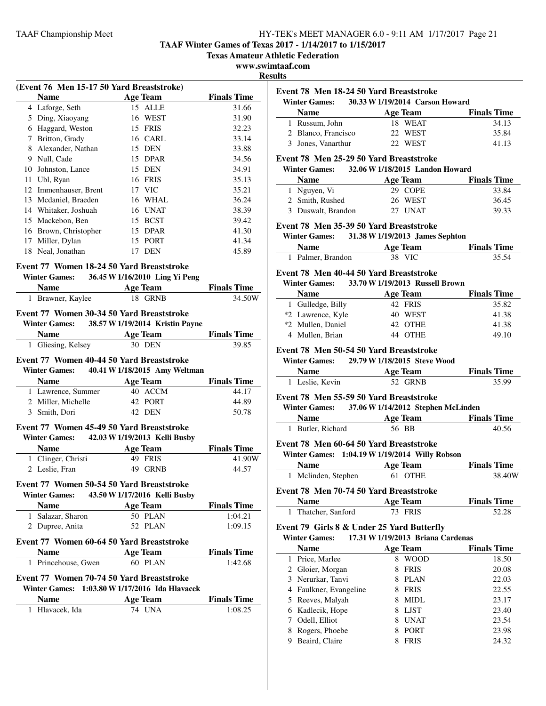**TAAF Winter Games of Texas 2017 - 1/14/2017 to 1/15/2017**

**Texas Amateur Athletic Federation**

#### **www.swimtaaf.com**

**Results**

|    | <b>Name</b>                    | (Event 76 Men 15-17 50 Yard Breaststroke)<br><b>Age Team</b> | <b>Finals Time</b>            |
|----|--------------------------------|--------------------------------------------------------------|-------------------------------|
|    | 4 Laforge, Seth                | 15 ALLE                                                      | 31.66                         |
|    | 5 Ding, Xiaoyang               | 16 WEST                                                      | 31.90                         |
|    | 6 Haggard, Weston              | 15 FRIS                                                      | 32.23                         |
|    | 7 Britton, Grady               | 16 CARL                                                      | 33.14                         |
|    | 8 Alexander, Nathan            | 15 DEN                                                       | 33.88                         |
| 9  | Null, Cade                     | 15 DPAR                                                      | 34.56                         |
|    |                                |                                                              |                               |
| 10 | Johnston, Lance                | 15 DEN                                                       | 34.91                         |
|    | 11 Ubl, Ryan                   | 16 FRIS                                                      | 35.13                         |
|    | 12 Immenhauser, Brent          | 17 VIC                                                       | 35.21                         |
|    | 13 Mcdaniel, Braeden           | 16 WHAL                                                      | 36.24                         |
|    | 14 Whitaker, Joshuah           | 16 UNAT                                                      | 38.39                         |
|    | 15 Mackebon, Ben               | 15 BCST                                                      | 39.42                         |
|    | 16 Brown, Christopher          | 15 DPAR                                                      | 41.30                         |
|    | 17 Miller, Dylan               | 15 PORT                                                      | 41.34                         |
|    | 18 Neal, Jonathan              | 17 DEN                                                       | 45.89                         |
|    |                                | Event 77 Women 18-24 50 Yard Breaststroke                    |                               |
|    |                                | Winter Games: 36.45 W 1/16/2010 Ling Yi Peng                 |                               |
|    | <b>Name</b>                    | <b>Age Team</b>                                              | <b>Finals Time</b>            |
|    | 1 Brawner, Kaylee              | 18 GRNB                                                      | 34.50W                        |
|    |                                |                                                              |                               |
|    |                                | Event 77 Women 30-34 50 Yard Breaststroke                    |                               |
|    |                                | Winter Games: 38.57 W 1/19/2014 Kristin Payne                |                               |
|    |                                |                                                              |                               |
|    | <b>Name</b>                    | <b>Age Team</b>                                              | <b>Finals Time</b>            |
|    | 1 Gliesing, Kelsey             | 30 DEN                                                       | 39.85                         |
|    |                                |                                                              |                               |
|    |                                | Event 77 Women 40-44 50 Yard Breaststroke                    |                               |
|    | <b>Winter Games:</b>           | 40.41 W 1/18/2015 Amy Weltman                                |                               |
|    | <b>Name</b>                    | <b>Age Team</b>                                              | <b>Finals Time</b>            |
|    | 1 Lawrence, Summer             | 40 ACCM                                                      | 44.17                         |
|    | 2 Miller, Michelle             | 42 PORT                                                      | 44.89                         |
|    | 3 Smith, Dori                  | 42 DEN                                                       | 50.78                         |
|    |                                |                                                              |                               |
|    |                                | Event 77 Women 45-49 50 Yard Breaststroke                    |                               |
|    |                                | Winter Games: 42.03 W 1/19/2013 Kelli Busby                  |                               |
|    | <b>Name</b>                    | <b>Age Team</b>                                              | <b>Finals Time</b>            |
|    | 1 Clinger, Christi             | 49 FRIS                                                      | 41.90W                        |
|    | 2 Leslie, Fran                 | 49 GRNB                                                      | 44.57                         |
|    |                                | Event 77 Women 50-54 50 Yard Breaststroke                    |                               |
|    | <b>Winter Games:</b>           | 43.50 W 1/17/2016 Kelli Busby                                |                               |
|    | <b>Name</b>                    | <b>Age Team</b>                                              | <b>Finals Time</b>            |
|    |                                | 50 PLAN                                                      |                               |
|    | 1 Salazar, Sharon              | 52 PLAN                                                      | 1:04.21<br>1:09.15            |
|    | 2 Dupree, Anita                |                                                              |                               |
|    |                                | Event 77 Women 60-64 50 Yard Breaststroke                    |                               |
|    | <b>Name</b>                    | <b>Age Team</b>                                              | <b>Finals Time</b>            |
| 1  | Princehouse, Gwen              | 60 PLAN                                                      | 1:42.68                       |
|    |                                |                                                              |                               |
|    |                                | Event 77 Women 70-74 50 Yard Breaststroke                    |                               |
|    |                                | Winter Games: 1:03.80 W 1/17/2016 Ida Hlavacek               |                               |
|    | <b>Name</b><br>1 Hlavacek, Ida | <b>Age Team</b><br><b>74 UNA</b>                             | <b>Finals Time</b><br>1:08.25 |

| Event 78 Men 18-24 50 Yard Breaststroke                 |          |                    |  |  |
|---------------------------------------------------------|----------|--------------------|--|--|
| 30.33 W 1/19/2014 Carson Howard<br><b>Winter Games:</b> |          |                    |  |  |
| <b>Name</b>                                             | Age Team | <b>Finals Time</b> |  |  |
| 1 Russum, John                                          | 18 WEAT  | 34.13              |  |  |
| 2 Blanco, Francisco                                     | 22 WEST  | 35.84              |  |  |
| 3 Jones, Vanarthur                                      | 22 WEST  | 41.13              |  |  |

### **Event 78 Men 25-29 50 Yard Breaststroke**

#### **Winter Games: 32.06 W1/18/2015 Landon Howard**

| <b>Name</b>        | Age Team | <b>Finals Time</b> |
|--------------------|----------|--------------------|
| 1 Nguyen, Vi       | 29 COPE  | 33.84              |
| 2 Smith, Rushed    | 26 WEST  | 36.45              |
| 3 Duswalt, Brandon | 27 UNAT  | 39.33              |

### **Event 78 Men 35-39 50 Yard Breaststroke**

| <b>Winter Games:</b> | 31.38 W 1/19/2013 James Sephton |            |
|----------------------|---------------------------------|------------|
| $\mathbf{M}$         |                                 | <b>IN:</b> |

| Name              | Age Team | <b>Finals Time</b> |
|-------------------|----------|--------------------|
| 1 Palmer, Brandon | 38 VIC   | 35.54              |

#### **Event 78 Men 40-44 50 Yard Breaststroke**

**Winter Games: 33.70 W1/19/2013 Russell Brown**

| <b>Name</b>       | Age Team | <b>Finals Time</b> |
|-------------------|----------|--------------------|
| 1 Gulledge, Billy | 42 FRIS  | 35.82              |
| *2 Lawrence, Kyle | 40 WEST  | 41.38              |
| *2 Mullen, Daniel | 42 OTHE  | 41.38              |
| 4 Mullen, Brian   | 44 OTHE  | 49.10              |

### **Event 78 Men 50-54 50 Yard Breaststroke**

**Winter Games: 29.79 W1/18/2015 Steve Wood**

| <b>Name</b>     | Age Team | <b>Finals Time</b> |
|-----------------|----------|--------------------|
| 1 Leslie, Kevin | 52 GRNB  | 35.99              |

### **Event 78 Men 55-59 50 Yard Breaststroke**

| <b>Winter Games:</b> | 37.06 W 1/14/2012 Stephen McLinden |                    |
|----------------------|------------------------------------|--------------------|
| <b>Name</b>          | Age Team                           | <b>Finals Time</b> |
| 1 Butler, Richard    | 56 BB                              | 40.56              |

### **Event 78 Men 60-64 50 Yard Breaststroke**

|                     | Winter Games: 1:04.19 W 1/19/2014 Willy Robson |                    |
|---------------------|------------------------------------------------|--------------------|
| <b>Name</b>         | Age Team                                       | <b>Finals Time</b> |
| 1 Mclinden, Stephen | 61 OTHE                                        | 38.40W             |

### **Event 78 Men 70-74 50 Yard Breaststroke**

| Name                | <b>Age Team</b> | <b>Finals Time</b> |
|---------------------|-----------------|--------------------|
| 1 Thatcher, Sanford | 73 FRIS         | 52.28              |

### **Event 79 Girls 8 & Under 25 Yard Butterfly**

### **Winter Games: 17.31 W1/19/2013 Briana Cardenas**

|   | <b>Name</b>            |   | <b>Age Team</b> | <b>Finals Time</b> |
|---|------------------------|---|-----------------|--------------------|
|   | 1 Price, Marlee        | 8 | <b>WOOD</b>     | 18.50              |
|   | 2 Gloier, Morgan       |   | <b>FRIS</b>     | 20.08              |
|   | 3 Nerurkar, Tanvi      |   | PLAN            | 22.03              |
|   | 4 Faulkner, Evangeline |   | <b>FRIS</b>     | 22.55              |
|   | 5 Reeves, Malyah       |   | MIDL            | 23.17              |
|   | 6 Kadlecik, Hope       |   | <b>LIST</b>     | 23.40              |
|   | 7 Odell, Elliot        |   | <b>UNAT</b>     | 23.54              |
| 8 | Rogers, Phoebe         |   | <b>PORT</b>     | 23.98              |
| 9 | Beaird, Claire         |   | <b>FRIS</b>     | 24.32              |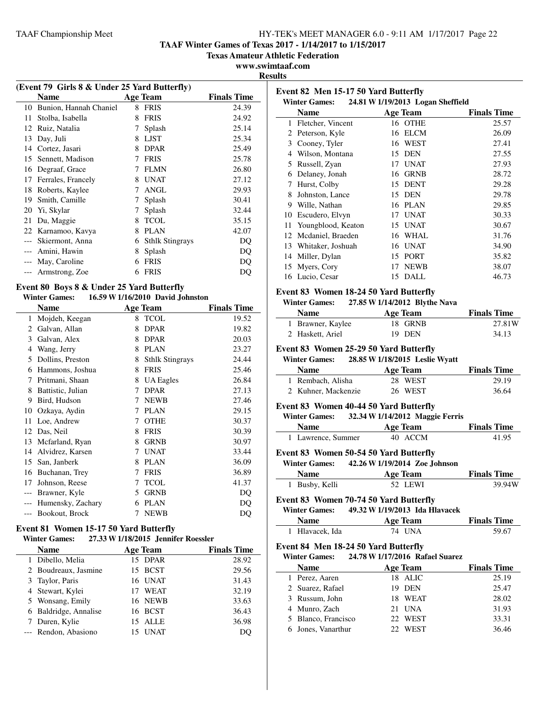**TAAF Winter Games of Texas 2017 - 1/14/2017 to 1/15/2017**

**Texas Amateur Athletic Federation**

**www.swimtaaf.com**

**Results**

|       | (Event 79 Girls 8 & Under 25 Yard Butterfly)                      |   |                                  |                    |
|-------|-------------------------------------------------------------------|---|----------------------------------|--------------------|
|       | <b>Name</b>                                                       |   | <b>Age Team</b>                  | <b>Finals Time</b> |
| 10    | Bunion, Hannah Chaniel                                            | 8 | <b>FRIS</b>                      | 24.39              |
| 11    | Stolba, Isabella                                                  | 8 | <b>FRIS</b>                      | 24.92              |
| 12    | Ruiz, Natalia                                                     | 7 | Splash                           | 25.14              |
| 13    | Day, Juli                                                         | 8 | <b>LJST</b>                      | 25.34              |
| 14    | Cortez, Jasari                                                    | 8 | <b>DPAR</b>                      | 25.49              |
| 15    | Sennett, Madison                                                  | 7 | <b>FRIS</b>                      | 25.78              |
| 16    | Degraaf, Grace                                                    | 7 | <b>FLMN</b>                      | 26.80              |
| 17    | Ferrales, Francely                                                | 8 | <b>UNAT</b>                      | 27.12              |
| 18    | Roberts, Kaylee                                                   | 7 | <b>ANGL</b>                      | 29.93              |
| 19    | Smith, Camille                                                    | 7 | Splash                           | 30.41              |
| 20    | Yi, Skylar                                                        | 7 | Splash                           | 32.44              |
| 21    | Du, Maggie                                                        | 8 | <b>TCOL</b>                      | 35.15              |
| 22    | Karnamoo, Kavya                                                   | 8 | <b>PLAN</b>                      | 42.07              |
| $---$ | Skiermont, Anna                                                   | 6 | <b>Sthlk Stingrays</b>           | DQ                 |
| $---$ | Amini, Hawin                                                      | 8 | Splash                           | DQ                 |
| $---$ | May, Caroline                                                     | 6 | <b>FRIS</b>                      | DQ                 |
| $---$ | Armstrong, Zoe                                                    | 6 | <b>FRIS</b>                      | DQ                 |
|       | Event 80 Boys 8 & Under 25 Yard Butterfly<br><b>Winter Games:</b> |   | 16.59 W 1/16/2010 David Johnston |                    |

|    | Name              |   | <b>Age Team</b>        | <b>Finals Time</b> |
|----|-------------------|---|------------------------|--------------------|
| 1  | Mojdeh, Keegan    | 8 | <b>TCOL</b>            | 19.52              |
| 2  | Galvan, Allan     | 8 | <b>DPAR</b>            | 19.82              |
| 3  | Galvan, Alex      | 8 | <b>DPAR</b>            | 20.03              |
| 4  | Wang, Jerry       | 8 | <b>PLAN</b>            | 23.27              |
| 5  | Dollins, Preston  | 8 | <b>Sthlk Stingrays</b> | 24.44              |
| 6  | Hammons, Joshua   | 8 | <b>FRIS</b>            | 25.46              |
| 7  | Pritmani, Shaan   | 8 | <b>UA</b> Eagles       | 26.84              |
| 8  | Battistic, Julian | 7 | <b>DPAR</b>            | 27.13              |
| 9  | Bird, Hudson      | 7 | <b>NEWB</b>            | 27.46              |
| 10 | Ozkaya, Aydin     | 7 | <b>PLAN</b>            | 29.15              |
| 11 | Loe, Andrew       | 7 | <b>OTHE</b>            | 30.37              |
| 12 | Das, Neil         | 8 | <b>FRIS</b>            | 30.39              |
| 13 | Mcfarland, Ryan   | 8 | <b>GRNB</b>            | 30.97              |
| 14 | Alvidrez, Karsen  | 7 | <b>UNAT</b>            | 33.44              |
| 15 | San, Janberk      | 8 | <b>PLAN</b>            | 36.09              |
| 16 | Buchanan, Trey    | 7 | <b>FRIS</b>            | 36.89              |
| 17 | Johnson, Reese    | 7 | <b>TCOL</b>            | 41.37              |
|    | Brawner, Kyle     | 5 | <b>GRNB</b>            | DQ                 |
|    | Humensky, Zachary | 6 | <b>PLAN</b>            | DQ                 |
|    | Bookout, Brock    | 7 | <b>NEWB</b>            | DQ                 |

# **Event 81 Women 15-17 50 Yard Butterfly**

### **Winter Games: 27.33 W1/18/2015 Jennifer Roessler**

| <b>Name</b>           |    | <b>Age Team</b> | <b>Finals Time</b> |
|-----------------------|----|-----------------|--------------------|
| 1 Dibello, Melia      |    | 15 DPAR         | 28.92              |
| 2 Boudreaux, Jasmine  |    | 15 BCST         | 29.56              |
| 3 Taylor, Paris       |    | 16 UNAT         | 31.43              |
| 4 Stewart, Kylei      | 17 | <b>WEAT</b>     | 32.19              |
| 5 Wonsang, Emily      |    | 16 NEWB         | 33.63              |
| 6 Baldridge, Annalise |    | 16 BCST         | 36.43              |
| 7 Duren, Kylie        |    | 15 ALLE         | 36.98              |
| --- Rendon, Abasiono  |    | <b>UNAT</b>     | DO                 |

| Event 82 Men 15-17 50 Yard Butterfly                                  |                                   |                             |
|-----------------------------------------------------------------------|-----------------------------------|-----------------------------|
| <b>Winter Games:</b>                                                  | 24.81 W 1/19/2013 Logan Sheffield |                             |
| <b>Name</b>                                                           | <b>Age Team</b>                   | <b>Finals Time</b>          |
| 1 Fletcher, Vincent                                                   | 16 OTHE                           | 25.57                       |
| 2 Peterson, Kyle                                                      | 16 ELCM                           | 26.09                       |
| 3 Cooney, Tyler                                                       | 16 WEST                           | 27.41                       |
| 4 Wilson, Montana                                                     | 15 DEN                            | 27.55                       |
| 5 Russell, Zyan                                                       | 17 UNAT                           | 27.93                       |
| 6 Delaney, Jonah                                                      | 16 GRNB                           | 28.72                       |
| 7 Hurst, Colby                                                        | 15 DENT                           | 29.28                       |
| 8 Johnston, Lance                                                     | 15 DEN                            | 29.78                       |
| 9 Wille, Nathan                                                       | 16 PLAN                           | 29.85                       |
| 10 Escudero, Elvyn                                                    | 17 UNAT                           | 30.33                       |
| 11 Youngblood, Keaton                                                 | 15 UNAT                           | 30.67                       |
| 12 Mcdaniel, Braeden                                                  | 16 WHAL                           | 31.76                       |
| 13 Whitaker, Joshuah                                                  | 16 UNAT                           | 34.90                       |
| 14 Miller, Dylan                                                      | 15 PORT                           | 35.82                       |
| 15 Myers, Cory                                                        | 17 NEWB                           | 38.07                       |
| 16 Lucio, Cesar                                                       | DALL<br>15                        | 46.73                       |
| Event 83 Women 18-24 50 Yard Butterfly                                |                                   |                             |
| <b>Winter Games:</b>                                                  | 27.85 W 1/14/2012 Blythe Nava     |                             |
| <b>Name</b>                                                           | <b>Age Team</b>                   | <b>Finals Time</b>          |
| 1 Brawner, Kaylee                                                     | 18<br><b>GRNB</b>                 | 27.81W                      |
| 2 Haskett, Ariel                                                      | 19 DEN                            | 34.13                       |
| Event 83 Women 25-29 50 Yard Butterfly<br><b>Winter Games:</b>        | 28.85 W 1/18/2015 Leslie Wyatt    |                             |
| <b>Name</b>                                                           | <b>Age Team</b>                   | <b>Finals Time</b>          |
| 1 Rembach, Alisha                                                     | 28 WEST                           | 29.19                       |
| 2 Kuhner, Mackenzie                                                   |                                   |                             |
|                                                                       | 26 WEST                           | 36.64                       |
| Event 83 Women 40-44 50 Yard Butterfly                                |                                   |                             |
| <b>Winter Games:</b>                                                  | 32.34 W 1/14/2012 Maggie Ferris   |                             |
| <b>Name</b>                                                           | <b>Age Team</b>                   | <b>Finals Time</b>          |
| 1 Lawrence, Summer                                                    | 40 ACCM                           | 41.95                       |
| Event 83 Women 50-54 50 Yard Butterfly                                |                                   |                             |
| <b>Winter Games:</b>                                                  | 42.26 W 1/19/2014 Zoe Johnson     |                             |
| <b>Name</b>                                                           | <b>Age Team</b>                   | <b>Finals Time</b>          |
| Busby, Kelli                                                          | 52 LEWI                           | 39.94W                      |
|                                                                       |                                   |                             |
| <b>Event 83 Women 70-74 50 Yard Butterfly</b><br><b>Winter Games:</b> | 49.32 W 1/19/2013 Ida Hlavacek    |                             |
| <b>Name</b>                                                           |                                   |                             |
| 1 Hlavacek, Ida                                                       | <b>Age Team</b><br><b>74 UNA</b>  | <b>Finals Time</b><br>59.67 |
|                                                                       |                                   |                             |
| Event 84 Men 18-24 50 Yard Butterfly<br><b>Winter Games:</b>          |                                   |                             |
| <b>Name</b>                                                           | 24.78 W 1/17/2016 Rafael Suarez   |                             |
|                                                                       | <b>Age Team</b>                   | <b>Finals Time</b>          |
| 1 Perez, Aaren<br>2 Suarez, Rafael                                    | 18 ALIC<br>19 DEN                 | 25.19                       |
|                                                                       |                                   | 25.47                       |
| 3 Russum, John<br>4 Munro, Zach                                       | 18 WEAT<br>21 UNA                 | 28.02                       |
| 5 Blanco, Francisco                                                   | 22 WEST                           | 31.93<br>33.31              |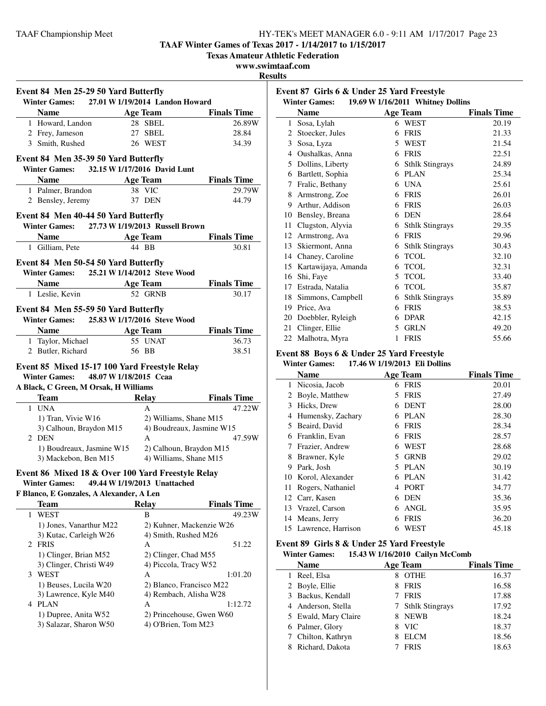**TAAF Winter Games of Texas 2017 - 1/14/2017 to 1/15/2017**

**Texas Amateur Athletic Federation**

**www.swimtaaf.com**

**Results**

| Winter Games: 27.01 W 1/19/2014 Landon Howard                                                   | Event 84 Men 25-29 50 Yard Butterfly |                                     |
|-------------------------------------------------------------------------------------------------|--------------------------------------|-------------------------------------|
| <b>Name</b>                                                                                     | <b>Age Team</b>                      | <b>Finals Time</b>                  |
| 1 Howard, Landon                                                                                | 28 SBEL                              | 26.89W                              |
| 2 Frey, Jameson                                                                                 | 27 SBEL                              | 28.84                               |
| 3 Smith, Rushed                                                                                 | 26 WEST                              | 34.39                               |
|                                                                                                 |                                      |                                     |
| Event 84 Men 35-39 50 Yard Butterfly<br><b>Winter Games:</b>                                    | 32.15 W 1/17/2016 David Lunt         |                                     |
| Name Age Team                                                                                   |                                      | <b>Finals Time</b>                  |
| 1 Palmer, Brandon                                                                               | 38 VIC                               | 29.79W                              |
| 2 Bensley, Jeremy                                                                               | 37 DEN                               | 44.79                               |
|                                                                                                 |                                      |                                     |
| Event 84 Men 40-44 50 Yard Butterfly<br>Winter Games: 27.73 W 1/19/2013 Russell Brown           |                                      |                                     |
| Name Age Team                                                                                   |                                      | <b>Finals Time</b>                  |
| 1 Gilliam, Pete                                                                                 | 44 BB                                | 30.81                               |
|                                                                                                 |                                      |                                     |
| Event 84 Men 50-54 50 Yard Butterfly<br>Winter Games: 25.21 W 1/14/2012 Steve Wood              |                                      |                                     |
|                                                                                                 |                                      |                                     |
| Name Age Team<br>1 Leslie, Kevin                                                                | 52 GRNB                              | <b>Finals Time</b><br>30.17         |
|                                                                                                 |                                      |                                     |
| Event 84 Men 55-59 50 Yard Butterfly                                                            |                                      |                                     |
| <b>Winter Games:</b>                                                                            | 25.83 W 1/17/2016 Steve Wood         |                                     |
| Name Age Team                                                                                   |                                      | <b>Finals Time</b>                  |
| 1 Taylor, Michael 55 UNAT                                                                       |                                      | 36.73                               |
| 2 Butler, Richard                                                                               | 56 BB                                | 38.51                               |
| Event 85 Mixed 15-17 100 Yard Freestyle Relay<br><b>Winter Games:</b>                           |                                      |                                     |
|                                                                                                 | 48.07 W 1/18/2015 Ccaa               |                                     |
| A Black, C Green, M Orsak, H Williams<br><b>Team</b>                                            |                                      |                                     |
| 1 UNA                                                                                           | A                                    | Relay Finals Time                   |
| 1) Tran, Vivie W16                                                                              | 2) Williams, Shane M15               |                                     |
| 3) Calhoun, Braydon M15                                                                         |                                      | 4) Boudreaux, Jasmine W15           |
| 2 DEN                                                                                           | A                                    |                                     |
| 1) Boudreaux, Jasmine W15 2) Calhoun, Braydon M15                                               |                                      |                                     |
| 3) Mackebon, Ben M15                                                                            | 4) Williams, Shane M15               | 47.22W<br>47.59W                    |
|                                                                                                 |                                      |                                     |
| Event 86 Mixed 18 & Over 100 Yard Freestyle Relay<br>Winter Games: 49.44 W 1/19/2013 Unattached |                                      |                                     |
| F Blanco, E Gonzales, A Alexander, A Len                                                        |                                      |                                     |
| <b>Team</b>                                                                                     | <b>Relay</b>                         | <b>Finals Time</b>                  |
| WEST<br>1                                                                                       | B                                    |                                     |
| 1) Jones, Vanarthur M22                                                                         |                                      | 2) Kuhner, Mackenzie W26            |
| 3) Kutac, Carleigh W26                                                                          | 4) Smith, Rushed M26                 |                                     |
| 2 FRIS                                                                                          | Α                                    | 51.22                               |
| 1) Clinger, Brian M52                                                                           | 2) Clinger, Chad M55                 |                                     |
| 3) Clinger, Christi W49                                                                         | 4) Piccola, Tracy W52                |                                     |
| 3 WEST                                                                                          | А                                    | 1:01.20                             |
| 1) Beuses, Lucila W20                                                                           | 2) Blanco, Francisco M22             | 49.23W                              |
| 3) Lawrence, Kyle M40                                                                           | 4) Rembach, Alisha W28               |                                     |
| 4 PLAN<br>1) Dupree, Anita W52                                                                  | Α                                    | 1:12.72<br>2) Princehouse, Gwen W60 |

| Event 87 Girls 6 & Under 25 Yard Freestyle |                                     |   |                                                      |                    |
|--------------------------------------------|-------------------------------------|---|------------------------------------------------------|--------------------|
|                                            | <b>Winter Games:</b><br><b>Name</b> |   | 19.69 W 1/16/2011 Whitney Dollins<br><b>Age Team</b> | <b>Finals Time</b> |
| 1                                          | Sosa, Lylah                         |   | 6 WEST                                               | 20.19              |
| 2                                          | Stoecker, Jules                     | 6 | <b>FRIS</b>                                          | 21.33              |
| 3                                          | Sosa, Lyza                          | 5 | WEST                                                 | 21.54              |
| 4                                          | Oushalkas, Anna                     | 6 | <b>FRIS</b>                                          | 22.51              |
| 5                                          | Dollins, Liberty                    | 6 | <b>Sthlk Stingrays</b>                               | 24.89              |
| 6                                          | Bartlett, Sophia                    | 6 | <b>PLAN</b>                                          | 25.34              |
| 7                                          | Fralic, Bethany                     | 6 | <b>UNA</b>                                           | 25.61              |
| 8                                          | Armstrong, Zoe                      | 6 | <b>FRIS</b>                                          | 26.01              |
| 9                                          | Arthur, Addison                     | 6 | <b>FRIS</b>                                          | 26.03              |
| 10                                         | Bensley, Breana                     | 6 | <b>DEN</b>                                           | 28.64              |
| 11                                         | Clugston, Alyvia                    | 6 | <b>Sthlk Stingrays</b>                               | 29.35              |
| 12                                         | Armstrong, Ava                      | 6 | <b>FRIS</b>                                          | 29.96              |
| 13                                         | Skiermont, Anna                     | 6 | <b>Sthlk Stingrays</b>                               | 30.43              |
| 14                                         | Chaney, Caroline                    | 6 | <b>TCOL</b>                                          | 32.10              |
| 15                                         | Kartawijaya, Amanda                 | 6 | <b>TCOL</b>                                          | 32.31              |
| 16                                         | Shi, Faye                           | 5 | <b>TCOL</b>                                          | 33.40              |
| 17                                         | Estrada, Natalia                    | 6 | <b>TCOL</b>                                          | 35.87              |
| 18                                         | Simmons, Campbell                   | 6 | <b>Sthlk Stingrays</b>                               | 35.89              |
| 19                                         | Price, Ava                          | 6 | <b>FRIS</b>                                          | 38.53              |
| 20                                         | Doebbler, Ryleigh                   | 6 | <b>DPAR</b>                                          | 42.15              |
| 21                                         | Clinger, Ellie                      | 5 | <b>GRLN</b>                                          | 49.20              |
| 22                                         | Malhotra, Myra                      | 1 | <b>FRIS</b>                                          | 55.66              |

#### **Event 88 Boys 6 & Under 25 Yard Freestyle Winter Games: 17.46 W1/19/2013 Eli Dollins**

| winter Games:<br>$1/30$ W $1/19/2013$ Ell Dollins |                       |    |                 |                    |
|---------------------------------------------------|-----------------------|----|-----------------|--------------------|
|                                                   | <b>Name</b>           |    | <b>Age Team</b> | <b>Finals Time</b> |
| 1                                                 | Nicosia, Jacob        |    | 6 FRIS          | 20.01              |
| 2                                                 | Boyle, Matthew        | 5. | <b>FRIS</b>     | 27.49              |
| 3                                                 | Hicks, Drew           | 6  | <b>DENT</b>     | 28.00              |
| 4                                                 | Humensky, Zachary     | 6  | PLAN            | 28.30              |
| 5                                                 | Beaird, David         | 6  | <b>FRIS</b>     | 28.34              |
| 6                                                 | Franklin, Evan        | 6  | <b>FRIS</b>     | 28.57              |
| 7                                                 | Frazier, Andrew       | 6  | WEST            | 28.68              |
| 8                                                 | Brawner, Kyle         | 5  | <b>GRNB</b>     | 29.02              |
| 9                                                 | Park, Josh            | 5. | PLAN            | 30.19              |
| 10                                                | Korol, Alexander      | 6  | <b>PLAN</b>     | 31.42              |
| 11                                                | Rogers, Nathaniel     | 4  | <b>PORT</b>     | 34.77              |
| 12                                                | Carr, Kasen           | 6  | <b>DEN</b>      | 35.36              |
|                                                   | 13 Vrazel, Carson     | 6  | ANGL            | 35.95              |
| 14                                                | Means, Jerry          | 6  | <b>FRIS</b>     | 36.20              |
|                                                   | 15 Lawrence, Harrison | 6  | WEST            | 45.18              |

### **Event 89 Girls 8 & Under 25 Yard Freestyle Winter Games: 15.43 W1/16/2010 Cailyn McComb**

|  | <b>Name</b>          |   | <b>Age Team</b>   | <b>Finals Time</b> |  |
|--|----------------------|---|-------------------|--------------------|--|
|  | Reel, Elsa           | 8 | <b>OTHE</b>       | 16.37              |  |
|  | 2 Boyle, Ellie       | 8 | <b>FRIS</b>       | 16.58              |  |
|  | 3 Backus, Kendall    |   | 7 FRIS            | 17.88              |  |
|  | 4 Anderson, Stella   |   | 7 Sthlk Stingrays | 17.92              |  |
|  | 5 Ewald, Mary Claire |   | <b>NEWB</b>       | 18.24              |  |
|  | 6 Palmer, Glory      | 8 | <b>VIC</b>        | 18.37              |  |
|  | Chilton, Kathryn     |   | <b>ELCM</b>       | 18.56              |  |
|  | Richard, Dakota      |   | <b>FRIS</b>       | 18.63              |  |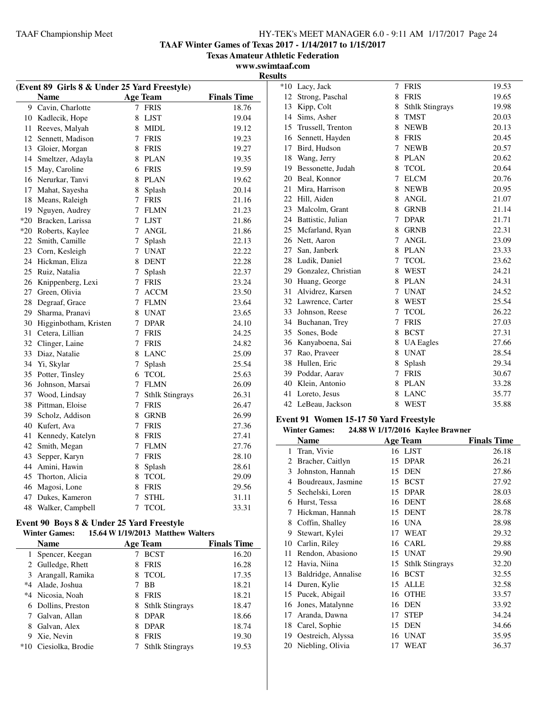**TAAF Winter Games of Texas 2017 - 1/14/2017 to 1/15/2017**

**Texas Amateur Athletic Federation**

#### **www.swimtaaf.com Results**

| (Event 89 Girls 8 & Under 25 Yard Freestyle) |                   |                    | *10 Lacy, Jack         |                                        | 7 FRIS                           | 19.53              |
|----------------------------------------------|-------------------|--------------------|------------------------|----------------------------------------|----------------------------------|--------------------|
| <b>Name</b>                                  | <b>Age Team</b>   | <b>Finals Time</b> | 12 Strong, Paschal     |                                        | 8 FRIS                           | 19.65              |
| 9 Cavin, Charlotte                           | 7 FRIS            | 18.76              | Kipp, Colt<br>13       |                                        | 8 Sthlk Stingrays                | 19.98              |
| 10 Kadlecik, Hope                            | 8 LJST            | 19.04              | 14 Sims, Asher         |                                        | 8 TMST                           | 20.03              |
| Reeves, Malyah<br>11                         | 8 MIDL            | 19.12              | 15 Trussell, Trenton   |                                        | 8 NEWB                           | 20.13              |
| 12 Sennett, Madison                          | 7 FRIS            | 19.23              | 16 Sennett, Hayden     |                                        | 8 FRIS                           | 20.45              |
| 13 Gloier, Morgan                            | 8 FRIS            | 19.27              | 17 Bird, Hudson        |                                        | 7 NEWB                           | 20.57              |
| 14 Smeltzer, Adayla                          | 8 PLAN            | 19.35              | 18 Wang, Jerry         |                                        | 8 PLAN                           | 20.62              |
| 15 May, Caroline                             | 6 FRIS            | 19.59              | 19 Bessonette, Judah   |                                        | 8 TCOL                           | 20.64              |
| 16 Nerurkar, Tanvi                           | 8 PLAN            | 19.62              | 20 Beal, Konnor        |                                        | 7 ELCM                           | 20.76              |
| Mahat, Sayesha<br>17                         | Splash<br>8       | 20.14              | 21<br>Mira, Harrison   |                                        | 8 NEWB                           | 20.95              |
| 18 Means, Raleigh                            | 7 FRIS            | 21.16              | 22 Hill, Aiden         |                                        | 8 ANGL                           | 21.07              |
| 19 Nguyen, Audrey                            | 7 FLMN            | 21.23              | 23 Malcolm, Grant      |                                        | 8 GRNB                           | 21.14              |
| *20 Bracken, Larissa                         | 7 LJST            | 21.86              | 24 Battistic, Julian   |                                        | 7 DPAR                           | 21.71              |
| *20 Roberts, Kaylee                          | 7 ANGL            | 21.86              | 25<br>Mcfarland, Ryan  |                                        | 8 GRNB                           | 22.31              |
| 22 Smith, Camille                            | Splash<br>7       | 22.13              | 26 Nett, Aaron         |                                        | 7 ANGL                           | 23.09              |
| Corn, Kesleigh<br>23                         | 7 UNAT            | 22.22              | San, Janberk<br>27     |                                        | 8 PLAN                           | 23.33              |
| 24 Hickman, Eliza                            | 8 DENT            | 22.28              | 28 Ludik, Daniel       |                                        | 7 TCOL                           | 23.62              |
| 25 Ruiz, Natalia                             | 7<br>Splash       | 22.37              | 29                     | Gonzalez, Christian                    | 8 WEST                           | 24.21              |
| 26<br>Knippenberg, Lexi                      | 7 FRIS            | 23.24              | 30 Huang, George       |                                        | 8 PLAN                           | 24.31              |
| 27 Green, Olivia                             | 7 ACCM            | 23.50              | Alvidrez, Karsen<br>31 |                                        | 7 UNAT                           | 24.52              |
| 28 Degraaf, Grace                            | 7 FLMN            | 23.64              | 32 Lawrence, Carter    |                                        | 8 WEST                           | 25.54              |
| 29 Sharma, Pranavi                           | 8 UNAT            | 23.65              | 33 Johnson, Reese      |                                        | 7 TCOL                           | 26.22              |
| 30 Higginbotham, Kristen                     | 7 DPAR            | 24.10              | 34 Buchanan, Trey      |                                        | 7 FRIS                           | 27.03              |
| 31 Cetera, Lillian                           | 7 FRIS            | 24.25              | 35 Sones, Bode         |                                        | 8 BCST                           | 27.31              |
| 32<br>Clinger, Laine                         | 7 FRIS            | 24.82              | 36 Kanyaboena, Sai     |                                        | 8 UA Eagles                      | 27.66              |
| 33 Diaz, Natalie                             | 8 LANC            | 25.09              | 37 Rao, Praveer        |                                        | 8 UNAT                           | 28.54              |
| 34 Yi, Skylar                                | 7 Splash          | 25.54              | 38 Hullen, Eric        |                                        | 8 Splash                         | 29.34              |
| 35 Potter, Tinsley                           | 6 TCOL            | 25.63              | 39 Poddar, Aarav       |                                        | 7 FRIS                           | 30.67              |
| 36 Johnson, Marsai                           | 7 FLMN            | 26.09              | 40 Klein, Antonio      |                                        | 8 PLAN                           | 33.28              |
| 37 Wood, Lindsay                             | 7 Sthlk Stingrays | 26.31              | 41 Loreto, Jesus       |                                        | 8 LANC                           | 35.77              |
| 38 Pittman, Eloise                           | 7 FRIS            | 26.47              | 42 LeBeau, Jackson     |                                        | 8 WEST                           | 35.88              |
| Scholz, Addison<br>39                        | 8 GRNB            | 26.99              |                        |                                        |                                  |                    |
| Kufert, Ava<br>40                            | 7 FRIS            | 27.36              |                        | Event 91 Women 15-17 50 Yard Freestyle |                                  |                    |
| Kennedy, Katelyn<br>41                       | 8 FRIS            | 27.41              | <b>Winter Games:</b>   |                                        | 24.88 W 1/17/2016 Kaylee Brawner |                    |
| 42 Smith, Megan                              | 7 FLMN            | 27.76              | <b>Name</b>            |                                        | <b>Age Team</b>                  | <b>Finals Time</b> |
| Sepper, Karyn<br>43                          | 7 FRIS            | 28.10              | 1 Tran, Vivie          |                                        | 16 LJST                          | 26.18              |
| Amini, Hawin<br>44                           | Splash<br>8       | 28.61              | 2 Bracher, Caitlyn     |                                        | 15 DPAR                          | 26.21              |
| Thorton, Alicia<br>45                        | 8 TCOL            | 29.09              | Johnston, Hannah<br>3  |                                        | 15 DEN                           | 27.86              |
| 46 Magosi, Lone                              | 8 FRIS            | 29.56              | 4                      | Boudreaux, Jasmine                     | 15 BCST                          | 27.92              |
| Dukes, Kameron<br>47                         | 7 STHL            | 31.11              | 5 Sechelski, Loren     |                                        | 15 DPAR                          | 28.03              |
| 48 Walker, Campbell                          | 7 TCOL            | 33.31              | 6 Hurst, Tessa         |                                        | 16 DENT                          | 28.68              |
|                                              |                   |                    | 7 Hickman, Hannah      |                                        | 15 DENT                          | 28.78              |

#### **Event 90 Boys 8 & Under 25 Yard Freestyle**<br>Winter Games: 15.64 W 1/19/2013 Matthew **Winter Games: 15.64 W1/19/2013 Matthew Walters**

|       | уушил уашсэ.       |   | 13.04 W 1/1 <i>7/4</i> 013 Matthew Walters |                    |
|-------|--------------------|---|--------------------------------------------|--------------------|
|       | Name               |   | <b>Age Team</b>                            | <b>Finals Time</b> |
| 1     | Spencer, Keegan    |   | <b>BCST</b>                                | 16.20              |
|       | 2 Gulledge, Rhett  | 8 | <b>FRIS</b>                                | 16.28              |
|       | 3 Arangall, Ramika | 8 | <b>TCOL</b>                                | 17.35              |
| $*4$  | Alade, Joshua      |   | BB                                         | 18.21              |
|       | *4 Nicosia, Noah   | 8 | <b>FRIS</b>                                | 18.21              |
| 6     | Dollins, Preston   | 8 | <b>Sthlk Stingrays</b>                     | 18.47              |
|       | Galvan, Allan      | 8 | <b>DPAR</b>                                | 18.66              |
| 8     | Galvan, Alex       | 8 | <b>DPAR</b>                                | 18.74              |
| 9     | Xie, Nevin         | 8 | <b>FRIS</b>                                | 19.30              |
| $*10$ | Ciesiolka, Brodie  |   | <b>Sthlk Stingrays</b>                     | 19.53              |
|       |                    |   |                                            |                    |

| winter Games:<br><b>24.00 W I/I//2010 Naylee Drawlier</b> |                     |    |                        |                    |  |  |
|-----------------------------------------------------------|---------------------|----|------------------------|--------------------|--|--|
|                                                           | <b>Name</b>         |    | <b>Age Team</b>        | <b>Finals Time</b> |  |  |
| 1                                                         | Tran, Vivie         |    | 16 LJST                | 26.18              |  |  |
| $\mathcal{D}_{\mathcal{L}}$                               | Bracher, Caitlyn    | 15 | <b>DPAR</b>            | 26.21              |  |  |
| 3                                                         | Johnston, Hannah    | 15 | <b>DEN</b>             | 27.86              |  |  |
| 4                                                         | Boudreaux, Jasmine  | 15 | <b>BCST</b>            | 27.92              |  |  |
| 5                                                         | Sechelski, Loren    | 15 | <b>DPAR</b>            | 28.03              |  |  |
| 6                                                         | Hurst, Tessa        | 16 | <b>DENT</b>            | 28.68              |  |  |
| 7                                                         | Hickman, Hannah     | 15 | <b>DENT</b>            | 28.78              |  |  |
| 8                                                         | Coffin, Shalley     | 16 | <b>UNA</b>             | 28.98              |  |  |
| 9                                                         | Stewart, Kylei      | 17 | <b>WEAT</b>            | 29.32              |  |  |
| 10                                                        | Carlin, Riley       | 16 | CARL                   | 29.88              |  |  |
| 11                                                        | Rendon, Abasiono    | 15 | <b>UNAT</b>            | 29.90              |  |  |
| 12                                                        | Havia, Niina        | 15 | <b>Sthlk Stingrays</b> | 32.20              |  |  |
| 13                                                        | Baldridge, Annalise | 16 | <b>BCST</b>            | 32.55              |  |  |
| 14                                                        | Duren, Kylie        | 15 | <b>ALLE</b>            | 32.58              |  |  |
| 15                                                        | Pucek, Abigail      | 16 | <b>OTHE</b>            | 33.57              |  |  |
| 16                                                        | Jones, Matalynne    | 16 | <b>DEN</b>             | 33.92              |  |  |
| 17                                                        | Aranda, Dawna       | 17 | <b>STEP</b>            | 34.24              |  |  |
| 18                                                        | Carel, Sophie       | 15 | <b>DEN</b>             | 34.66              |  |  |
| 19                                                        | Oestreich, Alyssa   | 16 | <b>UNAT</b>            | 35.95              |  |  |
| 20                                                        | Niebling, Olivia    | 17 | WEAT                   | 36.37              |  |  |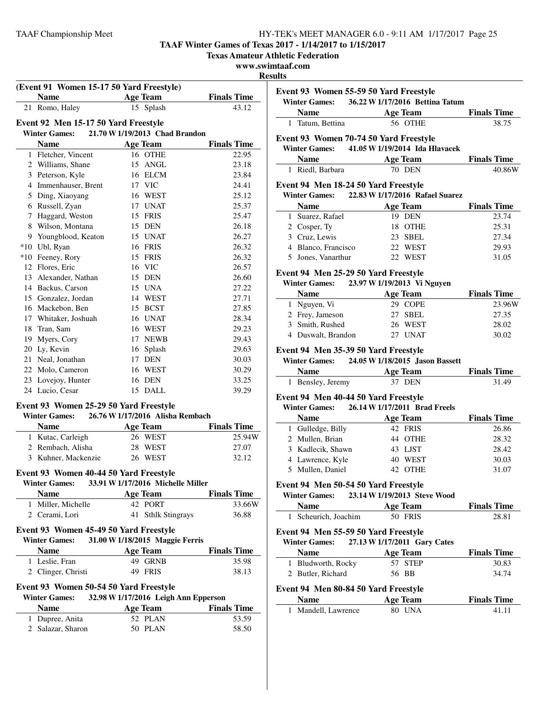**TAAF Winter Games of Texas 2017 - 1/14/2017 to 1/15/2017**

**Texas Amateur Athletic Federation**

### **www.swimtaaf.com**

### **Results**

| (Event 91 Women 15-17 50 Yard Freestyle)<br>Name |    | <b>Age Team</b>                      | <b>Finals Time</b> |
|--------------------------------------------------|----|--------------------------------------|--------------------|
| 21 Romo, Haley                                   |    | 15 Splash                            | 43.12              |
|                                                  |    |                                      |                    |
| Event 92 Men 15-17 50 Yard Freestyle             |    |                                      |                    |
| <b>Winter Games:</b>                             |    | 21.70 W 1/19/2013 Chad Brandon       |                    |
| <b>Name</b>                                      |    | <b>Age Team</b>                      | <b>Finals Time</b> |
| 1 Fletcher, Vincent                              |    | 16 OTHE                              | 22.95              |
| 2 Williams, Shane                                |    | 15 ANGL                              | 23.18              |
| 3 Peterson, Kyle                                 |    | 16 ELCM                              | 23.84              |
| 4 Immenhauser, Brent                             |    | 17 VIC                               | 24.41              |
| 5 Ding, Xiaoyang                                 |    | 16 WEST                              | 25.12              |
| 6 Russell, Zyan                                  |    | 17 UNAT                              | 25.37              |
| 7 Haggard, Weston                                |    | 15 FRIS                              | 25.47              |
| 8 Wilson, Montana                                |    | 15 DEN                               | 26.18              |
| 9 Youngblood, Keaton                             |    | 15 UNAT                              | 26.27              |
| *10 Ubl, Ryan                                    |    | 16 FRIS                              | 26.32              |
| *10 Feeney, Rory                                 |    | 15 FRIS                              | 26.32              |
| 12 Flores, Eric                                  |    | 16 VIC                               | 26.57              |
| 13 Alexander, Nathan                             |    | 15 DEN                               | 26.60              |
| 14 Backus, Carson                                |    | 15 UNA                               | 27.22              |
|                                                  |    | 14 WEST                              |                    |
| 15 Gonzalez, Jordan                              |    | 15 BCST                              | 27.71              |
| 16 Mackebon, Ben                                 |    |                                      | 27.85              |
| 17 Whitaker, Joshuah                             |    | 16 UNAT                              | 28.34              |
| 18 Tran, Sam                                     |    | 16 WEST                              | 29.23              |
| 19 Myers, Cory                                   |    | 17 NEWB                              | 29.43              |
| 20 Ly, Kevin                                     |    | 16 Splash                            | 29.63              |
| 21 Neal, Jonathan                                |    | 17 DEN                               | 30.03              |
| 22 Molo, Cameron                                 |    | 16 WEST                              | 30.29              |
| 23 Lovejoy, Hunter                               |    | 16 DEN                               | 33.25              |
| 24 Lucio, Cesar                                  |    | 15 DALL                              | 39.29              |
| Event 93 Women 25-29 50 Yard Freestyle           |    |                                      |                    |
| <b>Winter Games:</b>                             |    | 26.76 W 1/17/2016 Alisha Rembach     |                    |
| <b>Name</b>                                      |    | <b>Age Team</b>                      | <b>Finals Time</b> |
| 1 Kutac, Carleigh                                |    | 26 WEST                              | 25.94W             |
| 2 Rembach, Alisha                                |    | 28 WEST                              | 27.07              |
| 3 Kuhner, Mackenzie                              |    | 26 WEST                              | 32.12              |
|                                                  |    |                                      |                    |
| Event 93 Women 40-44 50 Yard Freestyle           |    |                                      |                    |
| <b>Winter Games:</b>                             |    | 33.91 W 1/17/2016 Michelle Miller    |                    |
| <b>Name</b>                                      |    | <b>Age Team</b>                      | <b>Finals Time</b> |
| 1 Miller, Michelle                               |    | 42 PORT                              | 33.66W             |
| 2 Cerami, Lori                                   | 41 | <b>Sthlk Stingrays</b>               | 36.88              |
| Event 93 Women 45-49 50 Yard Freestyle           |    |                                      |                    |
| <b>Winter Games:</b>                             |    | 31.00 W 1/18/2015 Maggie Ferris      |                    |
| <b>Name</b>                                      |    | <b>Age Team</b>                      | <b>Finals Time</b> |
| 1 Leslie, Fran                                   |    | 49 GRNB                              | 35.98              |
| 2 Clinger, Christi                               |    | 49 FRIS                              | 38.13              |
|                                                  |    |                                      |                    |
| Event 93 Women 50-54 50 Yard Freestyle           |    |                                      |                    |
| <b>Winter Games:</b>                             |    | 32.98 W 1/17/2016 Leigh Ann Epperson |                    |
| <b>Name</b>                                      |    | <b>Age Team</b>                      | <b>Finals Time</b> |
| 1 Dupree, Anita                                  |    | 52 PLAN                              | 53.59              |
| 2 Salazar, Sharon                                |    | 50 PLAN                              | 58.50              |
|                                                  |    |                                      |                    |
|                                                  |    |                                      |                    |

|                                                              |                                                                         | Winter Games: 36.22 W 1/17/2016 Bettina Tatum<br><b>Age Team</b> | <b>Finals Time</b>                                |
|--------------------------------------------------------------|-------------------------------------------------------------------------|------------------------------------------------------------------|---------------------------------------------------|
| 1 Tatum, Bettina                                             |                                                                         | <b>56 OTHE</b>                                                   | 38.75                                             |
|                                                              |                                                                         |                                                                  |                                                   |
| Event 93 Women 70-74 50 Yard Freestyle                       |                                                                         |                                                                  |                                                   |
| <b>Winter Games:</b>                                         | 41.05 W 1/19/2014 Ida Hlavacek                                          |                                                                  |                                                   |
| Name $\qquad \qquad$                                         |                                                                         | <b>Age Team</b>                                                  | <b>Finals Time</b>                                |
| 1 Riedl, Barbara                                             |                                                                         | 70 DEN                                                           | 40.86W                                            |
| Event 94 Men 18-24 50 Yard Freestyle                         |                                                                         |                                                                  |                                                   |
| <b>Winter Games:</b>                                         | 22.83 W 1/17/2016 Rafael Suarez                                         |                                                                  |                                                   |
| <b>Name</b>                                                  |                                                                         | <b>Age Team</b>                                                  | <b>Finals Time</b>                                |
| 1 Suarez, Rafael                                             |                                                                         | 19 DEN                                                           | 23.74                                             |
| 2 Cosper, Ty                                                 |                                                                         | 18 OTHE                                                          | 25.31                                             |
| 3 Cruz, Lewis                                                |                                                                         | 23 SBEL                                                          | 27.34                                             |
| 4 Blanco, Francisco                                          |                                                                         | 22 WEST                                                          | 29.93                                             |
| 5 Jones, Vanarthur                                           |                                                                         | 22 WEST                                                          | 31.05                                             |
|                                                              |                                                                         |                                                                  |                                                   |
| Event 94 Men 25-29 50 Yard Freestyle<br><b>Winter Games:</b> | 23.97 W 1/19/2013 Vi Nguyen                                             |                                                                  |                                                   |
|                                                              |                                                                         |                                                                  |                                                   |
| Name                                                         | <b>Age Team</b>                                                         |                                                                  | <b>Finals Time</b>                                |
| 1 Nguyen, Vi<br>2 Frey, Jameson                              |                                                                         | 29 COPE<br>27 SBEL                                               | 23.96W                                            |
| 3 Smith, Rushed                                              |                                                                         | 26 WEST                                                          | 27.35                                             |
| 4 Duswalt, Brandon                                           |                                                                         | 27 UNAT                                                          | 28.02<br>30.02                                    |
|                                                              |                                                                         |                                                                  |                                                   |
| <b>Winter Games:</b>                                         | Event 94 Men 35-39 50 Yard Freestyle<br>24.05 W 1/18/2015 Jason Bassett |                                                                  |                                                   |
| <b>Name</b>                                                  |                                                                         | <b>Age Team</b>                                                  | <b>Finals Time</b>                                |
| 1 Bensley, Jeremy                                            |                                                                         | 37 DEN                                                           | 31.49                                             |
|                                                              |                                                                         |                                                                  |                                                   |
| Event 94 Men 40-44 50 Yard Freestyle<br><b>Winter Games:</b> | 26.14 W 1/17/2011 Brad Freels                                           |                                                                  |                                                   |
| <b>Name</b>                                                  |                                                                         | <b>Age Team</b>                                                  |                                                   |
| 1 Gulledge, Billy                                            |                                                                         | 42 FRIS                                                          | 26.86                                             |
| 2 Mullen, Brian                                              |                                                                         | 44 OTHE                                                          | 28.32                                             |
| 3 Kadlecik, Shawn                                            |                                                                         | 43 LJST                                                          | 28.42                                             |
| 4 Lawrence, Kyle                                             |                                                                         | 40 WEST                                                          | 30.03                                             |
| 5 Mullen, Daniel                                             |                                                                         | 42 OTHE                                                          | 31.07                                             |
|                                                              |                                                                         |                                                                  |                                                   |
| Event 94 Men 50-54 50 Yard Freestyle                         |                                                                         |                                                                  |                                                   |
| <b>Winter Games:</b>                                         | 23.14 W 1/19/2013 Steve Wood                                            |                                                                  |                                                   |
| <b>Name</b>                                                  |                                                                         | <b>Age Team</b>                                                  |                                                   |
| 1 Scheurich, Joachim                                         |                                                                         | 50 FRIS                                                          | <b>Finals Time</b><br><b>Finals Time</b><br>28.81 |
| Event 94 Men 55-59 50 Yard Freestyle                         |                                                                         |                                                                  |                                                   |
| <b>Winter Games:</b>                                         | 27.13 W 1/17/2011 Gary Cates                                            |                                                                  |                                                   |
| <b>Name</b>                                                  | <b>Example 2 Age Team</b>                                               |                                                                  | <b>Finals Time</b>                                |
| 1 Bludworth, Rocky                                           |                                                                         | 57 STEP                                                          | 30.83                                             |
| 2 Butler, Richard                                            |                                                                         | 56 BB                                                            | 34.74                                             |
|                                                              |                                                                         |                                                                  |                                                   |
| Event 94 Men 80-84 50 Yard Freestyle<br><b>Name</b>          |                                                                         | <b>Age Team</b>                                                  | <b>Finals Time</b>                                |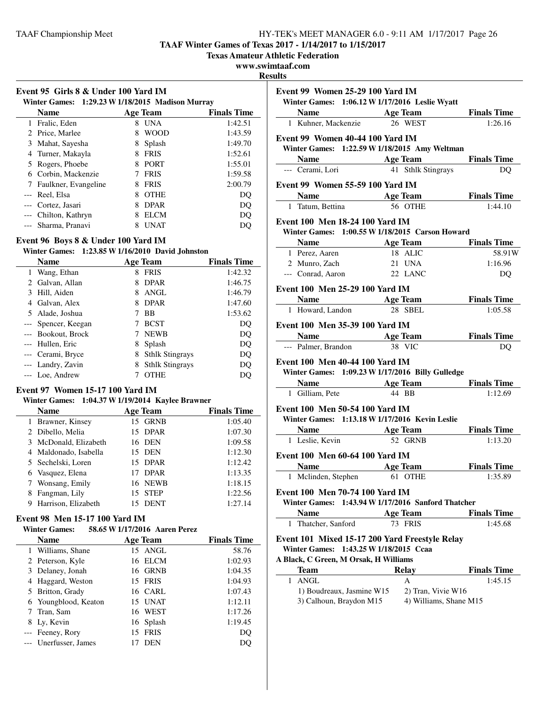**TAAF Winter Games of Texas 2017 - 1/14/2017 to 1/15/2017**

**Texas Amateur Athletic Federation**

### **www.swimtaaf.com**

**Resul** 

| Event 95 Girls 8 & Under 100 Yard IM<br>Winter Games: 1:29.23 W 1/18/2015 Madison Murray |                      |   |                 |                    |
|------------------------------------------------------------------------------------------|----------------------|---|-----------------|--------------------|
|                                                                                          | Name                 |   | <b>Age Team</b> | <b>Finals Time</b> |
| 1                                                                                        | Fralic, Eden         | 8 | <b>UNA</b>      | 1:42.51            |
|                                                                                          | 2 Price, Marlee      | 8 | <b>WOOD</b>     | 1:43.59            |
| 3                                                                                        | Mahat, Sayesha       | 8 | Splash          | 1:49.70            |
| 4                                                                                        | Turner, Makayla      | 8 | <b>FRIS</b>     | 1:52.61            |
| 5                                                                                        | Rogers, Phoebe       | 8 | <b>PORT</b>     | 1:55.01            |
| 6                                                                                        | Corbin, Mackenzie    |   | <b>FRIS</b>     | 1:59.58            |
|                                                                                          | Faulkner, Evangeline | 8 | <b>FRIS</b>     | 2:00.79            |
|                                                                                          | --- Reel, Elsa       | 8 | <b>OTHE</b>     | DO                 |
|                                                                                          | Cortez, Jasari       | 8 | <b>DPAR</b>     | DQ                 |
|                                                                                          | Chilton, Kathryn     | 8 | <b>ELCM</b>     | DO                 |
|                                                                                          | --- Sharma, Pranavi  | 8 | <b>UNAT</b>     | DO                 |

# **Event 96 Boys 8 & Under 100 Yard IM**

### **Winter Games: 1:23.85 W1/16/2010 David Johnston**

|       | <b>Name</b>         |   | <b>Age Team</b>        | <b>Finals Time</b> |
|-------|---------------------|---|------------------------|--------------------|
|       | 1 Wang, Ethan       | 8 | <b>FRIS</b>            | 1:42.32            |
|       | 2 Galvan, Allan     | 8 | <b>DPAR</b>            | 1:46.75            |
|       | 3 Hill, Aiden       | 8 | ANGL                   | 1:46.79            |
| 4     | Galvan, Alex        | 8 | <b>DPAR</b>            | 1:47.60            |
|       | 5 Alade, Joshua     |   | <b>BB</b>              | 1:53.62            |
|       | --- Spencer, Keegan |   | <b>BCST</b>            | DQ                 |
|       | --- Bookout, Brock  |   | <b>NEWB</b>            | DO                 |
|       | --- Hullen, Eric    | 8 | Splash                 | DQ                 |
|       | --- Cerami, Bryce   | 8 | <b>Sthlk Stingrays</b> | DQ                 |
|       | --- Landry, Zavin   | 8 | <b>Sthlk Stingrays</b> | DQ                 |
| $---$ | Loe, Andrew         |   | <b>OTHE</b>            | DO                 |

### **Event 97 Women 15-17 100 Yard IM**

### **Winter Games: 1:04.37 W1/19/2014 Kaylee Brawner**

| <b>Name</b>              | <b>Age Team</b> | <b>Finals Time</b> |
|--------------------------|-----------------|--------------------|
| Brawner, Kinsey          | 15 GRNB         | 1:05.40            |
| 2 Dibello, Melia         | 15 DPAR         | 1:07.30            |
| 3 McDonald, Elizabeth    | 16 DEN          | 1:09.58            |
| 4 Maldonado, Isabella    | 15 DEN          | 1:12.30            |
| 5 Sechelski, Loren       | 15 DPAR         | 1:12.42            |
| 6 Vasquez, Elena         | <b>DPAR</b>     | 1:13.35            |
| 7 Wonsang, Emily         | 16 NEWB         | 1:18.15            |
| Fangman, Lily            | 15 STEP         | 1:22.56            |
| Harrison, Elizabeth<br>9 | <b>DENT</b>     | 1:27.14            |

### **Event 98 Men 15-17 100 Yard IM**

| <b>Winter Games:</b> |                       |    | 58.65 W 1/17/2016 Aaren Perez |                    |
|----------------------|-----------------------|----|-------------------------------|--------------------|
|                      | <b>Name</b>           |    | <b>Age Team</b>               | <b>Finals Time</b> |
|                      | 1 Williams, Shane     |    | 15 ANGL                       | 58.76              |
|                      | 2 Peterson, Kyle      |    | 16 ELCM                       | 1:02.93            |
|                      | 3 Delaney, Jonah      |    | 16 GRNB                       | 1:04.35            |
|                      | Haggard, Weston       |    | 15 FRIS                       | 1:04.93            |
|                      | 5 Britton, Grady      |    | 16 CARL                       | 1:07.43            |
|                      | 6 Youngblood, Keaton  |    | 15 UNAT                       | 1:12.11            |
|                      | 7 Tran, Sam           |    | 16 WEST                       | 1:17.26            |
|                      | 8 Ly, Kevin           |    | 16 Splash                     | 1:19.45            |
|                      | --- Feeney, Rory      | 15 | <b>FRIS</b>                   | DQ                 |
|                      | --- Unerfusser, James |    | <b>DEN</b>                    | DO                 |

|                                             | 1:26.16                                                                                                                                                                                                                                                                                                                                                                                                                                                                                                                                                                                                                                                                                                                                                                                                                                                                                                                                                                                                                                                                                                                                                                                                                                                                                                                                                                                 |
|---------------------------------------------|-----------------------------------------------------------------------------------------------------------------------------------------------------------------------------------------------------------------------------------------------------------------------------------------------------------------------------------------------------------------------------------------------------------------------------------------------------------------------------------------------------------------------------------------------------------------------------------------------------------------------------------------------------------------------------------------------------------------------------------------------------------------------------------------------------------------------------------------------------------------------------------------------------------------------------------------------------------------------------------------------------------------------------------------------------------------------------------------------------------------------------------------------------------------------------------------------------------------------------------------------------------------------------------------------------------------------------------------------------------------------------------------|
|                                             |                                                                                                                                                                                                                                                                                                                                                                                                                                                                                                                                                                                                                                                                                                                                                                                                                                                                                                                                                                                                                                                                                                                                                                                                                                                                                                                                                                                         |
|                                             |                                                                                                                                                                                                                                                                                                                                                                                                                                                                                                                                                                                                                                                                                                                                                                                                                                                                                                                                                                                                                                                                                                                                                                                                                                                                                                                                                                                         |
|                                             |                                                                                                                                                                                                                                                                                                                                                                                                                                                                                                                                                                                                                                                                                                                                                                                                                                                                                                                                                                                                                                                                                                                                                                                                                                                                                                                                                                                         |
|                                             |                                                                                                                                                                                                                                                                                                                                                                                                                                                                                                                                                                                                                                                                                                                                                                                                                                                                                                                                                                                                                                                                                                                                                                                                                                                                                                                                                                                         |
|                                             | DO                                                                                                                                                                                                                                                                                                                                                                                                                                                                                                                                                                                                                                                                                                                                                                                                                                                                                                                                                                                                                                                                                                                                                                                                                                                                                                                                                                                      |
|                                             |                                                                                                                                                                                                                                                                                                                                                                                                                                                                                                                                                                                                                                                                                                                                                                                                                                                                                                                                                                                                                                                                                                                                                                                                                                                                                                                                                                                         |
| <b>Solution School Age Team</b> Finals Time |                                                                                                                                                                                                                                                                                                                                                                                                                                                                                                                                                                                                                                                                                                                                                                                                                                                                                                                                                                                                                                                                                                                                                                                                                                                                                                                                                                                         |
| 56 OTHE                                     | 1:44.10                                                                                                                                                                                                                                                                                                                                                                                                                                                                                                                                                                                                                                                                                                                                                                                                                                                                                                                                                                                                                                                                                                                                                                                                                                                                                                                                                                                 |
|                                             |                                                                                                                                                                                                                                                                                                                                                                                                                                                                                                                                                                                                                                                                                                                                                                                                                                                                                                                                                                                                                                                                                                                                                                                                                                                                                                                                                                                         |
|                                             |                                                                                                                                                                                                                                                                                                                                                                                                                                                                                                                                                                                                                                                                                                                                                                                                                                                                                                                                                                                                                                                                                                                                                                                                                                                                                                                                                                                         |
|                                             |                                                                                                                                                                                                                                                                                                                                                                                                                                                                                                                                                                                                                                                                                                                                                                                                                                                                                                                                                                                                                                                                                                                                                                                                                                                                                                                                                                                         |
|                                             | 58.91W                                                                                                                                                                                                                                                                                                                                                                                                                                                                                                                                                                                                                                                                                                                                                                                                                                                                                                                                                                                                                                                                                                                                                                                                                                                                                                                                                                                  |
|                                             | 1:16.96                                                                                                                                                                                                                                                                                                                                                                                                                                                                                                                                                                                                                                                                                                                                                                                                                                                                                                                                                                                                                                                                                                                                                                                                                                                                                                                                                                                 |
|                                             | DQ                                                                                                                                                                                                                                                                                                                                                                                                                                                                                                                                                                                                                                                                                                                                                                                                                                                                                                                                                                                                                                                                                                                                                                                                                                                                                                                                                                                      |
|                                             |                                                                                                                                                                                                                                                                                                                                                                                                                                                                                                                                                                                                                                                                                                                                                                                                                                                                                                                                                                                                                                                                                                                                                                                                                                                                                                                                                                                         |
|                                             |                                                                                                                                                                                                                                                                                                                                                                                                                                                                                                                                                                                                                                                                                                                                                                                                                                                                                                                                                                                                                                                                                                                                                                                                                                                                                                                                                                                         |
|                                             | <b>Example 3</b> Finals Time                                                                                                                                                                                                                                                                                                                                                                                                                                                                                                                                                                                                                                                                                                                                                                                                                                                                                                                                                                                                                                                                                                                                                                                                                                                                                                                                                            |
|                                             | 1:05.58                                                                                                                                                                                                                                                                                                                                                                                                                                                                                                                                                                                                                                                                                                                                                                                                                                                                                                                                                                                                                                                                                                                                                                                                                                                                                                                                                                                 |
|                                             |                                                                                                                                                                                                                                                                                                                                                                                                                                                                                                                                                                                                                                                                                                                                                                                                                                                                                                                                                                                                                                                                                                                                                                                                                                                                                                                                                                                         |
|                                             | <b>Finals Time</b>                                                                                                                                                                                                                                                                                                                                                                                                                                                                                                                                                                                                                                                                                                                                                                                                                                                                                                                                                                                                                                                                                                                                                                                                                                                                                                                                                                      |
|                                             | DQ                                                                                                                                                                                                                                                                                                                                                                                                                                                                                                                                                                                                                                                                                                                                                                                                                                                                                                                                                                                                                                                                                                                                                                                                                                                                                                                                                                                      |
|                                             |                                                                                                                                                                                                                                                                                                                                                                                                                                                                                                                                                                                                                                                                                                                                                                                                                                                                                                                                                                                                                                                                                                                                                                                                                                                                                                                                                                                         |
|                                             |                                                                                                                                                                                                                                                                                                                                                                                                                                                                                                                                                                                                                                                                                                                                                                                                                                                                                                                                                                                                                                                                                                                                                                                                                                                                                                                                                                                         |
|                                             |                                                                                                                                                                                                                                                                                                                                                                                                                                                                                                                                                                                                                                                                                                                                                                                                                                                                                                                                                                                                                                                                                                                                                                                                                                                                                                                                                                                         |
|                                             | 1:12.69                                                                                                                                                                                                                                                                                                                                                                                                                                                                                                                                                                                                                                                                                                                                                                                                                                                                                                                                                                                                                                                                                                                                                                                                                                                                                                                                                                                 |
|                                             |                                                                                                                                                                                                                                                                                                                                                                                                                                                                                                                                                                                                                                                                                                                                                                                                                                                                                                                                                                                                                                                                                                                                                                                                                                                                                                                                                                                         |
|                                             |                                                                                                                                                                                                                                                                                                                                                                                                                                                                                                                                                                                                                                                                                                                                                                                                                                                                                                                                                                                                                                                                                                                                                                                                                                                                                                                                                                                         |
|                                             | <b>Finals Time</b>                                                                                                                                                                                                                                                                                                                                                                                                                                                                                                                                                                                                                                                                                                                                                                                                                                                                                                                                                                                                                                                                                                                                                                                                                                                                                                                                                                      |
|                                             | 1:13.20                                                                                                                                                                                                                                                                                                                                                                                                                                                                                                                                                                                                                                                                                                                                                                                                                                                                                                                                                                                                                                                                                                                                                                                                                                                                                                                                                                                 |
|                                             |                                                                                                                                                                                                                                                                                                                                                                                                                                                                                                                                                                                                                                                                                                                                                                                                                                                                                                                                                                                                                                                                                                                                                                                                                                                                                                                                                                                         |
|                                             |                                                                                                                                                                                                                                                                                                                                                                                                                                                                                                                                                                                                                                                                                                                                                                                                                                                                                                                                                                                                                                                                                                                                                                                                                                                                                                                                                                                         |
|                                             | <b>Finals Time</b>                                                                                                                                                                                                                                                                                                                                                                                                                                                                                                                                                                                                                                                                                                                                                                                                                                                                                                                                                                                                                                                                                                                                                                                                                                                                                                                                                                      |
| 61 OTHE                                     | 1:35.89                                                                                                                                                                                                                                                                                                                                                                                                                                                                                                                                                                                                                                                                                                                                                                                                                                                                                                                                                                                                                                                                                                                                                                                                                                                                                                                                                                                 |
|                                             |                                                                                                                                                                                                                                                                                                                                                                                                                                                                                                                                                                                                                                                                                                                                                                                                                                                                                                                                                                                                                                                                                                                                                                                                                                                                                                                                                                                         |
| 1:43.94 W 1/17/2016 Sanford Thatcher        |                                                                                                                                                                                                                                                                                                                                                                                                                                                                                                                                                                                                                                                                                                                                                                                                                                                                                                                                                                                                                                                                                                                                                                                                                                                                                                                                                                                         |
|                                             | <b>Finals Time</b>                                                                                                                                                                                                                                                                                                                                                                                                                                                                                                                                                                                                                                                                                                                                                                                                                                                                                                                                                                                                                                                                                                                                                                                                                                                                                                                                                                      |
| 73 FRIS                                     | 1:45.68                                                                                                                                                                                                                                                                                                                                                                                                                                                                                                                                                                                                                                                                                                                                                                                                                                                                                                                                                                                                                                                                                                                                                                                                                                                                                                                                                                                 |
|                                             |                                                                                                                                                                                                                                                                                                                                                                                                                                                                                                                                                                                                                                                                                                                                                                                                                                                                                                                                                                                                                                                                                                                                                                                                                                                                                                                                                                                         |
|                                             |                                                                                                                                                                                                                                                                                                                                                                                                                                                                                                                                                                                                                                                                                                                                                                                                                                                                                                                                                                                                                                                                                                                                                                                                                                                                                                                                                                                         |
|                                             |                                                                                                                                                                                                                                                                                                                                                                                                                                                                                                                                                                                                                                                                                                                                                                                                                                                                                                                                                                                                                                                                                                                                                                                                                                                                                                                                                                                         |
|                                             | <b>Finals Time</b>                                                                                                                                                                                                                                                                                                                                                                                                                                                                                                                                                                                                                                                                                                                                                                                                                                                                                                                                                                                                                                                                                                                                                                                                                                                                                                                                                                      |
|                                             | 1:45.15                                                                                                                                                                                                                                                                                                                                                                                                                                                                                                                                                                                                                                                                                                                                                                                                                                                                                                                                                                                                                                                                                                                                                                                                                                                                                                                                                                                 |
|                                             |                                                                                                                                                                                                                                                                                                                                                                                                                                                                                                                                                                                                                                                                                                                                                                                                                                                                                                                                                                                                                                                                                                                                                                                                                                                                                                                                                                                         |
|                                             |                                                                                                                                                                                                                                                                                                                                                                                                                                                                                                                                                                                                                                                                                                                                                                                                                                                                                                                                                                                                                                                                                                                                                                                                                                                                                                                                                                                         |
|                                             |                                                                                                                                                                                                                                                                                                                                                                                                                                                                                                                                                                                                                                                                                                                                                                                                                                                                                                                                                                                                                                                                                                                                                                                                                                                                                                                                                                                         |
|                                             | Event 99 Women 25-29 100 Yard IM<br>Winter Games: 1:06.12 W 1/17/2016 Leslie Wyatt<br><b>Name</b> Age Team Finals Time<br>26 WEST<br>1 Kuhner, Mackenzie<br>Event 99 Women 40-44 100 Yard IM<br>Winter Games: 1:22.59 W 1/18/2015 Amy Weltman<br><b>Solution School Age Team</b> Finals Time<br>41 Sthlk Stingrays<br>Event 99 Women 55-59 100 Yard IM<br>1 Tatum, Bettina<br><b>Event 100 Men 18-24 100 Yard IM</b><br>Winter Games: 1:00.55 W 1/18/2015 Carson Howard<br>Name Age Team Finals Time<br>18 ALIC<br>21 UNA<br>--- Conrad, Aaron 22 LANC<br>Event 100 Men 25-29 100 Yard IM<br>Name Age Team<br>1 Howard, Landon 28 SBEL<br>Event 100 Men 35-39 100 Yard IM<br><b>Name</b> Age Team<br>38 VIC<br>Event 100 Men 40-44 100 Yard IM<br>Winter Games: 1:09.23 W 1/17/2016 Billy Gulledge<br>Name Age Team Finals Time<br>1 Gilliam, Pete 44 BB<br>Event 100 Men 50-54 100 Yard IM<br>Winter Games: 1:13.18 W 1/17/2016 Kevin Leslie<br><b>Solution Search Age Team</b><br>1 Leslie, Kevin 52 GRNB<br>Event 100 Men 60-64 100 Yard IM<br>Name Age Team<br>Event 100 Men 70-74 100 Yard IM<br><b>Age Team</b><br>Event 101 Mixed 15-17 200 Yard Freestyle Relay<br>Winter Games: 1:43.25 W 1/18/2015 Ccaa<br>A Black, C Green, M Orsak, H Williams<br><b>Relay</b><br>A<br>1) Boudreaux, Jasmine W15<br>2) Tran, Vivie W16<br>3) Calhoun, Braydon M15<br>4) Williams, Shane M15 |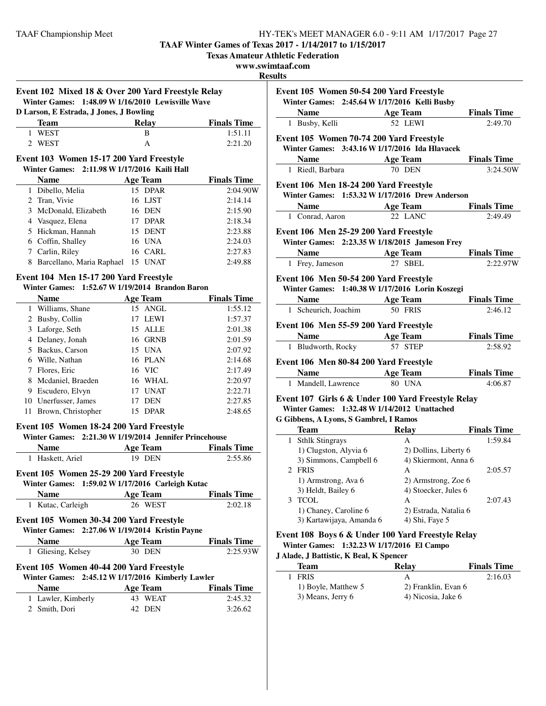**TAAF Winter Games of Texas 2017 - 1/14/2017 to 1/15/2017**

**Texas Amateur Athletic Federation**

#### **www.swimtaaf.com**

**Resu** 

| Event 102 Mixed 18 & Over 200 Yard Freestyle Relay |  |
|----------------------------------------------------|--|
| Winter Games: 1:48.09 W 1/16/2010 Lewisville Wave  |  |

| D Larson, E Estrada, J Jones, J Bowling |       |                    |  |  |
|-----------------------------------------|-------|--------------------|--|--|
| Team                                    | Relav | <b>Finals Time</b> |  |  |
| 1 WEST                                  | в     | 1:51.11            |  |  |
| 2 WEST                                  |       | 2:21.20            |  |  |

#### **Event 103 Women 15-17 200 Yard Freestyle**<br>Winter Cames 2:11.08 W 1/17/2016 Koili Holl **winder Games: 2:11.98 W** 1/17/2016 **K**

| Winter Games: 2:11.98 W 1/17/2016 Kaili Hall |                             |                   |                    |  |
|----------------------------------------------|-----------------------------|-------------------|--------------------|--|
|                                              | <b>Name</b>                 | <b>Age Team</b>   | <b>Finals Time</b> |  |
|                                              | 1 Dibello, Melia            | 15 DPAR           | 2:04.90W           |  |
|                                              | 2 Tran, Vivie               | 16 LJST           | 2:14.14            |  |
|                                              | 3 McDonald, Elizabeth       | 16 DEN            | 2:15.90            |  |
|                                              | 4 Vasquez, Elena            | 17 DPAR           | 2:18.34            |  |
|                                              | 5 Hickman, Hannah           | 15 DENT           | 2:23.88            |  |
|                                              | 6 Coffin, Shalley           | 16 UNA            | 2:24.03            |  |
|                                              | 7 Carlin, Riley             | 16 CARL           | 2:27.83            |  |
|                                              | 8 Barcellano, Maria Raphael | <b>UNAT</b><br>15 | 2:49.88            |  |

# **Event 104 Men 15-17 200 Yard Freestyle**

**Winter Games: 1:52.67 W1/19/2014 Brandon Baron**

|   | Name                 |     | <b>Age Team</b> | <b>Finals Time</b> |
|---|----------------------|-----|-----------------|--------------------|
|   | 1 Williams, Shane    |     | 15 ANGL         | 1:55.12            |
|   | 2 Busby, Collin      | 17  | LEWI            | 1:57.37            |
|   | 3 Laforge, Seth      | 15. | ALLE            | 2:01.38            |
| 4 | Delaney, Jonah       |     | 16 GRNB         | 2:01.59            |
|   | 5 Backus, Carson     |     | 15 UNA          | 2:07.92            |
| 6 | Wille, Nathan        |     | 16 PLAN         | 2:14.68            |
|   | 7 Flores, Eric       |     | 16 VIC          | 2:17.49            |
|   | 8 Mcdaniel, Braeden  |     | 16 WHAL         | 2:20.97            |
| 9 | Escudero, Elvyn      | 17  | <b>UNAT</b>     | 2:22.71            |
|   | 10 Unerfusser, James |     | <b>DEN</b>      | 2:27.85            |
|   | Brown, Christopher   | 15  | <b>DPAR</b>     | 2:48.65            |

# **Event 105 Women 18-24 200 Yard Freestyle**

# **Winter Games: 2:21.30 W1/19/2014 Jennifer Princehouse**

| <b>Name</b>                                                                                  | Age Team        | <b>Finals Time</b> |  |  |
|----------------------------------------------------------------------------------------------|-----------------|--------------------|--|--|
| 1 Haskett, Ariel                                                                             | <b>19 DEN</b>   | 2:55.86            |  |  |
| Event 105 Women 25-29 200 Yard Freestyle<br>Winter Games: 1:59.02 W 1/17/2016 Carleigh Kutac |                 |                    |  |  |
| <b>Name</b>                                                                                  | <b>Age Team</b> | <b>Finals Time</b> |  |  |
| 1 Kutac, Carleigh                                                                            | 26 WEST         | 2:02.18            |  |  |
| Event 105 Women 30-34 200 Yard Freestyle<br>Winter Games: 2:27.06 W 1/19/2014 Kristin Payne  |                 |                    |  |  |
| Name                                                                                         | <b>Age Team</b> | <b>Finals Time</b> |  |  |

| --------           |        |          |
|--------------------|--------|----------|
| 1 Gliesing, Kelsey | 30 DEN | 2:25.93W |
|                    |        |          |

#### **Event 105 Women 40-44 200 Yard Freestyle Winter Games: 2:45.12 W1/17/2016 Kimb**

|                    | Winter Games: 2:45.12 W 1/17/2016 Kimberly Lawler |                    |  |
|--------------------|---------------------------------------------------|--------------------|--|
| <b>Name</b>        | Age Team                                          | <b>Finals Time</b> |  |
| 1 Lawler, Kimberly | 43 WEAT                                           | 2:45.32            |  |
| 2 Smith, Dori      | 42 DEN                                            | 3:26.62            |  |

| ults                                                                                       |                       |                               |
|--------------------------------------------------------------------------------------------|-----------------------|-------------------------------|
| Event 105 Women 50-54 200 Yard Freestyle<br>Winter Games: 2:45.64 W 1/17/2016 Kelli Busby  |                       |                               |
| Name Age Team                                                                              |                       | <b>Finals Time</b>            |
| 1 Busby, Kelli                                                                             | <b>52 LEWI</b>        | 2:49.70                       |
|                                                                                            |                       |                               |
| Event 105 Women 70-74 200 Yard Freestyle<br>Winter Games: 3:43.16 W 1/17/2016 Ida Hlavacek |                       |                               |
| <b>Name</b><br><b>Age Team</b>                                                             |                       | <b>Finals Time</b>            |
| 1 Riedl, Barbara                                                                           | 70 DEN                | 3:24.50W                      |
|                                                                                            |                       |                               |
| Event 106 Men 18-24 200 Yard Freestyle                                                     |                       |                               |
| Winter Games: 1:53.32 W 1/17/2016 Drew Anderson                                            |                       |                               |
| Name Age Team                                                                              |                       | <b>Finals Time</b>            |
| 1 Conrad, Aaron                                                                            | 22 LANC               | 2:49.49                       |
| Event 106 Men 25-29 200 Yard Freestyle                                                     |                       |                               |
| Winter Games: 2:23.35 W 1/18/2015 Jameson Frey                                             |                       |                               |
| Age Team<br><b>Name</b>                                                                    |                       | <b>Finals Time</b>            |
| 1 Frey, Jameson                                                                            | 27 SBEL               | 2:22.97W                      |
| Event 106 Men 50-54 200 Yard Freestyle                                                     |                       |                               |
| Winter Games: 1:40.38 W 1/17/2016 Lorin Koszegi                                            |                       |                               |
| Name Age Team                                                                              |                       | <b>Finals Time</b>            |
| 1 Scheurich, Joachim                                                                       | <b>50 FRIS</b>        | 2:46.12                       |
| Event 106 Men 55-59 200 Yard Freestyle                                                     |                       |                               |
| Age Team<br><b>Name</b>                                                                    |                       | <b>Finals Time</b>            |
| 1 Bludworth, Rocky                                                                         | 57 STEP               | 2:58.92                       |
|                                                                                            |                       |                               |
| Event 106 Men 80-84 200 Yard Freestyle                                                     |                       |                               |
| Name Age Team                                                                              | <b>80 UNA</b>         | <b>Finals Time</b><br>4:06.87 |
| 1 Mandell, Lawrence                                                                        |                       |                               |
| Event 107 Girls 6 & Under 100 Yard Freestyle Relay                                         |                       |                               |
| Winter Games: 1:32.48 W 1/14/2012 Unattached                                               |                       |                               |
| G Gibbens, A Lyons, S Gambrel, I Ramos                                                     |                       |                               |
| <b>Team</b>                                                                                | Relay                 | <b>Finals Time</b>            |
| 1 Sthlk Stingrays                                                                          | $\mathsf{A}$          | 1:59.84                       |
| 1) Clugston, Alyvia 6                                                                      | 2) Dollins, Liberty 6 |                               |
| 3) Simmons, Campbell 6                                                                     | 4) Skiermont, Anna 6  | $\bigcap_{n=1}^{\infty}$      |

| 1) Clugston, Alyvia 6    | 2) Dollins, Liberty 6 |         |
|--------------------------|-----------------------|---------|
| 3) Simmons, Campbell 6   | 4) Skiermont, Anna 6  |         |
| 2 FRIS                   | А                     | 2:05.57 |
| 1) Armstrong, Ava 6      | 2) Armstrong, Zoe 6   |         |
| 3) Heldt, Bailey 6       | 4) Stoecker, Jules 6  |         |
| TCOL                     | А                     | 2:07.43 |
| 1) Chaney, Caroline 6    | 2) Estrada, Natalia 6 |         |
| 3) Kartawijaya, Amanda 6 | 4) Shi, Faye 5        |         |

### **Event 108 Boys 6 & Under 100 Yard Freestyle Relay Winter Games: 1:32.23 W1/17/2016 El Campo**

# **J Alade, J Battistic, K Beal, K Spencer**

 $\sim$ 

| Team                | Relav               | <b>Finals Time</b> |
|---------------------|---------------------|--------------------|
| <b>FRIS</b>         | А                   | 2:16.03            |
| 1) Boyle, Matthew 5 | 2) Franklin, Evan 6 |                    |
| 3) Means, Jerry 6   | 4) Nicosia, Jake 6  |                    |